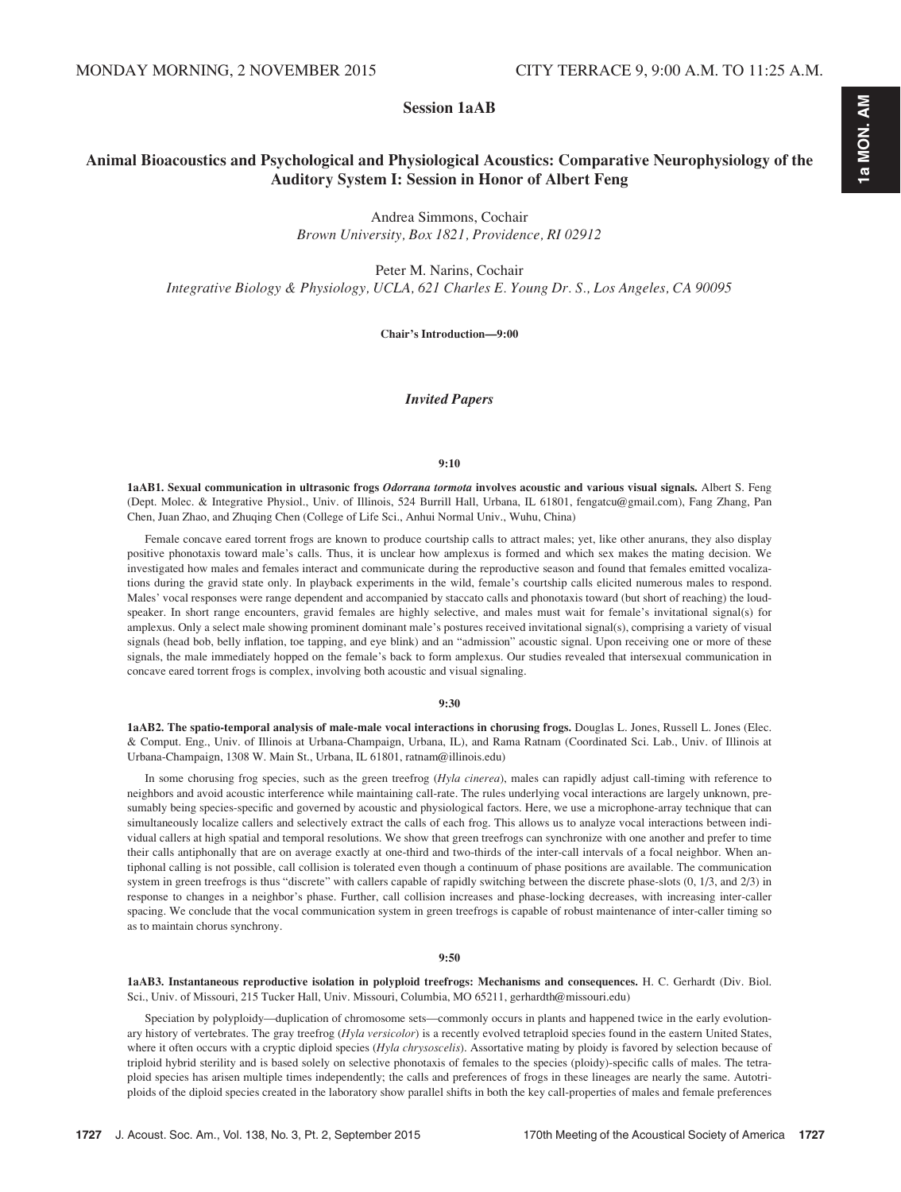## Session 1aAB

## Animal Bioacoustics and Psychological and Physiological Acoustics: Comparative Neurophysiology of the Auditory System I: Session in Honor of Albert Feng

Andrea Simmons, Cochair Brown University, Box 1821, Providence, RI 02912

Peter M. Narins, Cochair

Integrative Biology & Physiology, UCLA, 621 Charles E. Young Dr. S., Los Angeles, CA 90095

Chair's Introduction—9:00

## Invited Papers

#### 9:10

1aAB1. Sexual communication in ultrasonic frogs Odorrana tormota involves acoustic and various visual signals. Albert S. Feng (Dept. Molec. & Integrative Physiol., Univ. of Illinois, 524 Burrill Hall, Urbana, IL 61801, fengatcu@gmail.com), Fang Zhang, Pan Chen, Juan Zhao, and Zhuqing Chen (College of Life Sci., Anhui Normal Univ., Wuhu, China)

Female concave eared torrent frogs are known to produce courtship calls to attract males; yet, like other anurans, they also display positive phonotaxis toward male's calls. Thus, it is unclear how amplexus is formed and which sex makes the mating decision. We investigated how males and females interact and communicate during the reproductive season and found that females emitted vocalizations during the gravid state only. In playback experiments in the wild, female's courtship calls elicited numerous males to respond. Males' vocal responses were range dependent and accompanied by staccato calls and phonotaxis toward (but short of reaching) the loudspeaker. In short range encounters, gravid females are highly selective, and males must wait for female's invitational signal(s) for amplexus. Only a select male showing prominent dominant male's postures received invitational signal(s), comprising a variety of visual signals (head bob, belly inflation, toe tapping, and eye blink) and an "admission" acoustic signal. Upon receiving one or more of these signals, the male immediately hopped on the female's back to form amplexus. Our studies revealed that intersexual communication in concave eared torrent frogs is complex, involving both acoustic and visual signaling.

#### 9:30

1aAB2. The spatio-temporal analysis of male-male vocal interactions in chorusing frogs. Douglas L. Jones, Russell L. Jones (Elec. & Comput. Eng., Univ. of Illinois at Urbana-Champaign, Urbana, IL), and Rama Ratnam (Coordinated Sci. Lab., Univ. of Illinois at Urbana-Champaign, 1308 W. Main St., Urbana, IL 61801, ratnam@illinois.edu)

In some chorusing frog species, such as the green treefrog (Hyla cinerea), males can rapidly adjust call-timing with reference to neighbors and avoid acoustic interference while maintaining call-rate. The rules underlying vocal interactions are largely unknown, presumably being species-specific and governed by acoustic and physiological factors. Here, we use a microphone-array technique that can simultaneously localize callers and selectively extract the calls of each frog. This allows us to analyze vocal interactions between individual callers at high spatial and temporal resolutions. We show that green treefrogs can synchronize with one another and prefer to time their calls antiphonally that are on average exactly at one-third and two-thirds of the inter-call intervals of a focal neighbor. When antiphonal calling is not possible, call collision is tolerated even though a continuum of phase positions are available. The communication system in green treefrogs is thus "discrete" with callers capable of rapidly switching between the discrete phase-slots (0, 1/3, and 2/3) in response to changes in a neighbor's phase. Further, call collision increases and phase-locking decreases, with increasing inter-caller spacing. We conclude that the vocal communication system in green treefrogs is capable of robust maintenance of inter-caller timing so as to maintain chorus synchrony.

#### 9:50

1aAB3. Instantaneous reproductive isolation in polyploid treefrogs: Mechanisms and consequences. H. C. Gerhardt (Div. Biol. Sci., Univ. of Missouri, 215 Tucker Hall, Univ. Missouri, Columbia, MO 65211, gerhardth@missouri.edu)

Speciation by polyploidy—duplication of chromosome sets—commonly occurs in plants and happened twice in the early evolutionary history of vertebrates. The gray treefrog (Hyla versicolor) is a recently evolved tetraploid species found in the eastern United States, where it often occurs with a cryptic diploid species (Hyla chrysoscelis). Assortative mating by ploidy is favored by selection because of triploid hybrid sterility and is based solely on selective phonotaxis of females to the species (ploidy)-specific calls of males. The tetraploid species has arisen multiple times independently; the calls and preferences of frogs in these lineages are nearly the same. Autotriploids of the diploid species created in the laboratory show parallel shifts in both the key call-properties of males and female preferences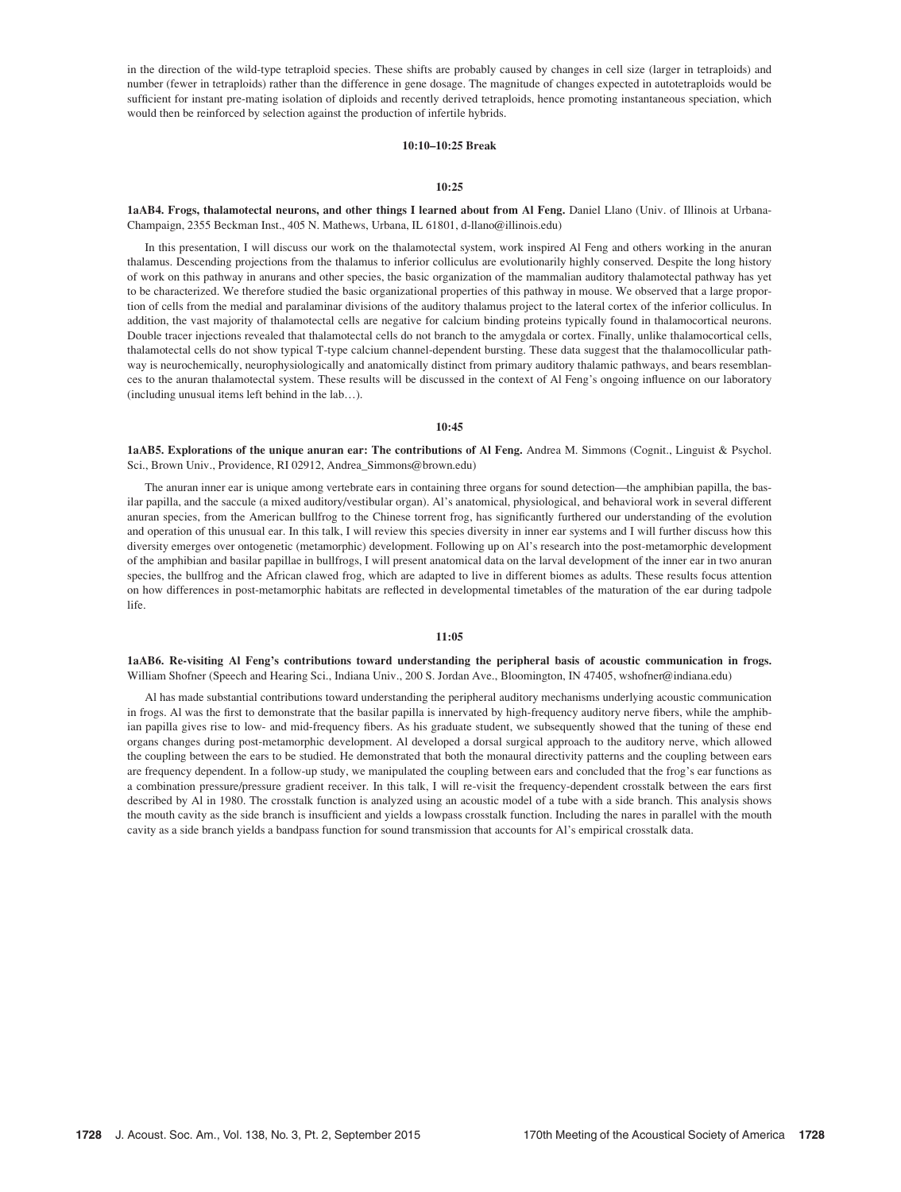in the direction of the wild-type tetraploid species. These shifts are probably caused by changes in cell size (larger in tetraploids) and number (fewer in tetraploids) rather than the difference in gene dosage. The magnitude of changes expected in autotetraploids would be sufficient for instant pre-mating isolation of diploids and recently derived tetraploids, hence promoting instantaneous speciation, which would then be reinforced by selection against the production of infertile hybrids.

## 10:10–10:25 Break

## 10:25

1aAB4. Frogs, thalamotectal neurons, and other things I learned about from Al Feng. Daniel Llano (Univ. of Illinois at Urbana-Champaign, 2355 Beckman Inst., 405 N. Mathews, Urbana, IL 61801, d-llano@illinois.edu)

In this presentation, I will discuss our work on the thalamotectal system, work inspired Al Feng and others working in the anuran thalamus. Descending projections from the thalamus to inferior colliculus are evolutionarily highly conserved. Despite the long history of work on this pathway in anurans and other species, the basic organization of the mammalian auditory thalamotectal pathway has yet to be characterized. We therefore studied the basic organizational properties of this pathway in mouse. We observed that a large proportion of cells from the medial and paralaminar divisions of the auditory thalamus project to the lateral cortex of the inferior colliculus. In addition, the vast majority of thalamotectal cells are negative for calcium binding proteins typically found in thalamocortical neurons. Double tracer injections revealed that thalamotectal cells do not branch to the amygdala or cortex. Finally, unlike thalamocortical cells, thalamotectal cells do not show typical T-type calcium channel-dependent bursting. These data suggest that the thalamocollicular pathway is neurochemically, neurophysiologically and anatomically distinct from primary auditory thalamic pathways, and bears resemblances to the anuran thalamotectal system. These results will be discussed in the context of Al Feng's ongoing influence on our laboratory (including unusual items left behind in the lab…).

#### $10.45$

1aAB5. Explorations of the unique anuran ear: The contributions of Al Feng. Andrea M. Simmons (Cognit., Linguist & Psychol. Sci., Brown Univ., Providence, RI 02912, Andrea\_Simmons@brown.edu)

The anuran inner ear is unique among vertebrate ears in containing three organs for sound detection—the amphibian papilla, the basilar papilla, and the saccule (a mixed auditory/vestibular organ). Al's anatomical, physiological, and behavioral work in several different anuran species, from the American bullfrog to the Chinese torrent frog, has significantly furthered our understanding of the evolution and operation of this unusual ear. In this talk, I will review this species diversity in inner ear systems and I will further discuss how this diversity emerges over ontogenetic (metamorphic) development. Following up on Al's research into the post-metamorphic development of the amphibian and basilar papillae in bullfrogs, I will present anatomical data on the larval development of the inner ear in two anuran species, the bullfrog and the African clawed frog, which are adapted to live in different biomes as adults. These results focus attention on how differences in post-metamorphic habitats are reflected in developmental timetables of the maturation of the ear during tadpole life.

#### 11:05

1aAB6. Re-visiting Al Feng's contributions toward understanding the peripheral basis of acoustic communication in frogs. William Shofner (Speech and Hearing Sci., Indiana Univ., 200 S. Jordan Ave., Bloomington, IN 47405, wshofner@indiana.edu)

Al has made substantial contributions toward understanding the peripheral auditory mechanisms underlying acoustic communication in frogs. Al was the first to demonstrate that the basilar papilla is innervated by high-frequency auditory nerve fibers, while the amphibian papilla gives rise to low- and mid-frequency fibers. As his graduate student, we subsequently showed that the tuning of these end organs changes during post-metamorphic development. Al developed a dorsal surgical approach to the auditory nerve, which allowed the coupling between the ears to be studied. He demonstrated that both the monaural directivity patterns and the coupling between ears are frequency dependent. In a follow-up study, we manipulated the coupling between ears and concluded that the frog's ear functions as a combination pressure/pressure gradient receiver. In this talk, I will re-visit the frequency-dependent crosstalk between the ears first described by Al in 1980. The crosstalk function is analyzed using an acoustic model of a tube with a side branch. This analysis shows the mouth cavity as the side branch is insufficient and yields a lowpass crosstalk function. Including the nares in parallel with the mouth cavity as a side branch yields a bandpass function for sound transmission that accounts for Al's empirical crosstalk data.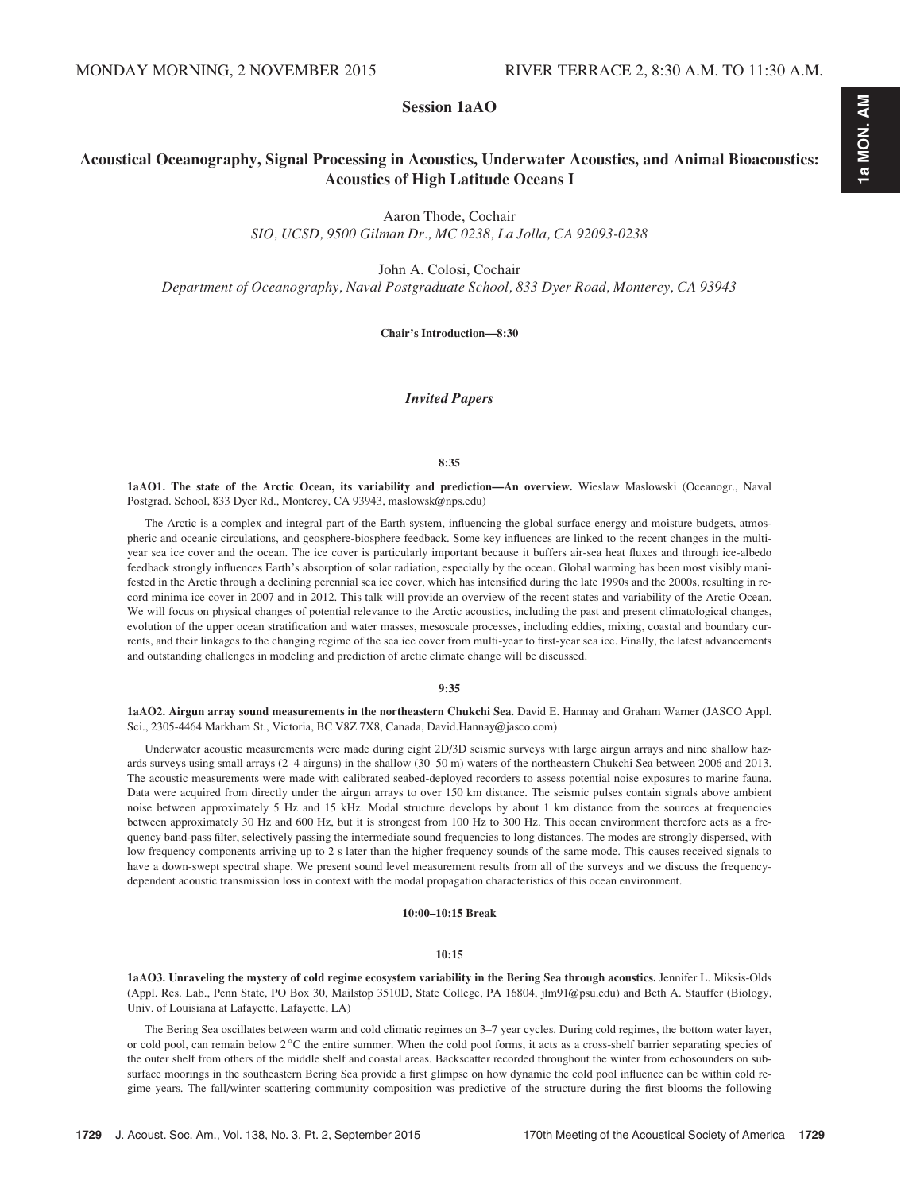## Session 1aAO

# Acoustical Oceanography, Signal Processing in Acoustics, Underwater Acoustics, and Animal Bioacoustics: Acoustics of High Latitude Oceans I

Aaron Thode, Cochair

SIO, UCSD, 9500 Gilman Dr., MC 0238, La Jolla, CA 92093-0238

John A. Colosi, Cochair

Department of Oceanography, Naval Postgraduate School, 833 Dyer Road, Monterey, CA 93943

Chair's Introduction—8:30

Invited Papers

#### 8:35

1aAO1. The state of the Arctic Ocean, its variability and prediction—An overview. Wieslaw Maslowski (Oceanogr., Naval Postgrad. School, 833 Dyer Rd., Monterey, CA 93943, maslowsk@nps.edu)

The Arctic is a complex and integral part of the Earth system, influencing the global surface energy and moisture budgets, atmospheric and oceanic circulations, and geosphere-biosphere feedback. Some key influences are linked to the recent changes in the multiyear sea ice cover and the ocean. The ice cover is particularly important because it buffers air-sea heat fluxes and through ice-albedo feedback strongly influences Earth's absorption of solar radiation, especially by the ocean. Global warming has been most visibly manifested in the Arctic through a declining perennial sea ice cover, which has intensified during the late 1990s and the 2000s, resulting in record minima ice cover in 2007 and in 2012. This talk will provide an overview of the recent states and variability of the Arctic Ocean. We will focus on physical changes of potential relevance to the Arctic acoustics, including the past and present climatological changes, evolution of the upper ocean stratification and water masses, mesoscale processes, including eddies, mixing, coastal and boundary currents, and their linkages to the changing regime of the sea ice cover from multi-year to first-year sea ice. Finally, the latest advancements and outstanding challenges in modeling and prediction of arctic climate change will be discussed.

#### 9:35

1aAO2. Airgun array sound measurements in the northeastern Chukchi Sea. David E. Hannay and Graham Warner (JASCO Appl. Sci., 2305-4464 Markham St., Victoria, BC V8Z 7X8, Canada, David.Hannay@jasco.com)

Underwater acoustic measurements were made during eight 2D/3D seismic surveys with large airgun arrays and nine shallow hazards surveys using small arrays (2–4 airguns) in the shallow (30–50 m) waters of the northeastern Chukchi Sea between 2006 and 2013. The acoustic measurements were made with calibrated seabed-deployed recorders to assess potential noise exposures to marine fauna. Data were acquired from directly under the airgun arrays to over 150 km distance. The seismic pulses contain signals above ambient noise between approximately 5 Hz and 15 kHz. Modal structure develops by about 1 km distance from the sources at frequencies between approximately 30 Hz and 600 Hz, but it is strongest from 100 Hz to 300 Hz. This ocean environment therefore acts as a frequency band-pass filter, selectively passing the intermediate sound frequencies to long distances. The modes are strongly dispersed, with low frequency components arriving up to 2 s later than the higher frequency sounds of the same mode. This causes received signals to have a down-swept spectral shape. We present sound level measurement results from all of the surveys and we discuss the frequencydependent acoustic transmission loss in context with the modal propagation characteristics of this ocean environment.

#### 10:00–10:15 Break

#### 10:15

1aAO3. Unraveling the mystery of cold regime ecosystem variability in the Bering Sea through acoustics. Jennifer L. Miksis-Olds (Appl. Res. Lab., Penn State, PO Box 30, Mailstop 3510D, State College, PA 16804, jlm91@psu.edu) and Beth A. Stauffer (Biology, Univ. of Louisiana at Lafayette, Lafayette, LA)

The Bering Sea oscillates between warm and cold climatic regimes on 3–7 year cycles. During cold regimes, the bottom water layer, or cold pool, can remain below  $2^{\circ}C$  the entire summer. When the cold pool forms, it acts as a cross-shelf barrier separating species of the outer shelf from others of the middle shelf and coastal areas. Backscatter recorded throughout the winter from echosounders on subsurface moorings in the southeastern Bering Sea provide a first glimpse on how dynamic the cold pool influence can be within cold regime years. The fall/winter scattering community composition was predictive of the structure during the first blooms the following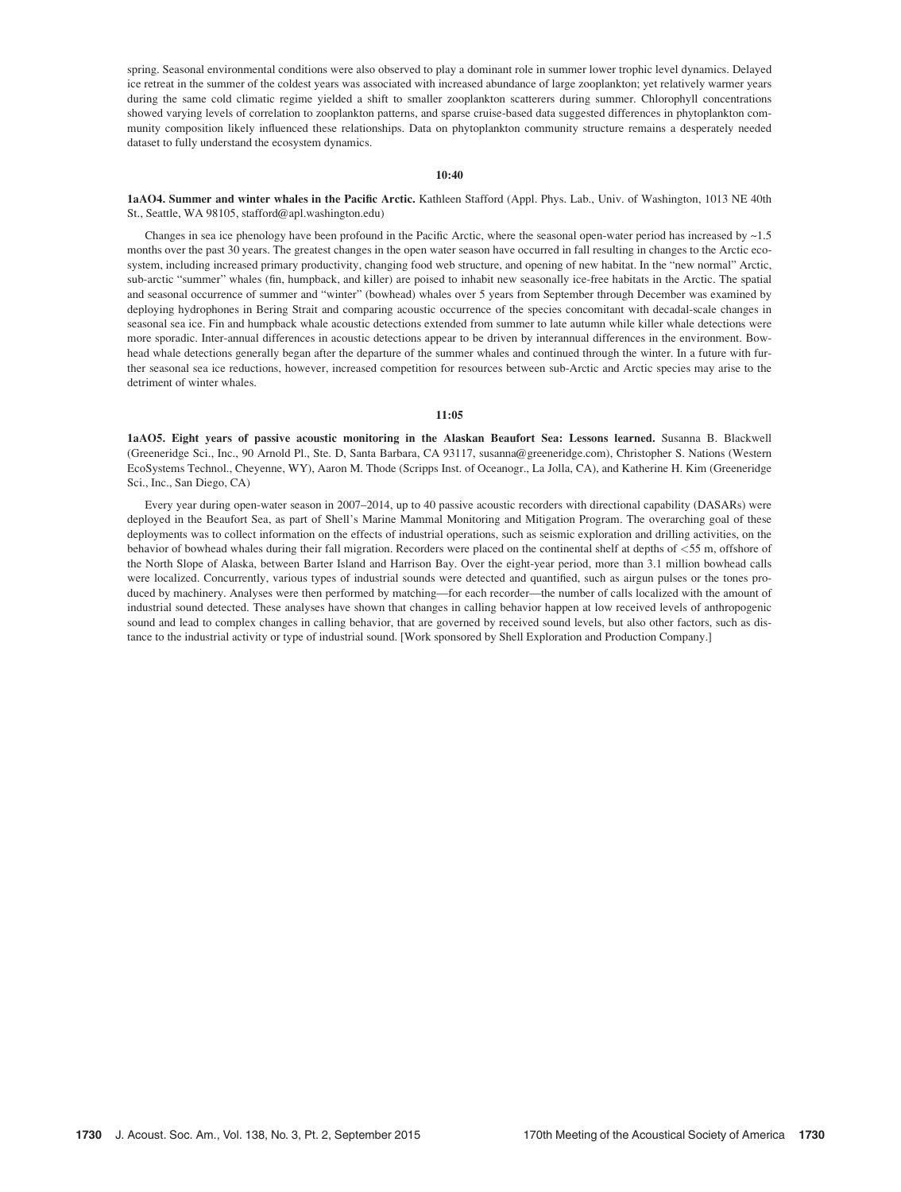spring. Seasonal environmental conditions were also observed to play a dominant role in summer lower trophic level dynamics. Delayed ice retreat in the summer of the coldest years was associated with increased abundance of large zooplankton; yet relatively warmer years during the same cold climatic regime yielded a shift to smaller zooplankton scatterers during summer. Chlorophyll concentrations showed varying levels of correlation to zooplankton patterns, and sparse cruise-based data suggested differences in phytoplankton community composition likely influenced these relationships. Data on phytoplankton community structure remains a desperately needed dataset to fully understand the ecosystem dynamics.

#### 10:40

#### 1aAO4. Summer and winter whales in the Pacific Arctic. Kathleen Stafford (Appl. Phys. Lab., Univ. of Washington, 1013 NE 40th St., Seattle, WA 98105, stafford@apl.washington.edu)

Changes in sea ice phenology have been profound in the Pacific Arctic, where the seasonal open-water period has increased by  $\sim$ 1.5 months over the past 30 years. The greatest changes in the open water season have occurred in fall resulting in changes to the Arctic ecosystem, including increased primary productivity, changing food web structure, and opening of new habitat. In the "new normal" Arctic, sub-arctic "summer" whales (fin, humpback, and killer) are poised to inhabit new seasonally ice-free habitats in the Arctic. The spatial and seasonal occurrence of summer and "winter" (bowhead) whales over 5 years from September through December was examined by deploying hydrophones in Bering Strait and comparing acoustic occurrence of the species concomitant with decadal-scale changes in seasonal sea ice. Fin and humpback whale acoustic detections extended from summer to late autumn while killer whale detections were more sporadic. Inter-annual differences in acoustic detections appear to be driven by interannual differences in the environment. Bowhead whale detections generally began after the departure of the summer whales and continued through the winter. In a future with further seasonal sea ice reductions, however, increased competition for resources between sub-Arctic and Arctic species may arise to the detriment of winter whales.

#### 11:05

1aAO5. Eight years of passive acoustic monitoring in the Alaskan Beaufort Sea: Lessons learned. Susanna B. Blackwell (Greeneridge Sci., Inc., 90 Arnold Pl., Ste. D, Santa Barbara, CA 93117, susanna@greeneridge.com), Christopher S. Nations (Western EcoSystems Technol., Cheyenne, WY), Aaron M. Thode (Scripps Inst. of Oceanogr., La Jolla, CA), and Katherine H. Kim (Greeneridge Sci., Inc., San Diego, CA)

Every year during open-water season in 2007–2014, up to 40 passive acoustic recorders with directional capability (DASARs) were deployed in the Beaufort Sea, as part of Shell's Marine Mammal Monitoring and Mitigation Program. The overarching goal of these deployments was to collect information on the effects of industrial operations, such as seismic exploration and drilling activities, on the behavior of bowhead whales during their fall migration. Recorders were placed on the continental shelf at depths of <55 m, offshore of the North Slope of Alaska, between Barter Island and Harrison Bay. Over the eight-year period, more than 3.1 million bowhead calls were localized. Concurrently, various types of industrial sounds were detected and quantified, such as airgun pulses or the tones produced by machinery. Analyses were then performed by matching—for each recorder—the number of calls localized with the amount of industrial sound detected. These analyses have shown that changes in calling behavior happen at low received levels of anthropogenic sound and lead to complex changes in calling behavior, that are governed by received sound levels, but also other factors, such as distance to the industrial activity or type of industrial sound. [Work sponsored by Shell Exploration and Production Company.]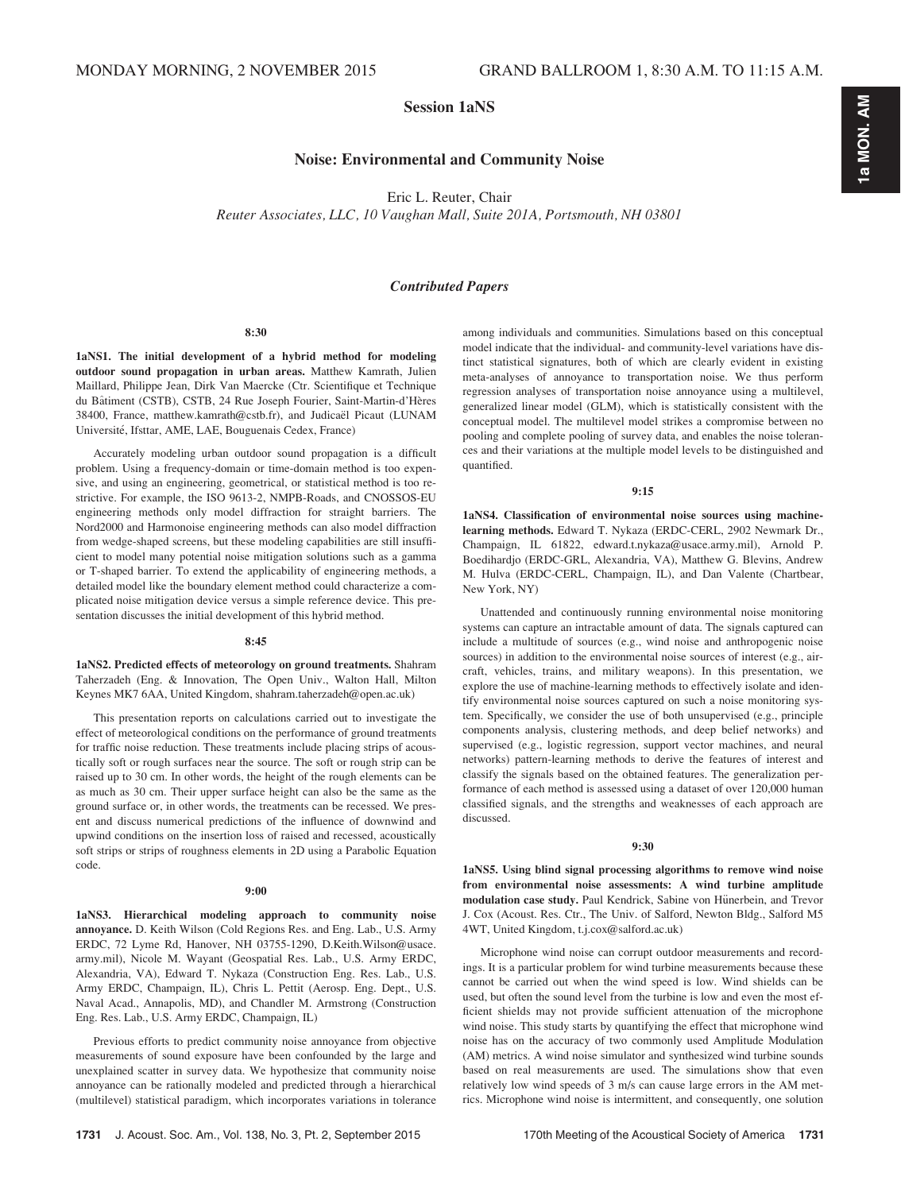Session 1aNS

## Noise: Environmental and Community Noise

Eric L. Reuter, Chair

Reuter Associates, LLC, 10 Vaughan Mall, Suite 201A, Portsmouth, NH 03801

## Contributed Papers

#### 8:30

1aNS1. The initial development of a hybrid method for modeling outdoor sound propagation in urban areas. Matthew Kamrath, Julien Maillard, Philippe Jean, Dirk Van Maercke (Ctr. Scientifique et Technique du Bâtiment (CSTB), CSTB, 24 Rue Joseph Fourier, Saint-Martin-d'Hères 38400, France, matthew.kamrath@cstb.fr), and Judicaël Picaut (LUNAM Université, Ifsttar, AME, LAE, Bouguenais Cedex, France)

Accurately modeling urban outdoor sound propagation is a difficult problem. Using a frequency-domain or time-domain method is too expensive, and using an engineering, geometrical, or statistical method is too restrictive. For example, the ISO 9613-2, NMPB-Roads, and CNOSSOS-EU engineering methods only model diffraction for straight barriers. The Nord2000 and Harmonoise engineering methods can also model diffraction from wedge-shaped screens, but these modeling capabilities are still insufficient to model many potential noise mitigation solutions such as a gamma or T-shaped barrier. To extend the applicability of engineering methods, a detailed model like the boundary element method could characterize a complicated noise mitigation device versus a simple reference device. This presentation discusses the initial development of this hybrid method.

#### 8:45

1aNS2. Predicted effects of meteorology on ground treatments. Shahram Taherzadeh (Eng. & Innovation, The Open Univ., Walton Hall, Milton Keynes MK7 6AA, United Kingdom, shahram.taherzadeh@open.ac.uk)

This presentation reports on calculations carried out to investigate the effect of meteorological conditions on the performance of ground treatments for traffic noise reduction. These treatments include placing strips of acoustically soft or rough surfaces near the source. The soft or rough strip can be raised up to 30 cm. In other words, the height of the rough elements can be as much as 30 cm. Their upper surface height can also be the same as the ground surface or, in other words, the treatments can be recessed. We present and discuss numerical predictions of the influence of downwind and upwind conditions on the insertion loss of raised and recessed, acoustically soft strips or strips of roughness elements in 2D using a Parabolic Equation code.

#### 9:00

1aNS3. Hierarchical modeling approach to community noise annoyance. D. Keith Wilson (Cold Regions Res. and Eng. Lab., U.S. Army ERDC, 72 Lyme Rd, Hanover, NH 03755-1290, D.Keith.Wilson@usace. army.mil), Nicole M. Wayant (Geospatial Res. Lab., U.S. Army ERDC, Alexandria, VA), Edward T. Nykaza (Construction Eng. Res. Lab., U.S. Army ERDC, Champaign, IL), Chris L. Pettit (Aerosp. Eng. Dept., U.S. Naval Acad., Annapolis, MD), and Chandler M. Armstrong (Construction Eng. Res. Lab., U.S. Army ERDC, Champaign, IL)

Previous efforts to predict community noise annoyance from objective measurements of sound exposure have been confounded by the large and unexplained scatter in survey data. We hypothesize that community noise annoyance can be rationally modeled and predicted through a hierarchical (multilevel) statistical paradigm, which incorporates variations in tolerance among individuals and communities. Simulations based on this conceptual model indicate that the individual- and community-level variations have distinct statistical signatures, both of which are clearly evident in existing meta-analyses of annoyance to transportation noise. We thus perform regression analyses of transportation noise annoyance using a multilevel, generalized linear model (GLM), which is statistically consistent with the conceptual model. The multilevel model strikes a compromise between no pooling and complete pooling of survey data, and enables the noise tolerances and their variations at the multiple model levels to be distinguished and quantified.

#### 9:15

1aNS4. Classification of environmental noise sources using machinelearning methods. Edward T. Nykaza (ERDC-CERL, 2902 Newmark Dr., Champaign, IL 61822, edward.t.nykaza@usace.army.mil), Arnold P. Boedihardjo (ERDC-GRL, Alexandria, VA), Matthew G. Blevins, Andrew M. Hulva (ERDC-CERL, Champaign, IL), and Dan Valente (Chartbear, New York, NY)

Unattended and continuously running environmental noise monitoring systems can capture an intractable amount of data. The signals captured can include a multitude of sources (e.g., wind noise and anthropogenic noise sources) in addition to the environmental noise sources of interest (e.g., aircraft, vehicles, trains, and military weapons). In this presentation, we explore the use of machine-learning methods to effectively isolate and identify environmental noise sources captured on such a noise monitoring system. Specifically, we consider the use of both unsupervised (e.g., principle components analysis, clustering methods, and deep belief networks) and supervised (e.g., logistic regression, support vector machines, and neural networks) pattern-learning methods to derive the features of interest and classify the signals based on the obtained features. The generalization performance of each method is assessed using a dataset of over 120,000 human classified signals, and the strengths and weaknesses of each approach are discussed.

#### 9:30

1aNS5. Using blind signal processing algorithms to remove wind noise from environmental noise assessments: A wind turbine amplitude modulation case study. Paul Kendrick, Sabine von Hünerbein, and Trevor J. Cox (Acoust. Res. Ctr., The Univ. of Salford, Newton Bldg., Salford M5 4WT, United Kingdom, t.j.cox@salford.ac.uk)

Microphone wind noise can corrupt outdoor measurements and recordings. It is a particular problem for wind turbine measurements because these cannot be carried out when the wind speed is low. Wind shields can be used, but often the sound level from the turbine is low and even the most efficient shields may not provide sufficient attenuation of the microphone wind noise. This study starts by quantifying the effect that microphone wind noise has on the accuracy of two commonly used Amplitude Modulation (AM) metrics. A wind noise simulator and synthesized wind turbine sounds based on real measurements are used. The simulations show that even relatively low wind speeds of 3 m/s can cause large errors in the AM metrics. Microphone wind noise is intermittent, and consequently, one solution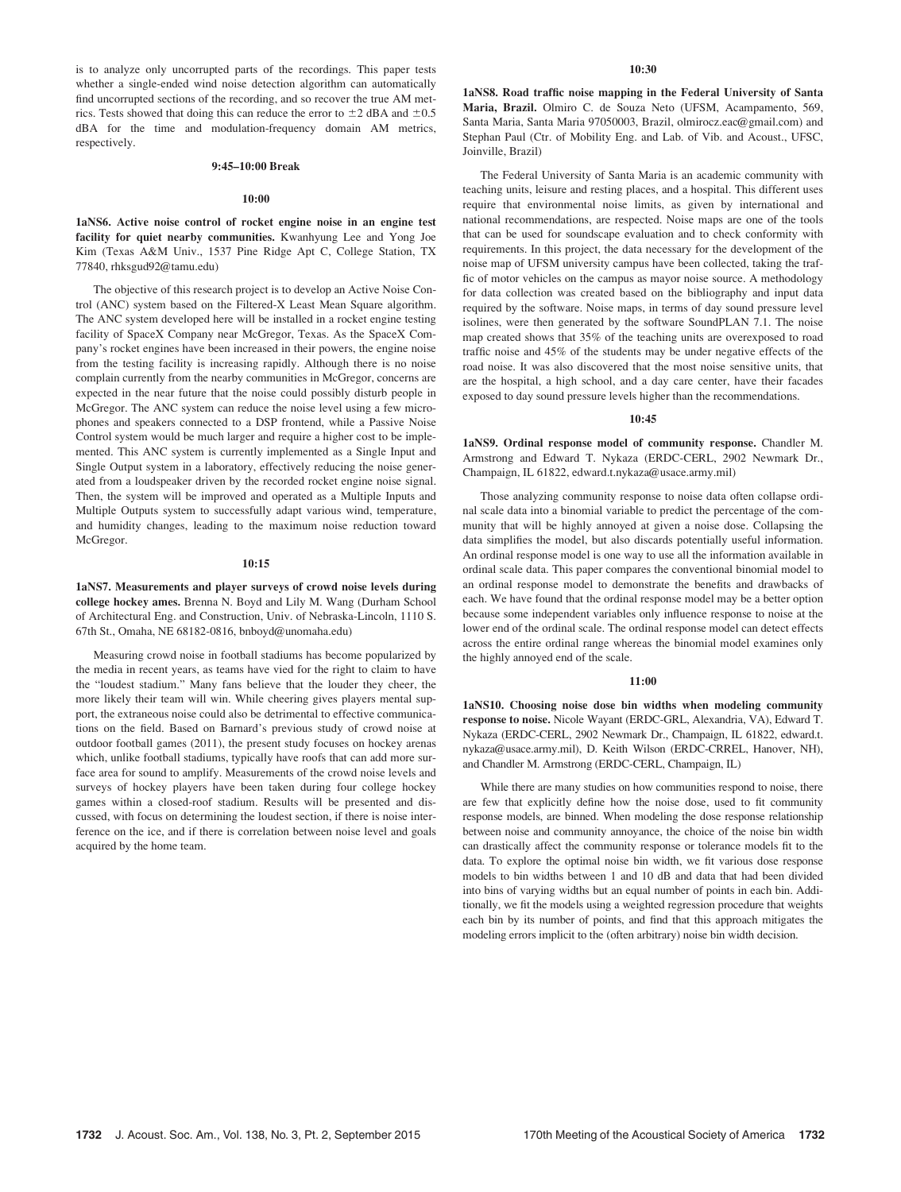is to analyze only uncorrupted parts of the recordings. This paper tests whether a single-ended wind noise detection algorithm can automatically find uncorrupted sections of the recording, and so recover the true AM metrics. Tests showed that doing this can reduce the error to  $\pm 2$  dBA and  $\pm 0.5$ dBA for the time and modulation-frequency domain AM metrics, respectively.

#### 9:45–10:00 Break

#### 10:00

1aNS6. Active noise control of rocket engine noise in an engine test facility for quiet nearby communities. Kwanhyung Lee and Yong Joe Kim (Texas A&M Univ., 1537 Pine Ridge Apt C, College Station, TX 77840, rhksgud92@tamu.edu)

The objective of this research project is to develop an Active Noise Control (ANC) system based on the Filtered-X Least Mean Square algorithm. The ANC system developed here will be installed in a rocket engine testing facility of SpaceX Company near McGregor, Texas. As the SpaceX Company's rocket engines have been increased in their powers, the engine noise from the testing facility is increasing rapidly. Although there is no noise complain currently from the nearby communities in McGregor, concerns are expected in the near future that the noise could possibly disturb people in McGregor. The ANC system can reduce the noise level using a few microphones and speakers connected to a DSP frontend, while a Passive Noise Control system would be much larger and require a higher cost to be implemented. This ANC system is currently implemented as a Single Input and Single Output system in a laboratory, effectively reducing the noise generated from a loudspeaker driven by the recorded rocket engine noise signal. Then, the system will be improved and operated as a Multiple Inputs and Multiple Outputs system to successfully adapt various wind, temperature, and humidity changes, leading to the maximum noise reduction toward McGregor.

#### $10:15$

1aNS7. Measurements and player surveys of crowd noise levels during college hockey ames. Brenna N. Boyd and Lily M. Wang (Durham School of Architectural Eng. and Construction, Univ. of Nebraska-Lincoln, 1110 S. 67th St., Omaha, NE 68182-0816, bnboyd@unomaha.edu)

Measuring crowd noise in football stadiums has become popularized by the media in recent years, as teams have vied for the right to claim to have the "loudest stadium." Many fans believe that the louder they cheer, the more likely their team will win. While cheering gives players mental support, the extraneous noise could also be detrimental to effective communications on the field. Based on Barnard's previous study of crowd noise at outdoor football games (2011), the present study focuses on hockey arenas which, unlike football stadiums, typically have roofs that can add more surface area for sound to amplify. Measurements of the crowd noise levels and surveys of hockey players have been taken during four college hockey games within a closed-roof stadium. Results will be presented and discussed, with focus on determining the loudest section, if there is noise interference on the ice, and if there is correlation between noise level and goals acquired by the home team.

#### 10:30

1aNS8. Road traffic noise mapping in the Federal University of Santa Maria, Brazil. Olmiro C. de Souza Neto (UFSM, Acampamento, 569, Santa Maria, Santa Maria 97050003, Brazil, olmirocz.eac@gmail.com) and Stephan Paul (Ctr. of Mobility Eng. and Lab. of Vib. and Acoust., UFSC, Joinville, Brazil)

The Federal University of Santa Maria is an academic community with teaching units, leisure and resting places, and a hospital. This different uses require that environmental noise limits, as given by international and national recommendations, are respected. Noise maps are one of the tools that can be used for soundscape evaluation and to check conformity with requirements. In this project, the data necessary for the development of the noise map of UFSM university campus have been collected, taking the traffic of motor vehicles on the campus as mayor noise source. A methodology for data collection was created based on the bibliography and input data required by the software. Noise maps, in terms of day sound pressure level isolines, were then generated by the software SoundPLAN 7.1. The noise map created shows that 35% of the teaching units are overexposed to road traffic noise and 45% of the students may be under negative effects of the road noise. It was also discovered that the most noise sensitive units, that are the hospital, a high school, and a day care center, have their facades exposed to day sound pressure levels higher than the recommendations.

#### 10:45

1aNS9. Ordinal response model of community response. Chandler M. Armstrong and Edward T. Nykaza (ERDC-CERL, 2902 Newmark Dr., Champaign, IL 61822, edward.t.nykaza@usace.army.mil)

Those analyzing community response to noise data often collapse ordinal scale data into a binomial variable to predict the percentage of the community that will be highly annoyed at given a noise dose. Collapsing the data simplifies the model, but also discards potentially useful information. An ordinal response model is one way to use all the information available in ordinal scale data. This paper compares the conventional binomial model to an ordinal response model to demonstrate the benefits and drawbacks of each. We have found that the ordinal response model may be a better option because some independent variables only influence response to noise at the lower end of the ordinal scale. The ordinal response model can detect effects across the entire ordinal range whereas the binomial model examines only the highly annoyed end of the scale.

#### 11:00

1aNS10. Choosing noise dose bin widths when modeling community response to noise. Nicole Wayant (ERDC-GRL, Alexandria, VA), Edward T. Nykaza (ERDC-CERL, 2902 Newmark Dr., Champaign, IL 61822, edward.t. nykaza@usace.army.mil), D. Keith Wilson (ERDC-CRREL, Hanover, NH), and Chandler M. Armstrong (ERDC-CERL, Champaign, IL)

While there are many studies on how communities respond to noise, there are few that explicitly define how the noise dose, used to fit community response models, are binned. When modeling the dose response relationship between noise and community annoyance, the choice of the noise bin width can drastically affect the community response or tolerance models fit to the data. To explore the optimal noise bin width, we fit various dose response models to bin widths between 1 and 10 dB and data that had been divided into bins of varying widths but an equal number of points in each bin. Additionally, we fit the models using a weighted regression procedure that weights each bin by its number of points, and find that this approach mitigates the modeling errors implicit to the (often arbitrary) noise bin width decision.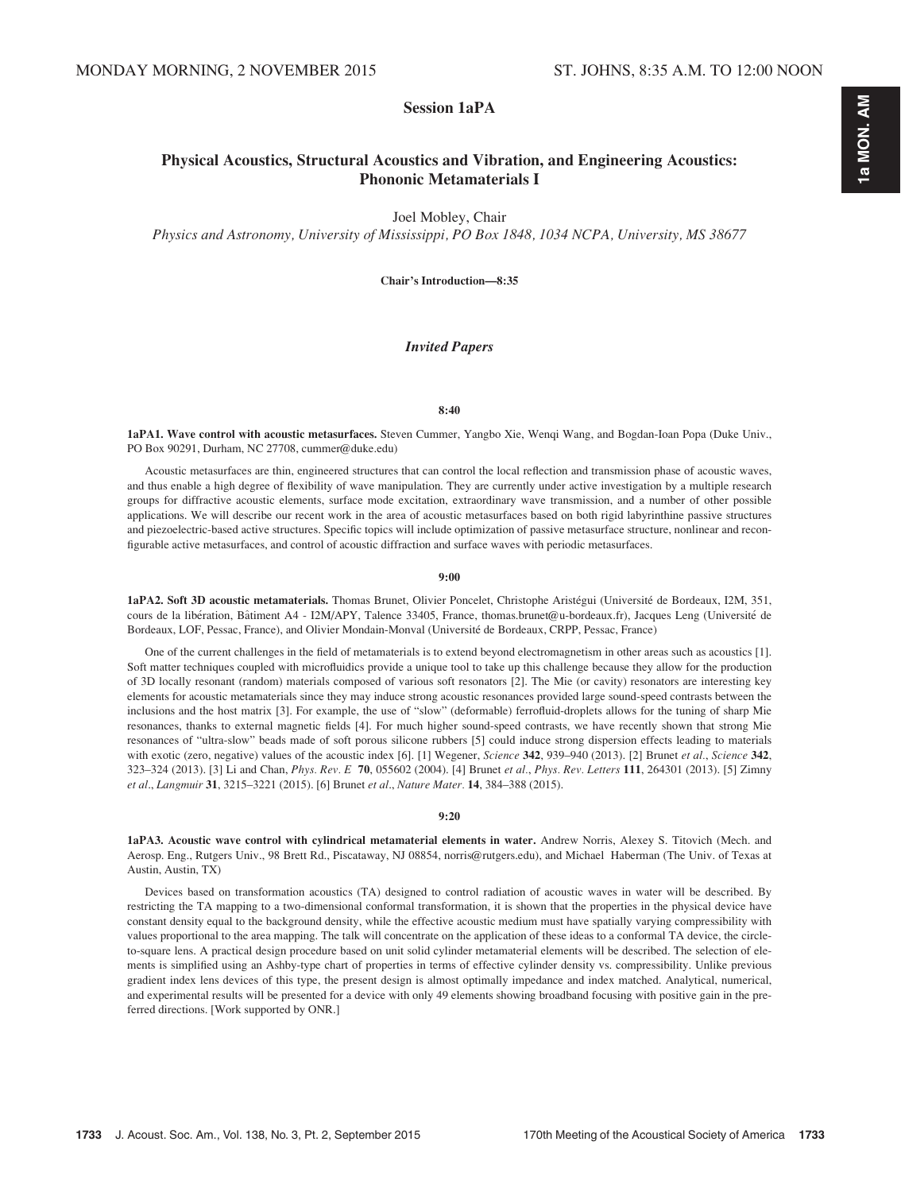# 1a MON. AM 1a MON. AM

## Session 1aPA

## Physical Acoustics, Structural Acoustics and Vibration, and Engineering Acoustics: Phononic Metamaterials I

Joel Mobley, Chair

Physics and Astronomy, University of Mississippi, PO Box 1848, 1034 NCPA, University, MS 38677

Chair's Introduction—8:35

## Invited Papers

#### 8:40

1aPA1. Wave control with acoustic metasurfaces. Steven Cummer, Yangbo Xie, Wenqi Wang, and Bogdan-Ioan Popa (Duke Univ., PO Box 90291, Durham, NC 27708, cummer@duke.edu)

Acoustic metasurfaces are thin, engineered structures that can control the local reflection and transmission phase of acoustic waves, and thus enable a high degree of flexibility of wave manipulation. They are currently under active investigation by a multiple research groups for diffractive acoustic elements, surface mode excitation, extraordinary wave transmission, and a number of other possible applications. We will describe our recent work in the area of acoustic metasurfaces based on both rigid labyrinthine passive structures and piezoelectric-based active structures. Specific topics will include optimization of passive metasurface structure, nonlinear and reconfigurable active metasurfaces, and control of acoustic diffraction and surface waves with periodic metasurfaces.

#### 9:00

1aPA2. Soft 3D acoustic metamaterials. Thomas Brunet, Olivier Poncelet, Christophe Aristégui (Université de Bordeaux, 12M, 351, cours de la libération, Bâtiment A4 - I2M/APY, Talence 33405, France, thomas.brunet@u-bordeaux.fr), Jacques Leng (Université de Bordeaux, LOF, Pessac, France), and Olivier Mondain-Monval (Université de Bordeaux, CRPP, Pessac, France)

One of the current challenges in the field of metamaterials is to extend beyond electromagnetism in other areas such as acoustics [1]. Soft matter techniques coupled with microfluidics provide a unique tool to take up this challenge because they allow for the production of 3D locally resonant (random) materials composed of various soft resonators [2]. The Mie (or cavity) resonators are interesting key elements for acoustic metamaterials since they may induce strong acoustic resonances provided large sound-speed contrasts between the inclusions and the host matrix [3]. For example, the use of "slow" (deformable) ferrofluid-droplets allows for the tuning of sharp Mie resonances, thanks to external magnetic fields [4]. For much higher sound-speed contrasts, we have recently shown that strong Mie resonances of "ultra-slow" beads made of soft porous silicone rubbers [5] could induce strong dispersion effects leading to materials with exotic (zero, negative) values of the acoustic index [6]. [1] Wegener, Science 342, 939–940 (2013). [2] Brunet et al., Science 342, 323–324 (2013). [3] Li and Chan, Phys. Rev. E 70, 055602 (2004). [4] Brunet et al., Phys. Rev. Letters 111, 264301 (2013). [5] Zimny et al., Langmuir 31, 3215–3221 (2015). [6] Brunet et al., Nature Mater. 14, 384–388 (2015).

#### 9:20

1aPA3. Acoustic wave control with cylindrical metamaterial elements in water. Andrew Norris, Alexey S. Titovich (Mech. and Aerosp. Eng., Rutgers Univ., 98 Brett Rd., Piscataway, NJ 08854, norris@rutgers.edu), and Michael Haberman (The Univ. of Texas at Austin, Austin, TX)

Devices based on transformation acoustics (TA) designed to control radiation of acoustic waves in water will be described. By restricting the TA mapping to a two-dimensional conformal transformation, it is shown that the properties in the physical device have constant density equal to the background density, while the effective acoustic medium must have spatially varying compressibility with values proportional to the area mapping. The talk will concentrate on the application of these ideas to a conformal TA device, the circleto-square lens. A practical design procedure based on unit solid cylinder metamaterial elements will be described. The selection of elements is simplified using an Ashby-type chart of properties in terms of effective cylinder density vs. compressibility. Unlike previous gradient index lens devices of this type, the present design is almost optimally impedance and index matched. Analytical, numerical, and experimental results will be presented for a device with only 49 elements showing broadband focusing with positive gain in the preferred directions. [Work supported by ONR.]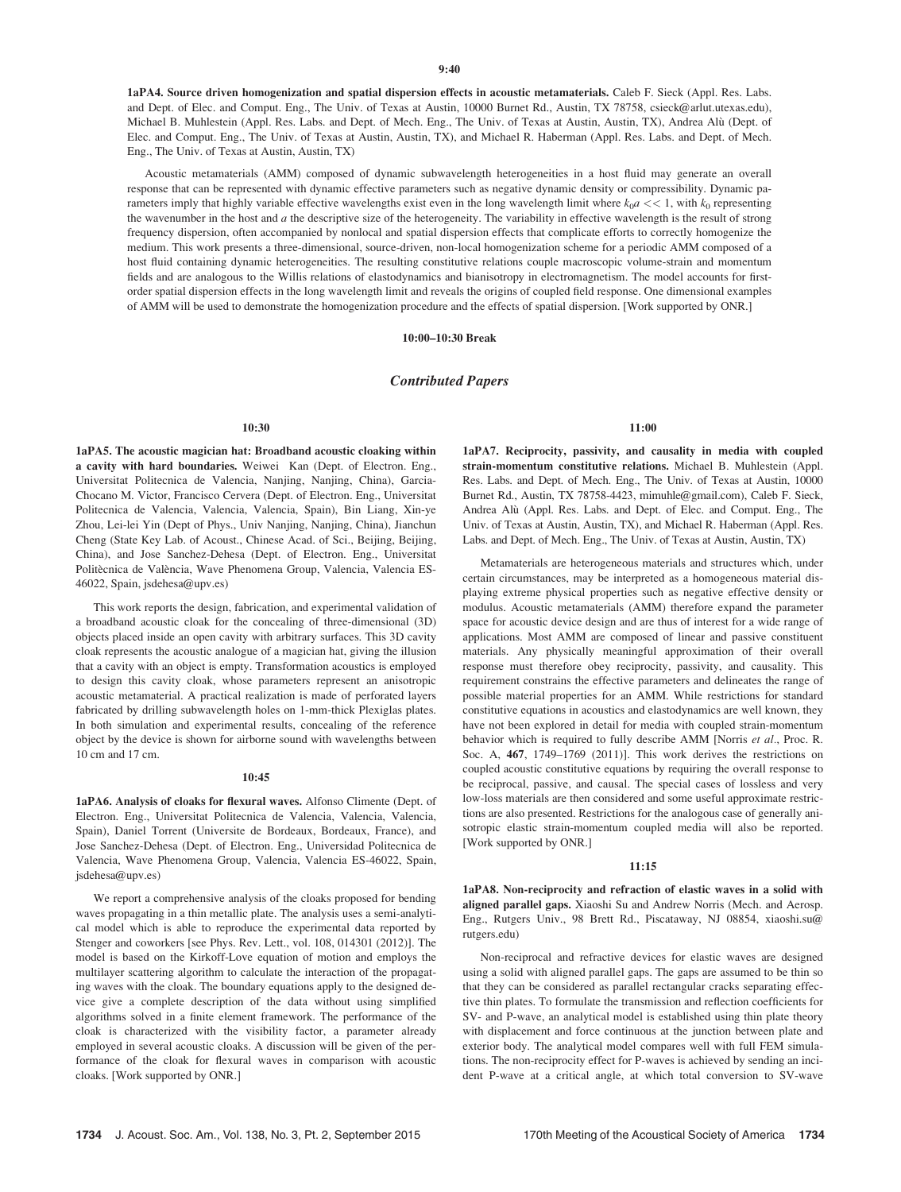1aPA4. Source driven homogenization and spatial dispersion effects in acoustic metamaterials. Caleb F. Sieck (Appl. Res. Labs. and Dept. of Elec. and Comput. Eng., The Univ. of Texas at Austin, 10000 Burnet Rd., Austin, TX 78758, csieck@arlut.utexas.edu), Michael B. Muhlestein (Appl. Res. Labs. and Dept. of Mech. Eng., The Univ. of Texas at Austin, Austin, TX), Andrea Alu (Dept. of Elec. and Comput. Eng., The Univ. of Texas at Austin, Austin, TX), and Michael R. Haberman (Appl. Res. Labs. and Dept. of Mech. Eng., The Univ. of Texas at Austin, Austin, TX)

Acoustic metamaterials (AMM) composed of dynamic subwavelength heterogeneities in a host fluid may generate an overall response that can be represented with dynamic effective parameters such as negative dynamic density or compressibility. Dynamic parameters imply that highly variable effective wavelengths exist even in the long wavelength limit where  $k_0 a \ll 1$ , with  $k_0$  representing the wavenumber in the host and  $a$  the descriptive size of the heterogeneity. The variability in effective wavelength is the result of strong frequency dispersion, often accompanied by nonlocal and spatial dispersion effects that complicate efforts to correctly homogenize the medium. This work presents a three-dimensional, source-driven, non-local homogenization scheme for a periodic AMM composed of a host fluid containing dynamic heterogeneities. The resulting constitutive relations couple macroscopic volume-strain and momentum fields and are analogous to the Willis relations of elastodynamics and bianisotropy in electromagnetism. The model accounts for firstorder spatial dispersion effects in the long wavelength limit and reveals the origins of coupled field response. One dimensional examples of AMM will be used to demonstrate the homogenization procedure and the effects of spatial dispersion. [Work supported by ONR.]

#### 10:00–10:30 Break

#### Contributed Papers

#### 10:30

1aPA5. The acoustic magician hat: Broadband acoustic cloaking within a cavity with hard boundaries. Weiwei Kan (Dept. of Electron. Eng., Universitat Politecnica de Valencia, Nanjing, Nanjing, China), Garcia-Chocano M. Victor, Francisco Cervera (Dept. of Electron. Eng., Universitat Politecnica de Valencia, Valencia, Valencia, Spain), Bin Liang, Xin-ye Zhou, Lei-lei Yin (Dept of Phys., Univ Nanjing, Nanjing, China), Jianchun Cheng (State Key Lab. of Acoust., Chinese Acad. of Sci., Beijing, Beijing, China), and Jose Sanchez-Dehesa (Dept. of Electron. Eng., Universitat Politècnica de València, Wave Phenomena Group, Valencia, Valencia ES-46022, Spain, jsdehesa@upv.es)

This work reports the design, fabrication, and experimental validation of a broadband acoustic cloak for the concealing of three-dimensional (3D) objects placed inside an open cavity with arbitrary surfaces. This 3D cavity cloak represents the acoustic analogue of a magician hat, giving the illusion that a cavity with an object is empty. Transformation acoustics is employed to design this cavity cloak, whose parameters represent an anisotropic acoustic metamaterial. A practical realization is made of perforated layers fabricated by drilling subwavelength holes on 1-mm-thick Plexiglas plates. In both simulation and experimental results, concealing of the reference object by the device is shown for airborne sound with wavelengths between 10 cm and 17 cm.

#### $10.45$

1aPA6. Analysis of cloaks for flexural waves. Alfonso Climente (Dept. of Electron. Eng., Universitat Politecnica de Valencia, Valencia, Valencia, Spain), Daniel Torrent (Universite de Bordeaux, Bordeaux, France), and Jose Sanchez-Dehesa (Dept. of Electron. Eng., Universidad Politecnica de Valencia, Wave Phenomena Group, Valencia, Valencia ES-46022, Spain,  $is dehesa@unv.es)$ 

We report a comprehensive analysis of the cloaks proposed for bending waves propagating in a thin metallic plate. The analysis uses a semi-analytical model which is able to reproduce the experimental data reported by Stenger and coworkers [see Phys. Rev. Lett., vol. 108, 014301 (2012)]. The model is based on the Kirkoff-Love equation of motion and employs the multilayer scattering algorithm to calculate the interaction of the propagating waves with the cloak. The boundary equations apply to the designed device give a complete description of the data without using simplified algorithms solved in a finite element framework. The performance of the cloak is characterized with the visibility factor, a parameter already employed in several acoustic cloaks. A discussion will be given of the performance of the cloak for flexural waves in comparison with acoustic cloaks. [Work supported by ONR.]

#### 11:00

1aPA7. Reciprocity, passivity, and causality in media with coupled strain-momentum constitutive relations. Michael B. Muhlestein (Appl. Res. Labs. and Dept. of Mech. Eng., The Univ. of Texas at Austin, 10000 Burnet Rd., Austin, TX 78758-4423, mimuhle@gmail.com), Caleb F. Sieck, Andrea Alu (Appl. Res. Labs. and Dept. of Elec. and Comput. Eng., The Univ. of Texas at Austin, Austin, TX), and Michael R. Haberman (Appl. Res. Labs. and Dept. of Mech. Eng., The Univ. of Texas at Austin, Austin, TX)

Metamaterials are heterogeneous materials and structures which, under certain circumstances, may be interpreted as a homogeneous material displaying extreme physical properties such as negative effective density or modulus. Acoustic metamaterials (AMM) therefore expand the parameter space for acoustic device design and are thus of interest for a wide range of applications. Most AMM are composed of linear and passive constituent materials. Any physically meaningful approximation of their overall response must therefore obey reciprocity, passivity, and causality. This requirement constrains the effective parameters and delineates the range of possible material properties for an AMM. While restrictions for standard constitutive equations in acoustics and elastodynamics are well known, they have not been explored in detail for media with coupled strain-momentum behavior which is required to fully describe AMM [Norris et al., Proc. R. Soc. A, 467, 1749–1769 (2011)]. This work derives the restrictions on coupled acoustic constitutive equations by requiring the overall response to be reciprocal, passive, and causal. The special cases of lossless and very low-loss materials are then considered and some useful approximate restrictions are also presented. Restrictions for the analogous case of generally anisotropic elastic strain-momentum coupled media will also be reported. [Work supported by ONR.]

#### 11:15

1aPA8. Non-reciprocity and refraction of elastic waves in a solid with aligned parallel gaps. Xiaoshi Su and Andrew Norris (Mech. and Aerosp. Eng., Rutgers Univ., 98 Brett Rd., Piscataway, NJ 08854, xiaoshi.su@ rutgers.edu)

Non-reciprocal and refractive devices for elastic waves are designed using a solid with aligned parallel gaps. The gaps are assumed to be thin so that they can be considered as parallel rectangular cracks separating effective thin plates. To formulate the transmission and reflection coefficients for SV- and P-wave, an analytical model is established using thin plate theory with displacement and force continuous at the junction between plate and exterior body. The analytical model compares well with full FEM simulations. The non-reciprocity effect for P-waves is achieved by sending an incident P-wave at a critical angle, at which total conversion to SV-wave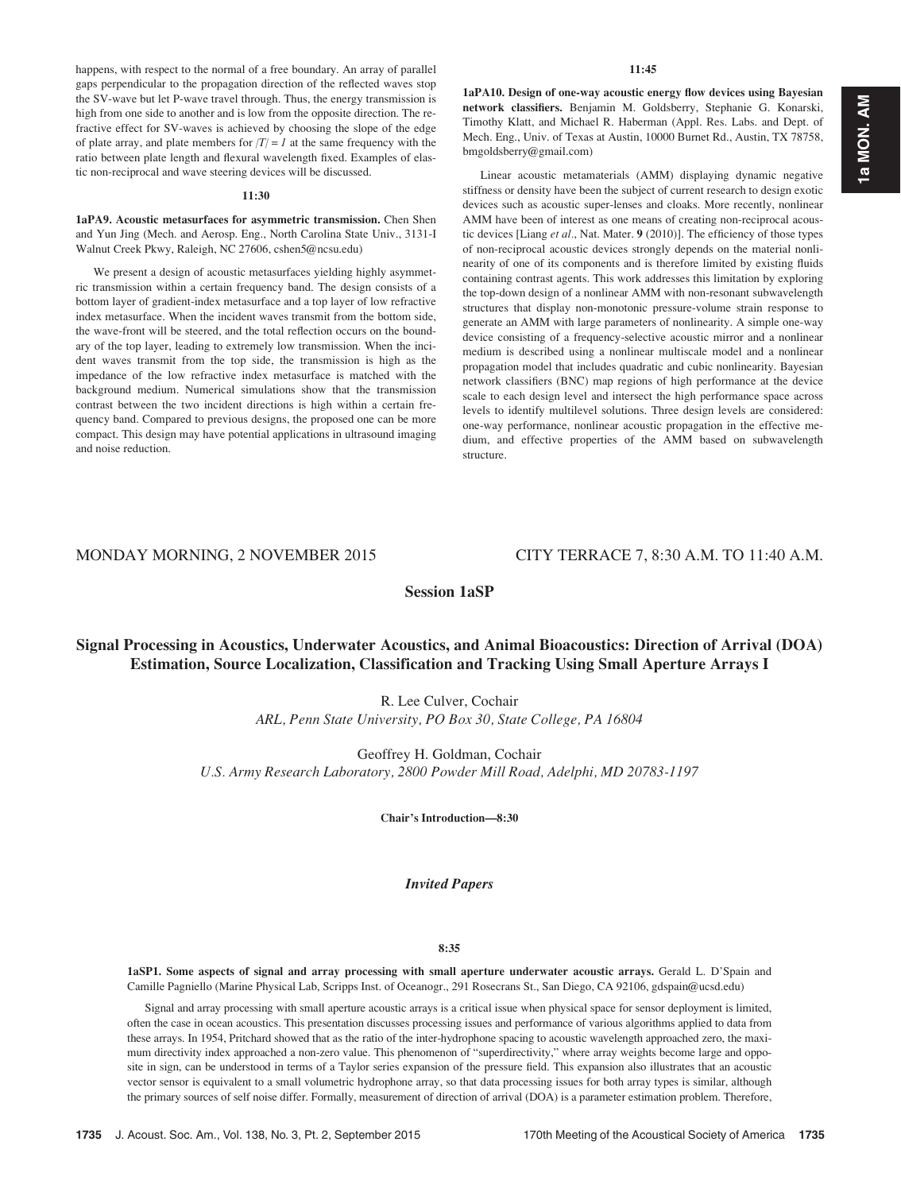happens, with respect to the normal of a free boundary. An array of parallel gaps perpendicular to the propagation direction of the reflected waves stop the SV-wave but let P-wave travel through. Thus, the energy transmission is high from one side to another and is low from the opposite direction. The refractive effect for SV-waves is achieved by choosing the slope of the edge of plate array, and plate members for  $|T| = 1$  at the same frequency with the ratio between plate length and flexural wavelength fixed. Examples of elastic non-reciprocal and wave steering devices will be discussed.

## 11:30

1aPA9. Acoustic metasurfaces for asymmetric transmission. Chen Shen and Yun Jing (Mech. and Aerosp. Eng., North Carolina State Univ., 3131-I Walnut Creek Pkwy, Raleigh, NC 27606, cshen5@ncsu.edu)

We present a design of acoustic metasurfaces yielding highly asymmetric transmission within a certain frequency band. The design consists of a bottom layer of gradient-index metasurface and a top layer of low refractive index metasurface. When the incident waves transmit from the bottom side, the wave-front will be steered, and the total reflection occurs on the boundary of the top layer, leading to extremely low transmission. When the incident waves transmit from the top side, the transmission is high as the impedance of the low refractive index metasurface is matched with the background medium. Numerical simulations show that the transmission contrast between the two incident directions is high within a certain frequency band. Compared to previous designs, the proposed one can be more compact. This design may have potential applications in ultrasound imaging and noise reduction.

## 11:45

1aPA10. Design of one-way acoustic energy flow devices using Bayesian network classifiers. Benjamin M. Goldsberry, Stephanie G. Konarski, Timothy Klatt, and Michael R. Haberman (Appl. Res. Labs. and Dept. of Mech. Eng., Univ. of Texas at Austin, 10000 Burnet Rd., Austin, TX 78758, bmgoldsberry@gmail.com)

Linear acoustic metamaterials (AMM) displaying dynamic negative stiffness or density have been the subject of current research to design exotic devices such as acoustic super-lenses and cloaks. More recently, nonlinear AMM have been of interest as one means of creating non-reciprocal acoustic devices [Liang et al., Nat. Mater. 9 (2010)]. The efficiency of those types of non-reciprocal acoustic devices strongly depends on the material nonlinearity of one of its components and is therefore limited by existing fluids containing contrast agents. This work addresses this limitation by exploring the top-down design of a nonlinear AMM with non-resonant subwavelength structures that display non-monotonic pressure-volume strain response to generate an AMM with large parameters of nonlinearity. A simple one-way device consisting of a frequency-selective acoustic mirror and a nonlinear medium is described using a nonlinear multiscale model and a nonlinear propagation model that includes quadratic and cubic nonlinearity. Bayesian network classifiers (BNC) map regions of high performance at the device scale to each design level and intersect the high performance space across levels to identify multilevel solutions. Three design levels are considered: one-way performance, nonlinear acoustic propagation in the effective medium, and effective properties of the AMM based on subwavelength structure.

## MONDAY MORNING, 2 NOVEMBER 2015 CITY TERRACE 7, 8:30 A.M. TO 11:40 A.M.

## Session 1aSP

## Signal Processing in Acoustics, Underwater Acoustics, and Animal Bioacoustics: Direction of Arrival (DOA) Estimation, Source Localization, Classification and Tracking Using Small Aperture Arrays I

R. Lee Culver, Cochair ARL, Penn State University, PO Box 30, State College, PA 16804

Geoffrey H. Goldman, Cochair U.S. Army Research Laboratory, 2800 Powder Mill Road, Adelphi, MD 20783-1197

Chair's Introduction—8:30

## Invited Papers

#### 8:35

1aSP1. Some aspects of signal and array processing with small aperture underwater acoustic arrays. Gerald L. D'Spain and Camille Pagniello (Marine Physical Lab, Scripps Inst. of Oceanogr., 291 Rosecrans St., San Diego, CA 92106, gdspain@ucsd.edu)

Signal and array processing with small aperture acoustic arrays is a critical issue when physical space for sensor deployment is limited, often the case in ocean acoustics. This presentation discusses processing issues and performance of various algorithms applied to data from these arrays. In 1954, Pritchard showed that as the ratio of the inter-hydrophone spacing to acoustic wavelength approached zero, the maximum directivity index approached a non-zero value. This phenomenon of "superdirectivity," where array weights become large and opposite in sign, can be understood in terms of a Taylor series expansion of the pressure field. This expansion also illustrates that an acoustic vector sensor is equivalent to a small volumetric hydrophone array, so that data processing issues for both array types is similar, although the primary sources of self noise differ. Formally, measurement of direction of arrival (DOA) is a parameter estimation problem. Therefore,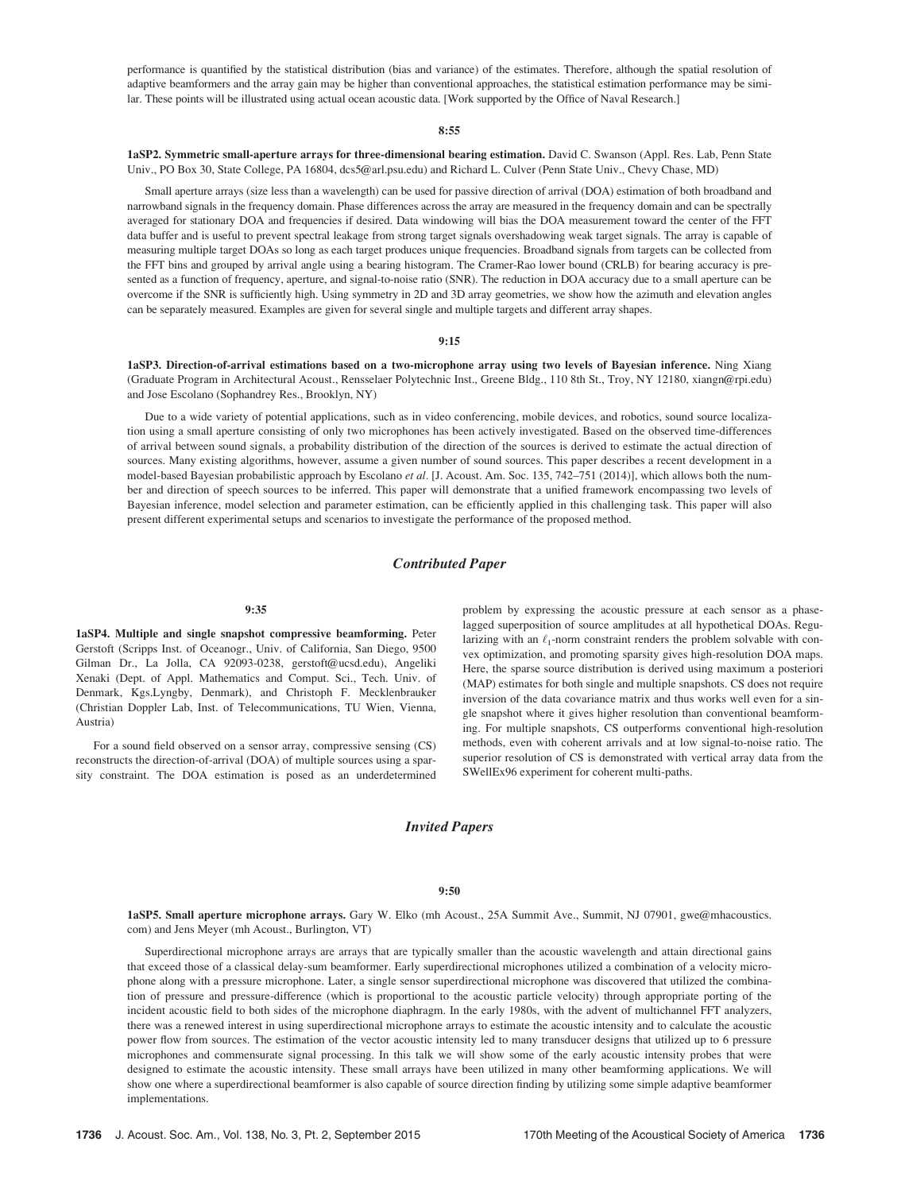performance is quantified by the statistical distribution (bias and variance) of the estimates. Therefore, although the spatial resolution of adaptive beamformers and the array gain may be higher than conventional approaches, the statistical estimation performance may be similar. These points will be illustrated using actual ocean acoustic data. [Work supported by the Office of Naval Research.]

#### 8:55

1aSP2. Symmetric small-aperture arrays for three-dimensional bearing estimation. David C. Swanson (Appl. Res. Lab, Penn State Univ., PO Box 30, State College, PA 16804, dcs5@arl.psu.edu) and Richard L. Culver (Penn State Univ., Chevy Chase, MD)

Small aperture arrays (size less than a wavelength) can be used for passive direction of arrival (DOA) estimation of both broadband and narrowband signals in the frequency domain. Phase differences across the array are measured in the frequency domain and can be spectrally averaged for stationary DOA and frequencies if desired. Data windowing will bias the DOA measurement toward the center of the FFT data buffer and is useful to prevent spectral leakage from strong target signals overshadowing weak target signals. The array is capable of measuring multiple target DOAs so long as each target produces unique frequencies. Broadband signals from targets can be collected from the FFT bins and grouped by arrival angle using a bearing histogram. The Cramer-Rao lower bound (CRLB) for bearing accuracy is presented as a function of frequency, aperture, and signal-to-noise ratio (SNR). The reduction in DOA accuracy due to a small aperture can be overcome if the SNR is sufficiently high. Using symmetry in 2D and 3D array geometries, we show how the azimuth and elevation angles can be separately measured. Examples are given for several single and multiple targets and different array shapes.

#### 9:15

1aSP3. Direction-of-arrival estimations based on a two-microphone array using two levels of Bayesian inference. Ning Xiang (Graduate Program in Architectural Acoust., Rensselaer Polytechnic Inst., Greene Bldg., 110 8th St., Troy, NY 12180, xiangn@rpi.edu) and Jose Escolano (Sophandrey Res., Brooklyn, NY)

Due to a wide variety of potential applications, such as in video conferencing, mobile devices, and robotics, sound source localization using a small aperture consisting of only two microphones has been actively investigated. Based on the observed time-differences of arrival between sound signals, a probability distribution of the direction of the sources is derived to estimate the actual direction of sources. Many existing algorithms, however, assume a given number of sound sources. This paper describes a recent development in a model-based Bayesian probabilistic approach by Escolano et al. [J. Acoust. Am. Soc. 135, 742–751 (2014)], which allows both the number and direction of speech sources to be inferred. This paper will demonstrate that a unified framework encompassing two levels of Bayesian inference, model selection and parameter estimation, can be efficiently applied in this challenging task. This paper will also present different experimental setups and scenarios to investigate the performance of the proposed method.

#### Contributed Paper

#### 9:35

1aSP4. Multiple and single snapshot compressive beamforming. Peter Gerstoft (Scripps Inst. of Oceanogr., Univ. of California, San Diego, 9500 Gilman Dr., La Jolla, CA 92093-0238, gerstoft@ucsd.edu), Angeliki Xenaki (Dept. of Appl. Mathematics and Comput. Sci., Tech. Univ. of Denmark, Kgs.Lyngby, Denmark), and Christoph F. Mecklenbrauker (Christian Doppler Lab, Inst. of Telecommunications, TU Wien, Vienna, Austria)

For a sound field observed on a sensor array, compressive sensing (CS) reconstructs the direction-of-arrival (DOA) of multiple sources using a sparsity constraint. The DOA estimation is posed as an underdetermined problem by expressing the acoustic pressure at each sensor as a phaselagged superposition of source amplitudes at all hypothetical DOAs. Regularizing with an  $\ell_1$ -norm constraint renders the problem solvable with convex optimization, and promoting sparsity gives high-resolution DOA maps. Here, the sparse source distribution is derived using maximum a posteriori (MAP) estimates for both single and multiple snapshots. CS does not require inversion of the data covariance matrix and thus works well even for a single snapshot where it gives higher resolution than conventional beamforming. For multiple snapshots, CS outperforms conventional high-resolution methods, even with coherent arrivals and at low signal-to-noise ratio. The superior resolution of CS is demonstrated with vertical array data from the SWellEx96 experiment for coherent multi-paths.

## Invited Papers

#### 9:50

1aSP5. Small aperture microphone arrays. Gary W. Elko (mh Acoust., 25A Summit Ave., Summit, NJ 07901, gwe@mhacoustics. com) and Jens Meyer (mh Acoust., Burlington, VT)

Superdirectional microphone arrays are arrays that are typically smaller than the acoustic wavelength and attain directional gains that exceed those of a classical delay-sum beamformer. Early superdirectional microphones utilized a combination of a velocity microphone along with a pressure microphone. Later, a single sensor superdirectional microphone was discovered that utilized the combination of pressure and pressure-difference (which is proportional to the acoustic particle velocity) through appropriate porting of the incident acoustic field to both sides of the microphone diaphragm. In the early 1980s, with the advent of multichannel FFT analyzers, there was a renewed interest in using superdirectional microphone arrays to estimate the acoustic intensity and to calculate the acoustic power flow from sources. The estimation of the vector acoustic intensity led to many transducer designs that utilized up to 6 pressure microphones and commensurate signal processing. In this talk we will show some of the early acoustic intensity probes that were designed to estimate the acoustic intensity. These small arrays have been utilized in many other beamforming applications. We will show one where a superdirectional beamformer is also capable of source direction finding by utilizing some simple adaptive beamformer implementations.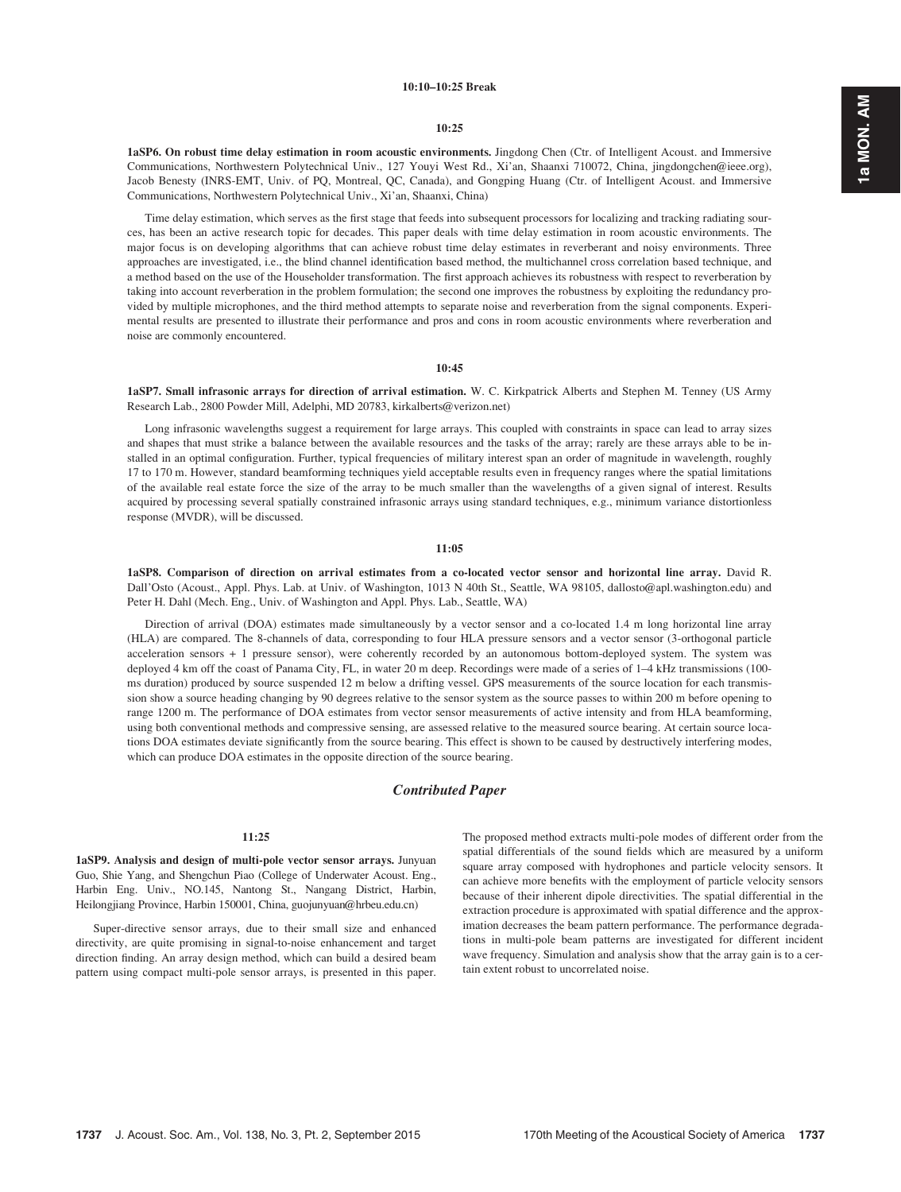#### 10:10–10:25 Break

#### 10:25

1aSP6. On robust time delay estimation in room acoustic environments. Jingdong Chen (Ctr. of Intelligent Acoust. and Immersive Communications, Northwestern Polytechnical Univ., 127 Youyi West Rd., Xi'an, Shaanxi 710072, China, jingdongchen@ieee.org), Jacob Benesty (INRS-EMT, Univ. of PQ, Montreal, QC, Canada), and Gongping Huang (Ctr. of Intelligent Acoust. and Immersive Communications, Northwestern Polytechnical Univ., Xi'an, Shaanxi, China)

Time delay estimation, which serves as the first stage that feeds into subsequent processors for localizing and tracking radiating sources, has been an active research topic for decades. This paper deals with time delay estimation in room acoustic environments. The major focus is on developing algorithms that can achieve robust time delay estimates in reverberant and noisy environments. Three approaches are investigated, i.e., the blind channel identification based method, the multichannel cross correlation based technique, and a method based on the use of the Householder transformation. The first approach achieves its robustness with respect to reverberation by taking into account reverberation in the problem formulation; the second one improves the robustness by exploiting the redundancy provided by multiple microphones, and the third method attempts to separate noise and reverberation from the signal components. Experimental results are presented to illustrate their performance and pros and cons in room acoustic environments where reverberation and noise are commonly encountered.

#### 10:45

1aSP7. Small infrasonic arrays for direction of arrival estimation. W. C. Kirkpatrick Alberts and Stephen M. Tenney (US Army Research Lab., 2800 Powder Mill, Adelphi, MD 20783, kirkalberts@verizon.net)

Long infrasonic wavelengths suggest a requirement for large arrays. This coupled with constraints in space can lead to array sizes and shapes that must strike a balance between the available resources and the tasks of the array; rarely are these arrays able to be installed in an optimal configuration. Further, typical frequencies of military interest span an order of magnitude in wavelength, roughly 17 to 170 m. However, standard beamforming techniques yield acceptable results even in frequency ranges where the spatial limitations of the available real estate force the size of the array to be much smaller than the wavelengths of a given signal of interest. Results acquired by processing several spatially constrained infrasonic arrays using standard techniques, e.g., minimum variance distortionless response (MVDR), will be discussed.

#### 11:05

1aSP8. Comparison of direction on arrival estimates from a co-located vector sensor and horizontal line array. David R. Dall'Osto (Acoust., Appl. Phys. Lab. at Univ. of Washington, 1013 N 40th St., Seattle, WA 98105, dallosto@apl.washington.edu) and Peter H. Dahl (Mech. Eng., Univ. of Washington and Appl. Phys. Lab., Seattle, WA)

Direction of arrival (DOA) estimates made simultaneously by a vector sensor and a co-located 1.4 m long horizontal line array (HLA) are compared. The 8-channels of data, corresponding to four HLA pressure sensors and a vector sensor (3-orthogonal particle acceleration sensors + 1 pressure sensor), were coherently recorded by an autonomous bottom-deployed system. The system was deployed 4 km off the coast of Panama City, FL, in water 20 m deep. Recordings were made of a series of 1-4 kHz transmissions (100ms duration) produced by source suspended 12 m below a drifting vessel. GPS measurements of the source location for each transmission show a source heading changing by 90 degrees relative to the sensor system as the source passes to within 200 m before opening to range 1200 m. The performance of DOA estimates from vector sensor measurements of active intensity and from HLA beamforming, using both conventional methods and compressive sensing, are assessed relative to the measured source bearing. At certain source locations DOA estimates deviate significantly from the source bearing. This effect is shown to be caused by destructively interfering modes, which can produce DOA estimates in the opposite direction of the source bearing.

#### Contributed Paper

#### 11:25

1aSP9. Analysis and design of multi-pole vector sensor arrays. Junyuan Guo, Shie Yang, and Shengchun Piao (College of Underwater Acoust. Eng., Harbin Eng. Univ., NO.145, Nantong St., Nangang District, Harbin, Heilongjiang Province, Harbin 150001, China, guojunyuan@hrbeu.edu.cn)

Super-directive sensor arrays, due to their small size and enhanced directivity, are quite promising in signal-to-noise enhancement and target direction finding. An array design method, which can build a desired beam pattern using compact multi-pole sensor arrays, is presented in this paper. The proposed method extracts multi-pole modes of different order from the spatial differentials of the sound fields which are measured by a uniform square array composed with hydrophones and particle velocity sensors. It can achieve more benefits with the employment of particle velocity sensors because of their inherent dipole directivities. The spatial differential in the extraction procedure is approximated with spatial difference and the approximation decreases the beam pattern performance. The performance degradations in multi-pole beam patterns are investigated for different incident wave frequency. Simulation and analysis show that the array gain is to a certain extent robust to uncorrelated noise.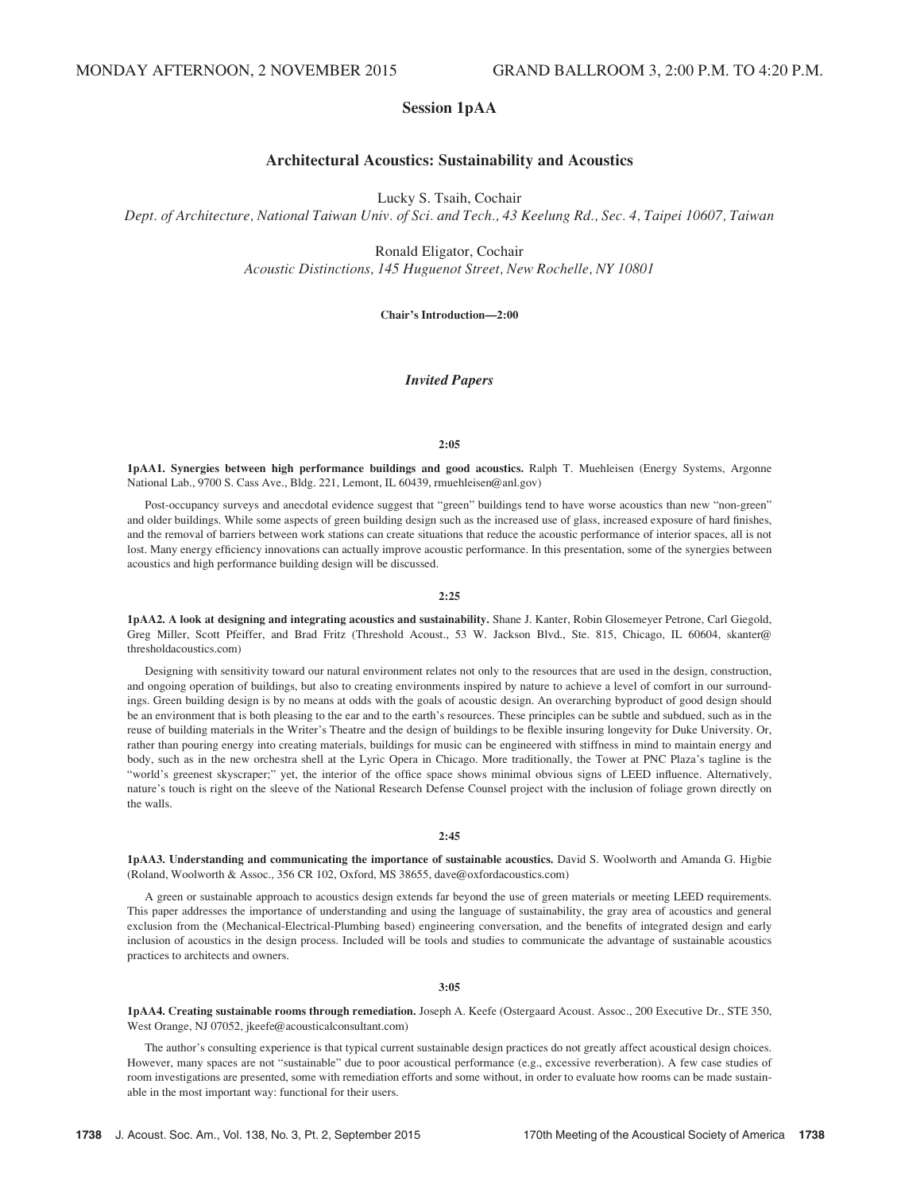## Session 1pAA

## Architectural Acoustics: Sustainability and Acoustics

Lucky S. Tsaih, Cochair

Dept. of Architecture, National Taiwan Univ. of Sci. and Tech., 43 Keelung Rd., Sec. 4, Taipei 10607, Taiwan

Ronald Eligator, Cochair Acoustic Distinctions, 145 Huguenot Street, New Rochelle, NY 10801

Chair's Introduction—2:00

#### Invited Papers

#### $2:05$

1pAA1. Synergies between high performance buildings and good acoustics. Ralph T. Muehleisen (Energy Systems, Argonne National Lab., 9700 S. Cass Ave., Bldg. 221, Lemont, IL 60439, rmuehleisen@anl.gov)

Post-occupancy surveys and anecdotal evidence suggest that "green" buildings tend to have worse acoustics than new "non-green" and older buildings. While some aspects of green building design such as the increased use of glass, increased exposure of hard finishes, and the removal of barriers between work stations can create situations that reduce the acoustic performance of interior spaces, all is not lost. Many energy efficiency innovations can actually improve acoustic performance. In this presentation, some of the synergies between acoustics and high performance building design will be discussed.

#### 2:25

1pAA2. A look at designing and integrating acoustics and sustainability. Shane J. Kanter, Robin Glosemeyer Petrone, Carl Giegold, Greg Miller, Scott Pfeiffer, and Brad Fritz (Threshold Acoust., 53 W. Jackson Blvd., Ste. 815, Chicago, IL 60604, skanter@ thresholdacoustics.com)

Designing with sensitivity toward our natural environment relates not only to the resources that are used in the design, construction, and ongoing operation of buildings, but also to creating environments inspired by nature to achieve a level of comfort in our surroundings. Green building design is by no means at odds with the goals of acoustic design. An overarching byproduct of good design should be an environment that is both pleasing to the ear and to the earth's resources. These principles can be subtle and subdued, such as in the reuse of building materials in the Writer's Theatre and the design of buildings to be flexible insuring longevity for Duke University. Or, rather than pouring energy into creating materials, buildings for music can be engineered with stiffness in mind to maintain energy and body, such as in the new orchestra shell at the Lyric Opera in Chicago. More traditionally, the Tower at PNC Plaza's tagline is the "world's greenest skyscraper;" yet, the interior of the office space shows minimal obvious signs of LEED influence. Alternatively, nature's touch is right on the sleeve of the National Research Defense Counsel project with the inclusion of foliage grown directly on the walls.

#### $2:45$

1pAA3. Understanding and communicating the importance of sustainable acoustics. David S. Woolworth and Amanda G. Higbie (Roland, Woolworth & Assoc., 356 CR 102, Oxford, MS 38655, dave@oxfordacoustics.com)

A green or sustainable approach to acoustics design extends far beyond the use of green materials or meeting LEED requirements. This paper addresses the importance of understanding and using the language of sustainability, the gray area of acoustics and general exclusion from the (Mechanical-Electrical-Plumbing based) engineering conversation, and the benefits of integrated design and early inclusion of acoustics in the design process. Included will be tools and studies to communicate the advantage of sustainable acoustics practices to architects and owners.

#### 3:05

1pAA4. Creating sustainable rooms through remediation. Joseph A. Keefe (Ostergaard Acoust. Assoc., 200 Executive Dr., STE 350, West Orange, NJ 07052, jkeefe@acousticalconsultant.com)

The author's consulting experience is that typical current sustainable design practices do not greatly affect acoustical design choices. However, many spaces are not "sustainable" due to poor acoustical performance (e.g., excessive reverberation). A few case studies of room investigations are presented, some with remediation efforts and some without, in order to evaluate how rooms can be made sustainable in the most important way: functional for their users.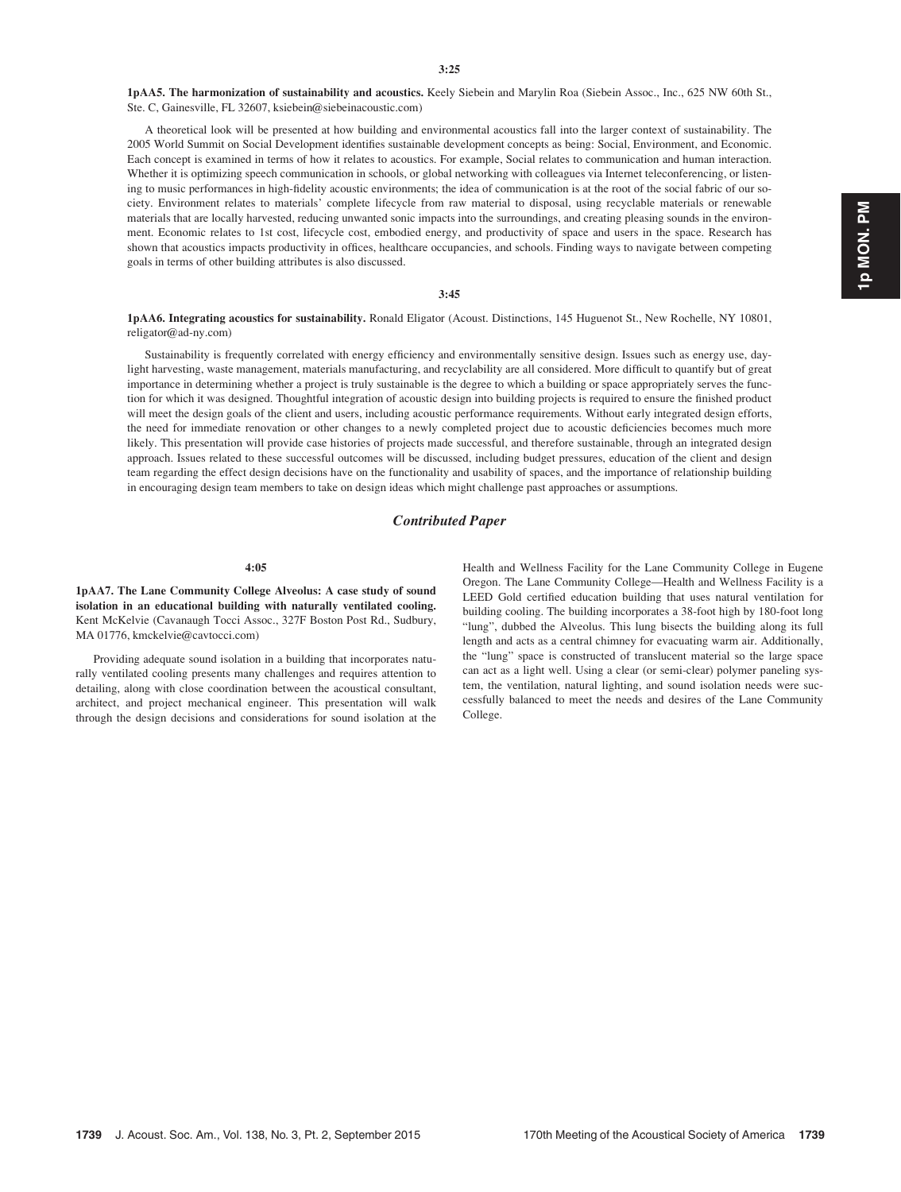1pAA5. The harmonization of sustainability and acoustics. Keely Siebein and Marylin Roa (Siebein Assoc., Inc., 625 NW 60th St., Ste. C, Gainesville, FL 32607, ksiebein@siebeinacoustic.com)

A theoretical look will be presented at how building and environmental acoustics fall into the larger context of sustainability. The 2005 World Summit on Social Development identifies sustainable development concepts as being: Social, Environment, and Economic. Each concept is examined in terms of how it relates to acoustics. For example, Social relates to communication and human interaction. Whether it is optimizing speech communication in schools, or global networking with colleagues via Internet teleconferencing, or listening to music performances in high-fidelity acoustic environments; the idea of communication is at the root of the social fabric of our society. Environment relates to materials' complete lifecycle from raw material to disposal, using recyclable materials or renewable materials that are locally harvested, reducing unwanted sonic impacts into the surroundings, and creating pleasing sounds in the environment. Economic relates to 1st cost, lifecycle cost, embodied energy, and productivity of space and users in the space. Research has shown that acoustics impacts productivity in offices, healthcare occupancies, and schools. Finding ways to navigate between competing goals in terms of other building attributes is also discussed.

#### 3:45

1pAA6. Integrating acoustics for sustainability. Ronald Eligator (Acoust. Distinctions, 145 Huguenot St., New Rochelle, NY 10801, religator@ad-ny.com)

Sustainability is frequently correlated with energy efficiency and environmentally sensitive design. Issues such as energy use, daylight harvesting, waste management, materials manufacturing, and recyclability are all considered. More difficult to quantify but of great importance in determining whether a project is truly sustainable is the degree to which a building or space appropriately serves the function for which it was designed. Thoughtful integration of acoustic design into building projects is required to ensure the finished product will meet the design goals of the client and users, including acoustic performance requirements. Without early integrated design efforts, the need for immediate renovation or other changes to a newly completed project due to acoustic deficiencies becomes much more likely. This presentation will provide case histories of projects made successful, and therefore sustainable, through an integrated design approach. Issues related to these successful outcomes will be discussed, including budget pressures, education of the client and design team regarding the effect design decisions have on the functionality and usability of spaces, and the importance of relationship building in encouraging design team members to take on design ideas which might challenge past approaches or assumptions.

#### Contributed Paper

#### 4:05

1pAA7. The Lane Community College Alveolus: A case study of sound isolation in an educational building with naturally ventilated cooling. Kent McKelvie (Cavanaugh Tocci Assoc., 327F Boston Post Rd., Sudbury, MA 01776, kmckelvie@cavtocci.com)

Providing adequate sound isolation in a building that incorporates naturally ventilated cooling presents many challenges and requires attention to detailing, along with close coordination between the acoustical consultant, architect, and project mechanical engineer. This presentation will walk through the design decisions and considerations for sound isolation at the Health and Wellness Facility for the Lane Community College in Eugene Oregon. The Lane Community College—Health and Wellness Facility is a LEED Gold certified education building that uses natural ventilation for building cooling. The building incorporates a 38-foot high by 180-foot long "lung", dubbed the Alveolus. This lung bisects the building along its full length and acts as a central chimney for evacuating warm air. Additionally, the "lung" space is constructed of translucent material so the large space can act as a light well. Using a clear (or semi-clear) polymer paneling system, the ventilation, natural lighting, and sound isolation needs were successfully balanced to meet the needs and desires of the Lane Community College.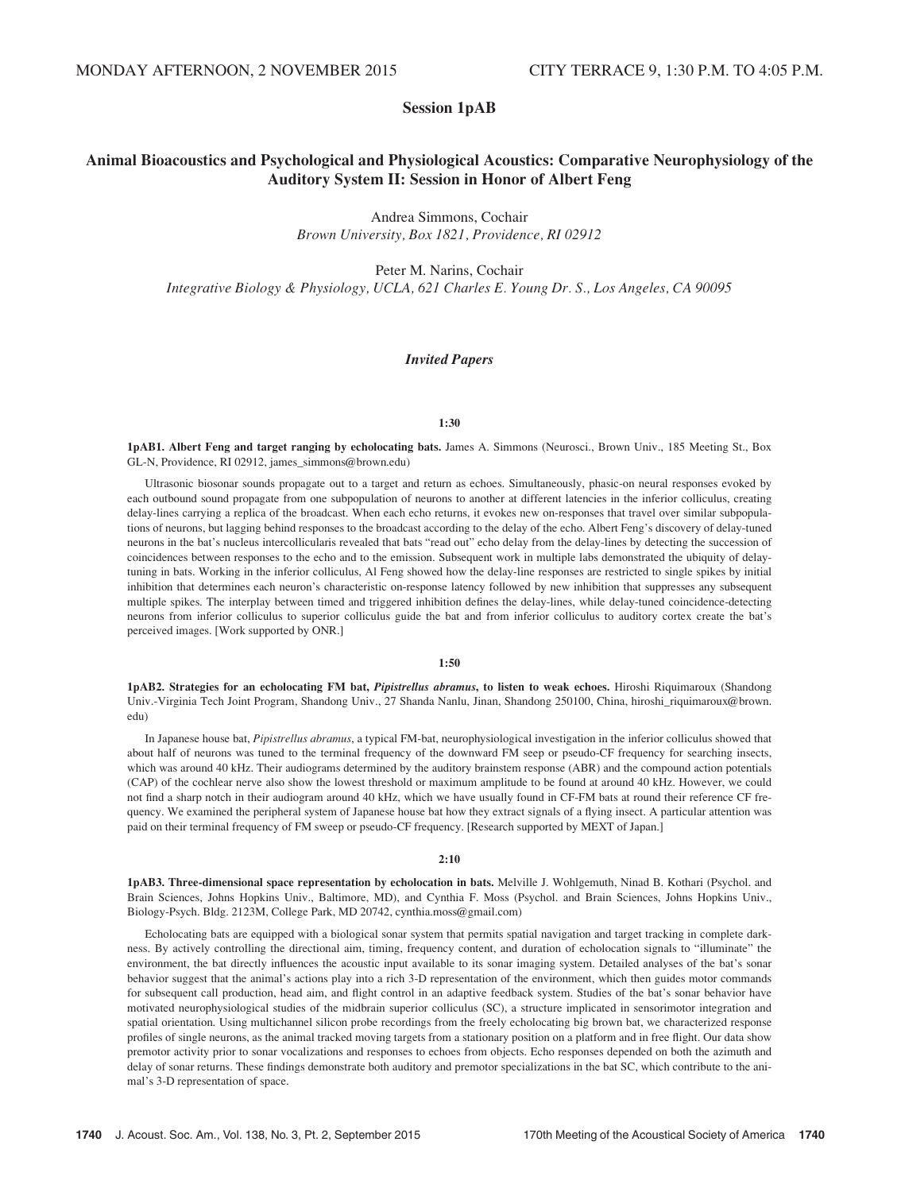## Session 1pAB

## Animal Bioacoustics and Psychological and Physiological Acoustics: Comparative Neurophysiology of the Auditory System II: Session in Honor of Albert Feng

Andrea Simmons, Cochair Brown University, Box 1821, Providence, RI 02912

Peter M. Narins, Cochair Integrative Biology & Physiology, UCLA, 621 Charles E. Young Dr. S., Los Angeles, CA 90095

#### Invited Papers

#### 1:30

1pAB1. Albert Feng and target ranging by echolocating bats. James A. Simmons (Neurosci., Brown Univ., 185 Meeting St., Box GL-N, Providence, RI 02912, james\_simmons@brown.edu)

Ultrasonic biosonar sounds propagate out to a target and return as echoes. Simultaneously, phasic-on neural responses evoked by each outbound sound propagate from one subpopulation of neurons to another at different latencies in the inferior colliculus, creating delay-lines carrying a replica of the broadcast. When each echo returns, it evokes new on-responses that travel over similar subpopulations of neurons, but lagging behind responses to the broadcast according to the delay of the echo. Albert Feng's discovery of delay-tuned neurons in the bat's nucleus intercollicularis revealed that bats "read out" echo delay from the delay-lines by detecting the succession of coincidences between responses to the echo and to the emission. Subsequent work in multiple labs demonstrated the ubiquity of delaytuning in bats. Working in the inferior colliculus, Al Feng showed how the delay-line responses are restricted to single spikes by initial inhibition that determines each neuron's characteristic on-response latency followed by new inhibition that suppresses any subsequent multiple spikes. The interplay between timed and triggered inhibition defines the delay-lines, while delay-tuned coincidence-detecting neurons from inferior colliculus to superior colliculus guide the bat and from inferior colliculus to auditory cortex create the bat's perceived images. [Work supported by ONR.]

#### 1:50

1pAB2. Strategies for an echolocating FM bat, Pipistrellus abramus, to listen to weak echoes. Hiroshi Riquimaroux (Shandong Univ.-Virginia Tech Joint Program, Shandong Univ., 27 Shanda Nanlu, Jinan, Shandong 250100, China, hiroshi\_riquimaroux@brown. edu)

In Japanese house bat, Pipistrellus abramus, a typical FM-bat, neurophysiological investigation in the inferior colliculus showed that about half of neurons was tuned to the terminal frequency of the downward FM seep or pseudo-CF frequency for searching insects, which was around 40 kHz. Their audiograms determined by the auditory brainstem response (ABR) and the compound action potentials (CAP) of the cochlear nerve also show the lowest threshold or maximum amplitude to be found at around 40 kHz. However, we could not find a sharp notch in their audiogram around 40 kHz, which we have usually found in CF-FM bats at round their reference CF frequency. We examined the peripheral system of Japanese house bat how they extract signals of a flying insect. A particular attention was paid on their terminal frequency of FM sweep or pseudo-CF frequency. [Research supported by MEXT of Japan.]

#### 2:10

1pAB3. Three-dimensional space representation by echolocation in bats. Melville J. Wohlgemuth, Ninad B. Kothari (Psychol. and Brain Sciences, Johns Hopkins Univ., Baltimore, MD), and Cynthia F. Moss (Psychol. and Brain Sciences, Johns Hopkins Univ., Biology-Psych. Bldg. 2123M, College Park, MD 20742, cynthia.moss@gmail.com)

Echolocating bats are equipped with a biological sonar system that permits spatial navigation and target tracking in complete darkness. By actively controlling the directional aim, timing, frequency content, and duration of echolocation signals to "illuminate" the environment, the bat directly influences the acoustic input available to its sonar imaging system. Detailed analyses of the bat's sonar behavior suggest that the animal's actions play into a rich 3-D representation of the environment, which then guides motor commands for subsequent call production, head aim, and flight control in an adaptive feedback system. Studies of the bat's sonar behavior have motivated neurophysiological studies of the midbrain superior colliculus (SC), a structure implicated in sensorimotor integration and spatial orientation. Using multichannel silicon probe recordings from the freely echolocating big brown bat, we characterized response profiles of single neurons, as the animal tracked moving targets from a stationary position on a platform and in free flight. Our data show premotor activity prior to sonar vocalizations and responses to echoes from objects. Echo responses depended on both the azimuth and delay of sonar returns. These findings demonstrate both auditory and premotor specializations in the bat SC, which contribute to the animal's 3-D representation of space.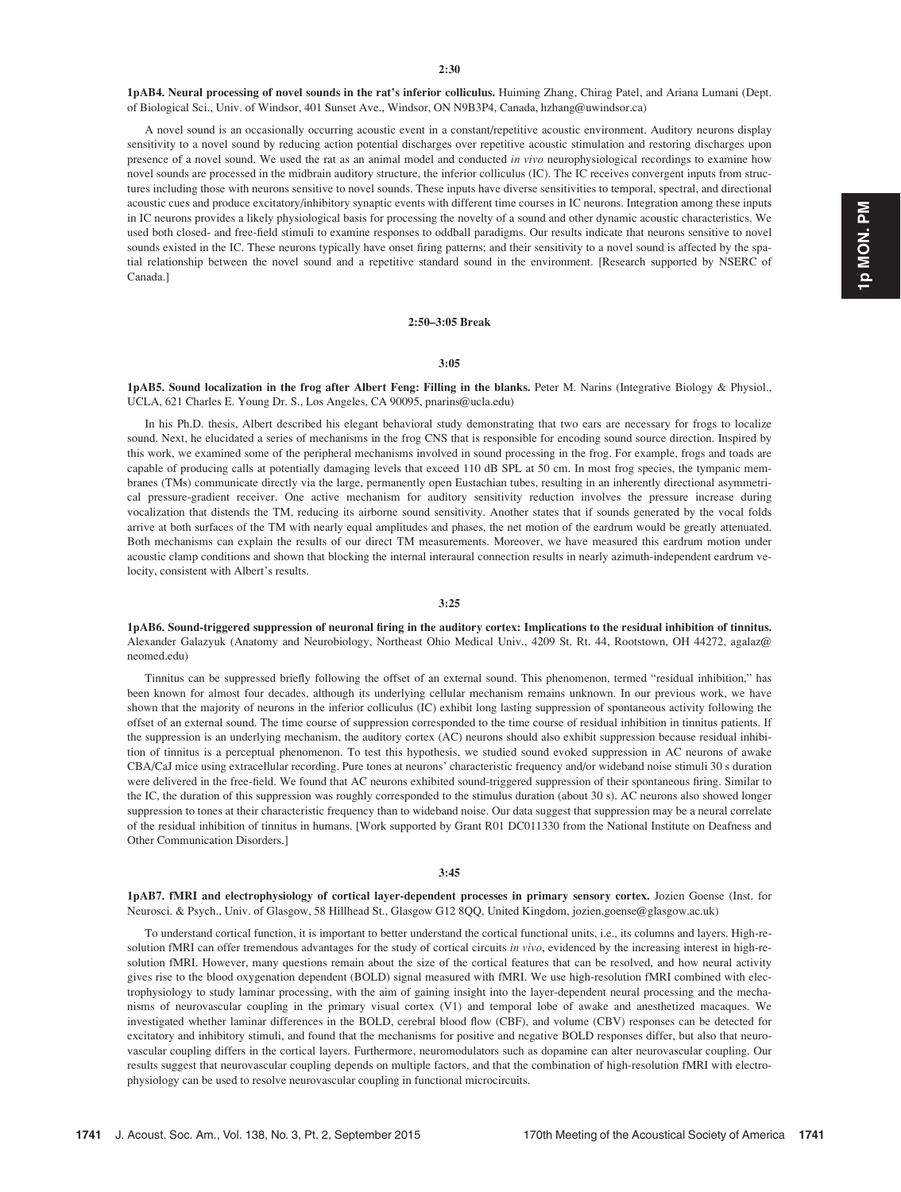1pAB4. Neural processing of novel sounds in the rat's inferior colliculus. Huiming Zhang, Chirag Patel, and Ariana Lumani (Dept. of Biological Sci., Univ. of Windsor, 401 Sunset Ave., Windsor, ON N9B3P4, Canada, hzhang@uwindsor.ca)

A novel sound is an occasionally occurring acoustic event in a constant/repetitive acoustic environment. Auditory neurons display sensitivity to a novel sound by reducing action potential discharges over repetitive acoustic stimulation and restoring discharges upon presence of a novel sound. We used the rat as an animal model and conducted in vivo neurophysiological recordings to examine how novel sounds are processed in the midbrain auditory structure, the inferior colliculus (IC). The IC receives convergent inputs from structures including those with neurons sensitive to novel sounds. These inputs have diverse sensitivities to temporal, spectral, and directional acoustic cues and produce excitatory/inhibitory synaptic events with different time courses in IC neurons. Integration among these inputs in IC neurons provides a likely physiological basis for processing the novelty of a sound and other dynamic acoustic characteristics. We used both closed- and free-field stimuli to examine responses to oddball paradigms. Our results indicate that neurons sensitive to novel sounds existed in the IC. These neurons typically have onset firing patterns; and their sensitivity to a novel sound is affected by the spatial relationship between the novel sound and a repetitive standard sound in the environment. [Research supported by NSERC of Canada.]

#### 2:50–3:05 Break

#### 3:05

1pAB5. Sound localization in the frog after Albert Feng: Filling in the blanks. Peter M. Narins (Integrative Biology & Physiol., UCLA, 621 Charles E. Young Dr. S., Los Angeles, CA 90095, pnarins@ucla.edu)

In his Ph.D. thesis, Albert described his elegant behavioral study demonstrating that two ears are necessary for frogs to localize sound. Next, he elucidated a series of mechanisms in the frog CNS that is responsible for encoding sound source direction. Inspired by this work, we examined some of the peripheral mechanisms involved in sound processing in the frog. For example, frogs and toads are capable of producing calls at potentially damaging levels that exceed 110 dB SPL at 50 cm. In most frog species, the tympanic membranes (TMs) communicate directly via the large, permanently open Eustachian tubes, resulting in an inherently directional asymmetrical pressure-gradient receiver. One active mechanism for auditory sensitivity reduction involves the pressure increase during vocalization that distends the TM, reducing its airborne sound sensitivity. Another states that if sounds generated by the vocal folds arrive at both surfaces of the TM with nearly equal amplitudes and phases, the net motion of the eardrum would be greatly attenuated. Both mechanisms can explain the results of our direct TM measurements. Moreover, we have measured this eardrum motion under acoustic clamp conditions and shown that blocking the internal interaural connection results in nearly azimuth-independent eardrum velocity, consistent with Albert's results.

#### 3:25

1pAB6. Sound-triggered suppression of neuronal firing in the auditory cortex: Implications to the residual inhibition of tinnitus. Alexander Galazyuk (Anatomy and Neurobiology, Northeast Ohio Medical Univ., 4209 St. Rt. 44, Rootstown, OH 44272, agalaz@ neomed.edu)

Tinnitus can be suppressed briefly following the offset of an external sound. This phenomenon, termed "residual inhibition," has been known for almost four decades, although its underlying cellular mechanism remains unknown. In our previous work, we have shown that the majority of neurons in the inferior colliculus (IC) exhibit long lasting suppression of spontaneous activity following the offset of an external sound. The time course of suppression corresponded to the time course of residual inhibition in tinnitus patients. If the suppression is an underlying mechanism, the auditory cortex (AC) neurons should also exhibit suppression because residual inhibition of tinnitus is a perceptual phenomenon. To test this hypothesis, we studied sound evoked suppression in AC neurons of awake CBA/CaJ mice using extracellular recording. Pure tones at neurons' characteristic frequency and/or wideband noise stimuli 30 s duration were delivered in the free-field. We found that AC neurons exhibited sound-triggered suppression of their spontaneous firing. Similar to the IC, the duration of this suppression was roughly corresponded to the stimulus duration (about 30 s). AC neurons also showed longer suppression to tones at their characteristic frequency than to wideband noise. Our data suggest that suppression may be a neural correlate of the residual inhibition of tinnitus in humans. [Work supported by Grant R01 DC011330 from the National Institute on Deafness and Other Communication Disorders.]

#### 3:45

1pAB7. fMRI and electrophysiology of cortical layer-dependent processes in primary sensory cortex. Jozien Goense (Inst. for Neurosci. & Psych., Univ. of Glasgow, 58 Hillhead St., Glasgow G12 8QQ, United Kingdom, jozien.goense@glasgow.ac.uk)

To understand cortical function, it is important to better understand the cortical functional units, i.e., its columns and layers. High-resolution fMRI can offer tremendous advantages for the study of cortical circuits in vivo, evidenced by the increasing interest in high-resolution fMRI. However, many questions remain about the size of the cortical features that can be resolved, and how neural activity gives rise to the blood oxygenation dependent (BOLD) signal measured with fMRI. We use high-resolution fMRI combined with electrophysiology to study laminar processing, with the aim of gaining insight into the layer-dependent neural processing and the mechanisms of neurovascular coupling in the primary visual cortex (V1) and temporal lobe of awake and anesthetized macaques. We investigated whether laminar differences in the BOLD, cerebral blood flow (CBF), and volume (CBV) responses can be detected for excitatory and inhibitory stimuli, and found that the mechanisms for positive and negative BOLD responses differ, but also that neurovascular coupling differs in the cortical layers. Furthermore, neuromodulators such as dopamine can alter neurovascular coupling. Our results suggest that neurovascular coupling depends on multiple factors, and that the combination of high-resolution fMRI with electrophysiology can be used to resolve neurovascular coupling in functional microcircuits.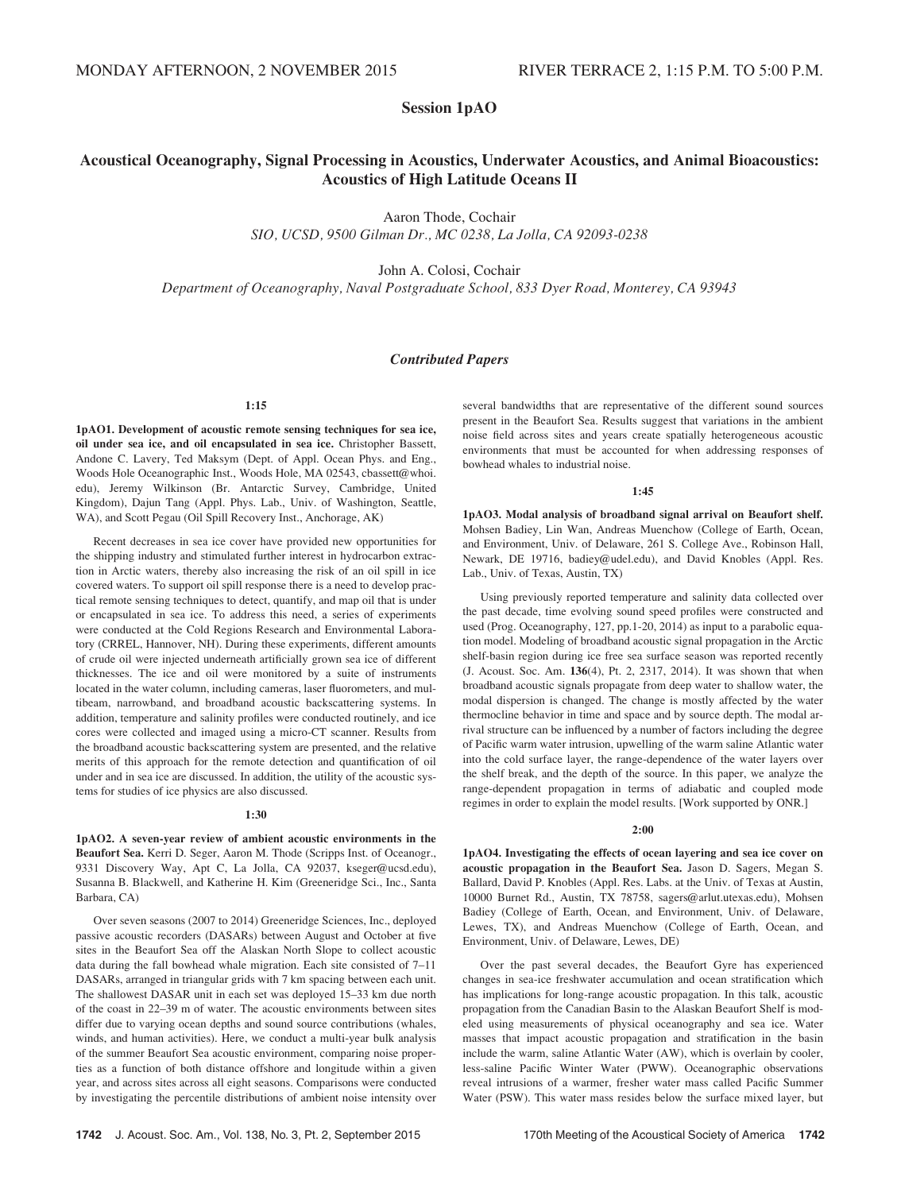## Session 1pAO

## Acoustical Oceanography, Signal Processing in Acoustics, Underwater Acoustics, and Animal Bioacoustics: Acoustics of High Latitude Oceans II

Aaron Thode, Cochair

SIO, UCSD, 9500 Gilman Dr., MC 0238, La Jolla, CA 92093-0238

John A. Colosi, Cochair

Department of Oceanography, Naval Postgraduate School, 833 Dyer Road, Monterey, CA 93943

## Contributed Papers

### 1:15

1pAO1. Development of acoustic remote sensing techniques for sea ice, oil under sea ice, and oil encapsulated in sea ice. Christopher Bassett, Andone C. Lavery, Ted Maksym (Dept. of Appl. Ocean Phys. and Eng., Woods Hole Oceanographic Inst., Woods Hole, MA 02543, cbassett@whoi. edu), Jeremy Wilkinson (Br. Antarctic Survey, Cambridge, United Kingdom), Dajun Tang (Appl. Phys. Lab., Univ. of Washington, Seattle, WA), and Scott Pegau (Oil Spill Recovery Inst., Anchorage, AK)

Recent decreases in sea ice cover have provided new opportunities for the shipping industry and stimulated further interest in hydrocarbon extraction in Arctic waters, thereby also increasing the risk of an oil spill in ice covered waters. To support oil spill response there is a need to develop practical remote sensing techniques to detect, quantify, and map oil that is under or encapsulated in sea ice. To address this need, a series of experiments were conducted at the Cold Regions Research and Environmental Laboratory (CRREL, Hannover, NH). During these experiments, different amounts of crude oil were injected underneath artificially grown sea ice of different thicknesses. The ice and oil were monitored by a suite of instruments located in the water column, including cameras, laser fluorometers, and multibeam, narrowband, and broadband acoustic backscattering systems. In addition, temperature and salinity profiles were conducted routinely, and ice cores were collected and imaged using a micro-CT scanner. Results from the broadband acoustic backscattering system are presented, and the relative merits of this approach for the remote detection and quantification of oil under and in sea ice are discussed. In addition, the utility of the acoustic systems for studies of ice physics are also discussed.

#### 1:30

1pAO2. A seven-year review of ambient acoustic environments in the Beaufort Sea. Kerri D. Seger, Aaron M. Thode (Scripps Inst. of Oceanogr., 9331 Discovery Way, Apt C, La Jolla, CA 92037, kseger@ucsd.edu), Susanna B. Blackwell, and Katherine H. Kim (Greeneridge Sci., Inc., Santa Barbara, CA)

Over seven seasons (2007 to 2014) Greeneridge Sciences, Inc., deployed passive acoustic recorders (DASARs) between August and October at five sites in the Beaufort Sea off the Alaskan North Slope to collect acoustic data during the fall bowhead whale migration. Each site consisted of 7–11 DASARs, arranged in triangular grids with 7 km spacing between each unit. The shallowest DASAR unit in each set was deployed 15–33 km due north of the coast in 22–39 m of water. The acoustic environments between sites differ due to varying ocean depths and sound source contributions (whales, winds, and human activities). Here, we conduct a multi-year bulk analysis of the summer Beaufort Sea acoustic environment, comparing noise properties as a function of both distance offshore and longitude within a given year, and across sites across all eight seasons. Comparisons were conducted by investigating the percentile distributions of ambient noise intensity over several bandwidths that are representative of the different sound sources present in the Beaufort Sea. Results suggest that variations in the ambient noise field across sites and years create spatially heterogeneous acoustic environments that must be accounted for when addressing responses of bowhead whales to industrial noise.

#### $1.45$

1pAO3. Modal analysis of broadband signal arrival on Beaufort shelf. Mohsen Badiey, Lin Wan, Andreas Muenchow (College of Earth, Ocean, and Environment, Univ. of Delaware, 261 S. College Ave., Robinson Hall, Newark, DE 19716, badiey@udel.edu), and David Knobles (Appl. Res. Lab., Univ. of Texas, Austin, TX)

Using previously reported temperature and salinity data collected over the past decade, time evolving sound speed profiles were constructed and used (Prog. Oceanography, 127, pp.1-20, 2014) as input to a parabolic equation model. Modeling of broadband acoustic signal propagation in the Arctic shelf-basin region during ice free sea surface season was reported recently (J. Acoust. Soc. Am. 136(4), Pt. 2, 2317, 2014). It was shown that when broadband acoustic signals propagate from deep water to shallow water, the modal dispersion is changed. The change is mostly affected by the water thermocline behavior in time and space and by source depth. The modal arrival structure can be influenced by a number of factors including the degree of Pacific warm water intrusion, upwelling of the warm saline Atlantic water into the cold surface layer, the range-dependence of the water layers over the shelf break, and the depth of the source. In this paper, we analyze the range-dependent propagation in terms of adiabatic and coupled mode regimes in order to explain the model results. [Work supported by ONR.]

#### 2:00

1pAO4. Investigating the effects of ocean layering and sea ice cover on acoustic propagation in the Beaufort Sea. Jason D. Sagers, Megan S. Ballard, David P. Knobles (Appl. Res. Labs. at the Univ. of Texas at Austin, 10000 Burnet Rd., Austin, TX 78758, sagers@arlut.utexas.edu), Mohsen Badiey (College of Earth, Ocean, and Environment, Univ. of Delaware, Lewes, TX), and Andreas Muenchow (College of Earth, Ocean, and Environment, Univ. of Delaware, Lewes, DE)

Over the past several decades, the Beaufort Gyre has experienced changes in sea-ice freshwater accumulation and ocean stratification which has implications for long-range acoustic propagation. In this talk, acoustic propagation from the Canadian Basin to the Alaskan Beaufort Shelf is modeled using measurements of physical oceanography and sea ice. Water masses that impact acoustic propagation and stratification in the basin include the warm, saline Atlantic Water (AW), which is overlain by cooler, less-saline Pacific Winter Water (PWW). Oceanographic observations reveal intrusions of a warmer, fresher water mass called Pacific Summer Water (PSW). This water mass resides below the surface mixed layer, but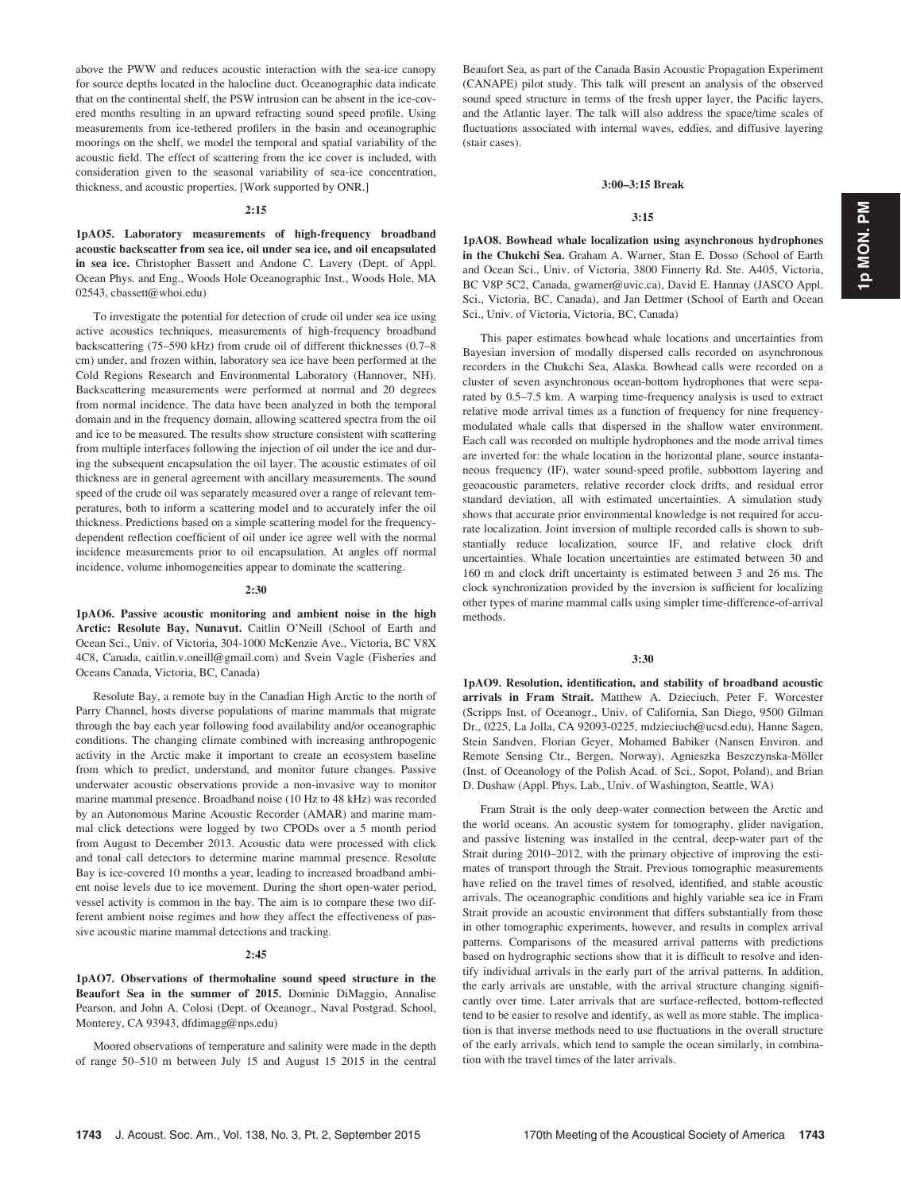1p MON. PM 1p MON. PM

above the PWW and reduces acoustic interaction with the sea-ice canopy for source depths located in the halocline duct. Oceanographic data indicate that on the continental shelf, the PSW intrusion can be absent in the ice-covered months resulting in an upward refracting sound speed profile. Using measurements from ice-tethered profilers in the basin and oceanographic moorings on the shelf, we model the temporal and spatial variability of the acoustic field. The effect of scattering from the ice cover is included, with consideration given to the seasonal variability of sea-ice concentration, thickness, and acoustic properties. [Work supported by ONR.]

#### 2:15

1pAO5. Laboratory measurements of high-frequency broadband acoustic backscatter from sea ice, oil under sea ice, and oil encapsulated in sea ice. Christopher Bassett and Andone C. Lavery (Dept. of Appl. Ocean Phys. and Eng., Woods Hole Oceanographic Inst., Woods Hole, MA 02543, cbassett@whoi.edu)

To investigate the potential for detection of crude oil under sea ice using active acoustics techniques, measurements of high-frequency broadband backscattering (75–590 kHz) from crude oil of different thicknesses (0.7–8 cm) under, and frozen within, laboratory sea ice have been performed at the Cold Regions Research and Environmental Laboratory (Hannover, NH). Backscattering measurements were performed at normal and 20 degrees from normal incidence. The data have been analyzed in both the temporal domain and in the frequency domain, allowing scattered spectra from the oil and ice to be measured. The results show structure consistent with scattering from multiple interfaces following the injection of oil under the ice and during the subsequent encapsulation the oil layer. The acoustic estimates of oil thickness are in general agreement with ancillary measurements. The sound speed of the crude oil was separately measured over a range of relevant temperatures, both to inform a scattering model and to accurately infer the oil thickness. Predictions based on a simple scattering model for the frequencydependent reflection coefficient of oil under ice agree well with the normal incidence measurements prior to oil encapsulation. At angles off normal incidence, volume inhomogeneities appear to dominate the scattering.

#### 2:30

1pAO6. Passive acoustic monitoring and ambient noise in the high Arctic: Resolute Bay, Nunavut. Caitlin O'Neill (School of Earth and Ocean Sci., Univ. of Victoria, 304-1000 McKenzie Ave., Victoria, BC V8X 4C8, Canada, caitlin.v.oneill@gmail.com) and Svein Vagle (Fisheries and Oceans Canada, Victoria, BC, Canada)

Resolute Bay, a remote bay in the Canadian High Arctic to the north of Parry Channel, hosts diverse populations of marine mammals that migrate through the bay each year following food availability and/or oceanographic conditions. The changing climate combined with increasing anthropogenic activity in the Arctic make it important to create an ecosystem baseline from which to predict, understand, and monitor future changes. Passive underwater acoustic observations provide a non-invasive way to monitor marine mammal presence. Broadband noise (10 Hz to 48 kHz) was recorded by an Autonomous Marine Acoustic Recorder (AMAR) and marine mammal click detections were logged by two CPODs over a 5 month period from August to December 2013. Acoustic data were processed with click and tonal call detectors to determine marine mammal presence. Resolute Bay is ice-covered 10 months a year, leading to increased broadband ambient noise levels due to ice movement. During the short open-water period, vessel activity is common in the bay. The aim is to compare these two different ambient noise regimes and how they affect the effectiveness of passive acoustic marine mammal detections and tracking.

#### 2:45

1pAO7. Observations of thermohaline sound speed structure in the Beaufort Sea in the summer of 2015. Dominic DiMaggio, Annalise Pearson, and John A. Colosi (Dept. of Oceanogr., Naval Postgrad. School, Monterey, CA 93943, dfdimagg@nps.edu)

Moored observations of temperature and salinity were made in the depth of range 50–510 m between July 15 and August 15 2015 in the central Beaufort Sea, as part of the Canada Basin Acoustic Propagation Experiment (CANAPE) pilot study. This talk will present an analysis of the observed sound speed structure in terms of the fresh upper layer, the Pacific layers, and the Atlantic layer. The talk will also address the space/time scales of fluctuations associated with internal waves, eddies, and diffusive layering (stair cases).

#### 3:00–3:15 Break

#### 3:15

1pAO8. Bowhead whale localization using asynchronous hydrophones in the Chukchi Sea. Graham A. Warner, Stan E. Dosso (School of Earth and Ocean Sci., Univ. of Victoria, 3800 Finnerty Rd. Ste. A405, Victoria, BC V8P 5C2, Canada, gwarner@uvic.ca), David E. Hannay (JASCO Appl. Sci., Victoria, BC, Canada), and Jan Dettmer (School of Earth and Ocean Sci., Univ. of Victoria, Victoria, BC, Canada)

This paper estimates bowhead whale locations and uncertainties from Bayesian inversion of modally dispersed calls recorded on asynchronous recorders in the Chukchi Sea, Alaska. Bowhead calls were recorded on a cluster of seven asynchronous ocean-bottom hydrophones that were separated by 0.5–7.5 km. A warping time-frequency analysis is used to extract relative mode arrival times as a function of frequency for nine frequencymodulated whale calls that dispersed in the shallow water environment. Each call was recorded on multiple hydrophones and the mode arrival times are inverted for: the whale location in the horizontal plane, source instantaneous frequency (IF), water sound-speed profile, subbottom layering and geoacoustic parameters, relative recorder clock drifts, and residual error standard deviation, all with estimated uncertainties. A simulation study shows that accurate prior environmental knowledge is not required for accurate localization. Joint inversion of multiple recorded calls is shown to substantially reduce localization, source IF, and relative clock drift uncertainties. Whale location uncertainties are estimated between 30 and 160 m and clock drift uncertainty is estimated between 3 and 26 ms. The clock synchronization provided by the inversion is sufficient for localizing other types of marine mammal calls using simpler time-difference-of-arrival methods.

#### 3:30

1pAO9. Resolution, identification, and stability of broadband acoustic arrivals in Fram Strait. Matthew A. Dzieciuch, Peter F. Worcester (Scripps Inst. of Oceanogr., Univ. of California, San Diego, 9500 Gilman Dr., 0225, La Jolla, CA 92093-0225, mdzieciuch@ucsd.edu), Hanne Sagen, Stein Sandven, Florian Geyer, Mohamed Babiker (Nansen Environ. and Remote Sensing Ctr., Bergen, Norway), Agnieszka Beszczynska-Möller (Inst. of Oceanology of the Polish Acad. of Sci., Sopot, Poland), and Brian D. Dushaw (Appl. Phys. Lab., Univ. of Washington, Seattle, WA)

Fram Strait is the only deep-water connection between the Arctic and the world oceans. An acoustic system for tomography, glider navigation, and passive listening was installed in the central, deep-water part of the Strait during 2010–2012, with the primary objective of improving the estimates of transport through the Strait. Previous tomographic measurements have relied on the travel times of resolved, identified, and stable acoustic arrivals. The oceanographic conditions and highly variable sea ice in Fram Strait provide an acoustic environment that differs substantially from those in other tomographic experiments, however, and results in complex arrival patterns. Comparisons of the measured arrival patterns with predictions based on hydrographic sections show that it is difficult to resolve and identify individual arrivals in the early part of the arrival patterns. In addition, the early arrivals are unstable, with the arrival structure changing significantly over time. Later arrivals that are surface-reflected, bottom-reflected tend to be easier to resolve and identify, as well as more stable. The implication is that inverse methods need to use fluctuations in the overall structure of the early arrivals, which tend to sample the ocean similarly, in combination with the travel times of the later arrivals.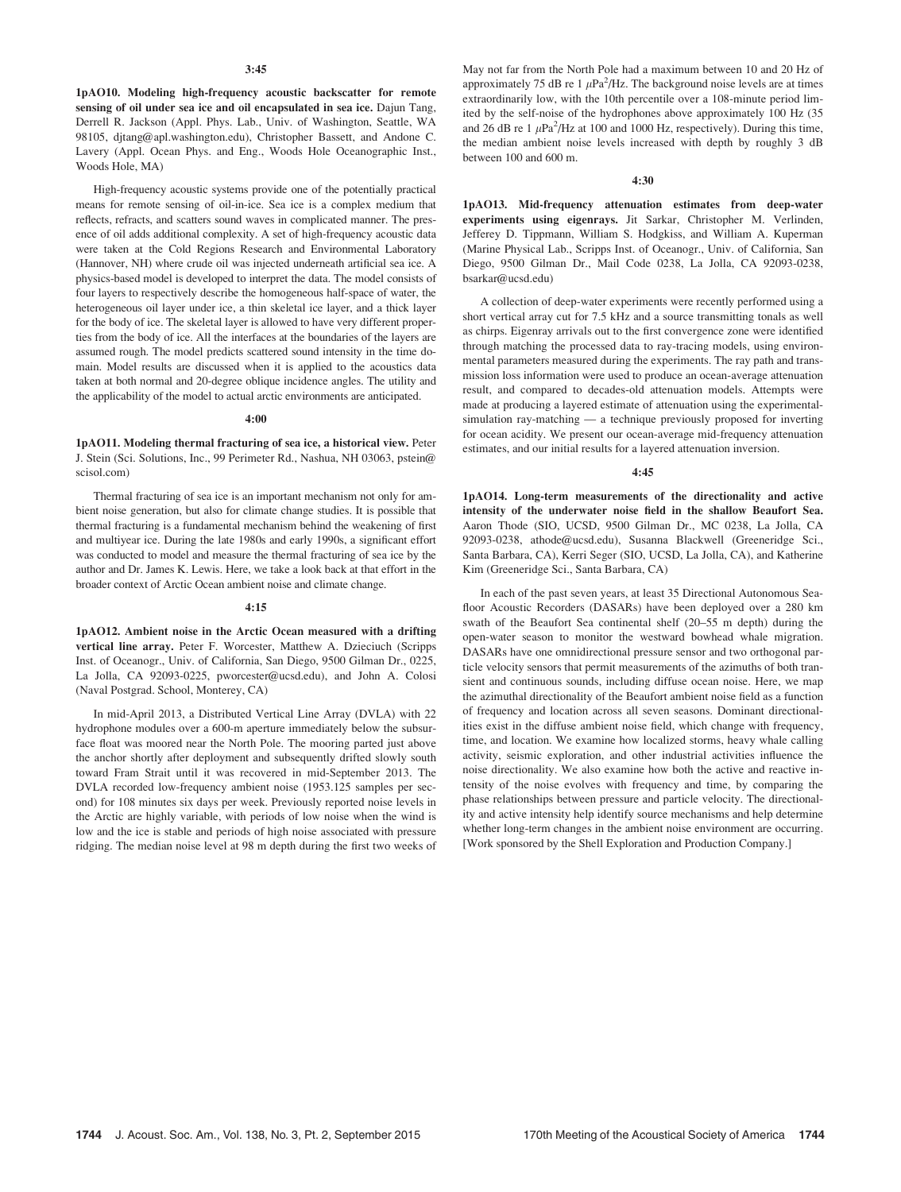#### 3:45

1pAO10. Modeling high-frequency acoustic backscatter for remote sensing of oil under sea ice and oil encapsulated in sea ice. Dajun Tang, Derrell R. Jackson (Appl. Phys. Lab., Univ. of Washington, Seattle, WA 98105, djtang@apl.washington.edu), Christopher Bassett, and Andone C. Lavery (Appl. Ocean Phys. and Eng., Woods Hole Oceanographic Inst., Woods Hole, MA)

High-frequency acoustic systems provide one of the potentially practical means for remote sensing of oil-in-ice. Sea ice is a complex medium that reflects, refracts, and scatters sound waves in complicated manner. The presence of oil adds additional complexity. A set of high-frequency acoustic data were taken at the Cold Regions Research and Environmental Laboratory (Hannover, NH) where crude oil was injected underneath artificial sea ice. A physics-based model is developed to interpret the data. The model consists of four layers to respectively describe the homogeneous half-space of water, the heterogeneous oil layer under ice, a thin skeletal ice layer, and a thick layer for the body of ice. The skeletal layer is allowed to have very different properties from the body of ice. All the interfaces at the boundaries of the layers are assumed rough. The model predicts scattered sound intensity in the time domain. Model results are discussed when it is applied to the acoustics data taken at both normal and 20-degree oblique incidence angles. The utility and the applicability of the model to actual arctic environments are anticipated.

#### 4:00

1pAO11. Modeling thermal fracturing of sea ice, a historical view. Peter J. Stein (Sci. Solutions, Inc., 99 Perimeter Rd., Nashua, NH 03063, pstein@ scisol.com)

Thermal fracturing of sea ice is an important mechanism not only for ambient noise generation, but also for climate change studies. It is possible that thermal fracturing is a fundamental mechanism behind the weakening of first and multiyear ice. During the late 1980s and early 1990s, a significant effort was conducted to model and measure the thermal fracturing of sea ice by the author and Dr. James K. Lewis. Here, we take a look back at that effort in the broader context of Arctic Ocean ambient noise and climate change.

#### 4:15

1pAO12. Ambient noise in the Arctic Ocean measured with a drifting vertical line array. Peter F. Worcester, Matthew A. Dzieciuch (Scripps Inst. of Oceanogr., Univ. of California, San Diego, 9500 Gilman Dr., 0225, La Jolla, CA 92093-0225, pworcester@ucsd.edu), and John A. Colosi (Naval Postgrad. School, Monterey, CA)

In mid-April 2013, a Distributed Vertical Line Array (DVLA) with 22 hydrophone modules over a 600-m aperture immediately below the subsurface float was moored near the North Pole. The mooring parted just above the anchor shortly after deployment and subsequently drifted slowly south toward Fram Strait until it was recovered in mid-September 2013. The DVLA recorded low-frequency ambient noise (1953.125 samples per second) for 108 minutes six days per week. Previously reported noise levels in the Arctic are highly variable, with periods of low noise when the wind is low and the ice is stable and periods of high noise associated with pressure ridging. The median noise level at 98 m depth during the first two weeks of May not far from the North Pole had a maximum between 10 and 20 Hz of approximately 75 dB re 1  $\mu$ Pa<sup>2</sup>/Hz. The background noise levels are at times extraordinarily low, with the 10th percentile over a 108-minute period limited by the self-noise of the hydrophones above approximately 100 Hz (35 and 26 dB re 1  $\mu$ Pa<sup>2</sup>/Hz at 100 and 1000 Hz, respectively). During this time, the median ambient noise levels increased with depth by roughly 3 dB between 100 and 600 m.

#### 4:30

1pAO13. Mid-frequency attenuation estimates from deep-water experiments using eigenrays. Jit Sarkar, Christopher M. Verlinden, Jefferey D. Tippmann, William S. Hodgkiss, and William A. Kuperman (Marine Physical Lab., Scripps Inst. of Oceanogr., Univ. of California, San Diego, 9500 Gilman Dr., Mail Code 0238, La Jolla, CA 92093-0238, bsarkar@ucsd.edu)

A collection of deep-water experiments were recently performed using a short vertical array cut for 7.5 kHz and a source transmitting tonals as well as chirps. Eigenray arrivals out to the first convergence zone were identified through matching the processed data to ray-tracing models, using environmental parameters measured during the experiments. The ray path and transmission loss information were used to produce an ocean-average attenuation result, and compared to decades-old attenuation models. Attempts were made at producing a layered estimate of attenuation using the experimentalsimulation ray-matching — a technique previously proposed for inverting for ocean acidity. We present our ocean-average mid-frequency attenuation estimates, and our initial results for a layered attenuation inversion.

#### 4:45

1pAO14. Long-term measurements of the directionality and active intensity of the underwater noise field in the shallow Beaufort Sea. Aaron Thode (SIO, UCSD, 9500 Gilman Dr., MC 0238, La Jolla, CA 92093-0238, athode@ucsd.edu), Susanna Blackwell (Greeneridge Sci., Santa Barbara, CA), Kerri Seger (SIO, UCSD, La Jolla, CA), and Katherine Kim (Greeneridge Sci., Santa Barbara, CA)

In each of the past seven years, at least 35 Directional Autonomous Seafloor Acoustic Recorders (DASARs) have been deployed over a 280 km swath of the Beaufort Sea continental shelf (20–55 m depth) during the open-water season to monitor the westward bowhead whale migration. DASARs have one omnidirectional pressure sensor and two orthogonal particle velocity sensors that permit measurements of the azimuths of both transient and continuous sounds, including diffuse ocean noise. Here, we map the azimuthal directionality of the Beaufort ambient noise field as a function of frequency and location across all seven seasons. Dominant directionalities exist in the diffuse ambient noise field, which change with frequency, time, and location. We examine how localized storms, heavy whale calling activity, seismic exploration, and other industrial activities influence the noise directionality. We also examine how both the active and reactive intensity of the noise evolves with frequency and time, by comparing the phase relationships between pressure and particle velocity. The directionality and active intensity help identify source mechanisms and help determine whether long-term changes in the ambient noise environment are occurring. [Work sponsored by the Shell Exploration and Production Company.]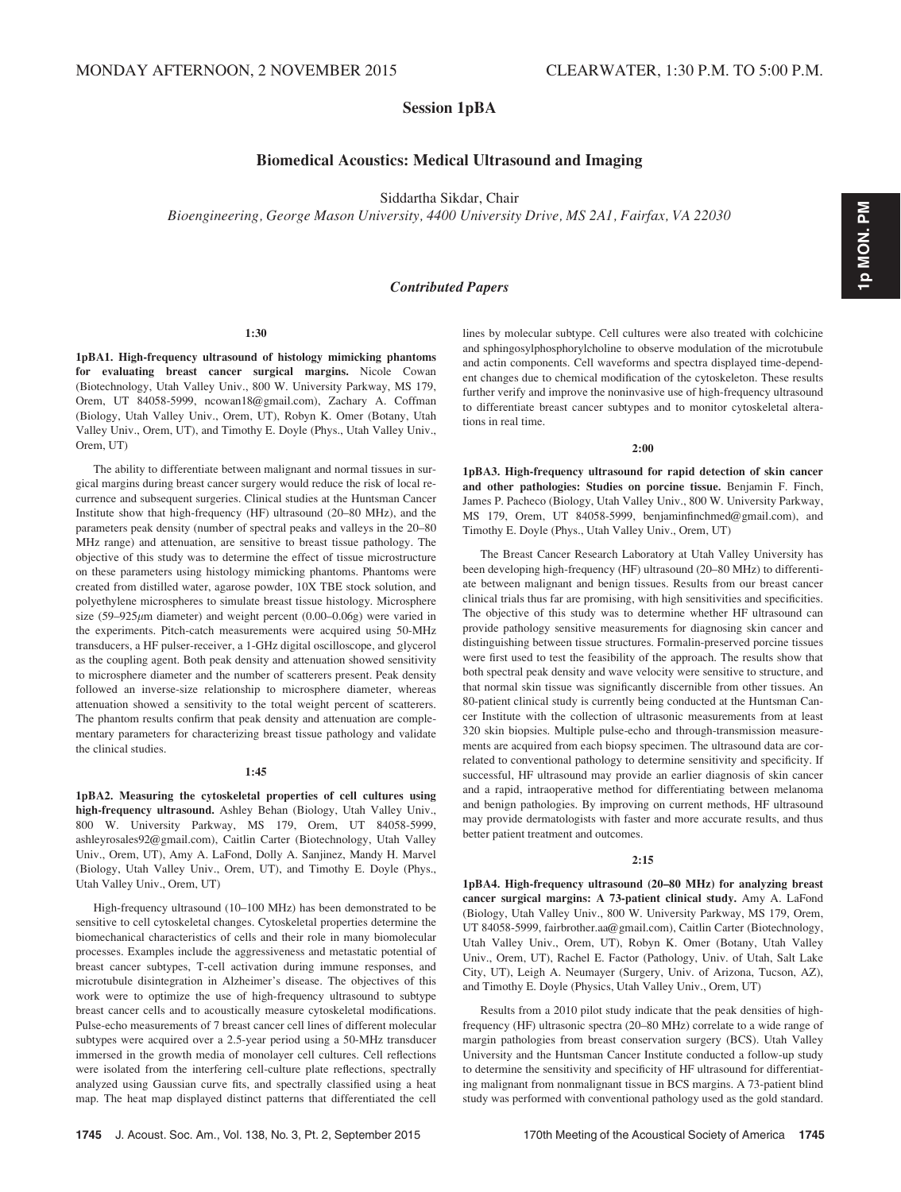## Session 1pBA

## Biomedical Acoustics: Medical Ultrasound and Imaging

Siddartha Sikdar, Chair

Bioengineering, George Mason University, 4400 University Drive, MS 2A1, Fairfax, VA 22030

## Contributed Papers

#### 1:30

1pBA1. High-frequency ultrasound of histology mimicking phantoms for evaluating breast cancer surgical margins. Nicole Cowan (Biotechnology, Utah Valley Univ., 800 W. University Parkway, MS 179, Orem, UT 84058-5999, ncowan18@gmail.com), Zachary A. Coffman (Biology, Utah Valley Univ., Orem, UT), Robyn K. Omer (Botany, Utah Valley Univ., Orem, UT), and Timothy E. Doyle (Phys., Utah Valley Univ., Orem, UT)

The ability to differentiate between malignant and normal tissues in surgical margins during breast cancer surgery would reduce the risk of local recurrence and subsequent surgeries. Clinical studies at the Huntsman Cancer Institute show that high-frequency (HF) ultrasound (20–80 MHz), and the parameters peak density (number of spectral peaks and valleys in the 20–80 MHz range) and attenuation, are sensitive to breast tissue pathology. The objective of this study was to determine the effect of tissue microstructure on these parameters using histology mimicking phantoms. Phantoms were created from distilled water, agarose powder, 10X TBE stock solution, and polyethylene microspheres to simulate breast tissue histology. Microsphere size  $(59-925\mu m$  diameter) and weight percent  $(0.00-0.06g)$  were varied in the experiments. Pitch-catch measurements were acquired using 50-MHz transducers, a HF pulser-receiver, a 1-GHz digital oscilloscope, and glycerol as the coupling agent. Both peak density and attenuation showed sensitivity to microsphere diameter and the number of scatterers present. Peak density followed an inverse-size relationship to microsphere diameter, whereas attenuation showed a sensitivity to the total weight percent of scatterers. The phantom results confirm that peak density and attenuation are complementary parameters for characterizing breast tissue pathology and validate the clinical studies.

#### 1:45

1pBA2. Measuring the cytoskeletal properties of cell cultures using high-frequency ultrasound. Ashley Behan (Biology, Utah Valley Univ., 800 W. University Parkway, MS 179, Orem, UT 84058-5999, ashleyrosales92@gmail.com), Caitlin Carter (Biotechnology, Utah Valley Univ., Orem, UT), Amy A. LaFond, Dolly A. Sanjinez, Mandy H. Marvel (Biology, Utah Valley Univ., Orem, UT), and Timothy E. Doyle (Phys., Utah Valley Univ., Orem, UT)

High-frequency ultrasound (10–100 MHz) has been demonstrated to be sensitive to cell cytoskeletal changes. Cytoskeletal properties determine the biomechanical characteristics of cells and their role in many biomolecular processes. Examples include the aggressiveness and metastatic potential of breast cancer subtypes, T-cell activation during immune responses, and microtubule disintegration in Alzheimer's disease. The objectives of this work were to optimize the use of high-frequency ultrasound to subtype breast cancer cells and to acoustically measure cytoskeletal modifications. Pulse-echo measurements of 7 breast cancer cell lines of different molecular subtypes were acquired over a 2.5-year period using a 50-MHz transducer immersed in the growth media of monolayer cell cultures. Cell reflections were isolated from the interfering cell-culture plate reflections, spectrally analyzed using Gaussian curve fits, and spectrally classified using a heat map. The heat map displayed distinct patterns that differentiated the cell lines by molecular subtype. Cell cultures were also treated with colchicine and sphingosylphosphorylcholine to observe modulation of the microtubule and actin components. Cell waveforms and spectra displayed time-dependent changes due to chemical modification of the cytoskeleton. These results further verify and improve the noninvasive use of high-frequency ultrasound to differentiate breast cancer subtypes and to monitor cytoskeletal alterations in real time.

#### 2:00

1pBA3. High-frequency ultrasound for rapid detection of skin cancer and other pathologies: Studies on porcine tissue. Benjamin F. Finch, James P. Pacheco (Biology, Utah Valley Univ., 800 W. University Parkway, MS 179, Orem, UT 84058-5999, benjaminfinchmed@gmail.com), and Timothy E. Doyle (Phys., Utah Valley Univ., Orem, UT)

The Breast Cancer Research Laboratory at Utah Valley University has been developing high-frequency (HF) ultrasound (20–80 MHz) to differentiate between malignant and benign tissues. Results from our breast cancer clinical trials thus far are promising, with high sensitivities and specificities. The objective of this study was to determine whether HF ultrasound can provide pathology sensitive measurements for diagnosing skin cancer and distinguishing between tissue structures. Formalin-preserved porcine tissues were first used to test the feasibility of the approach. The results show that both spectral peak density and wave velocity were sensitive to structure, and that normal skin tissue was significantly discernible from other tissues. An 80-patient clinical study is currently being conducted at the Huntsman Cancer Institute with the collection of ultrasonic measurements from at least 320 skin biopsies. Multiple pulse-echo and through-transmission measurements are acquired from each biopsy specimen. The ultrasound data are correlated to conventional pathology to determine sensitivity and specificity. If successful, HF ultrasound may provide an earlier diagnosis of skin cancer and a rapid, intraoperative method for differentiating between melanoma and benign pathologies. By improving on current methods, HF ultrasound may provide dermatologists with faster and more accurate results, and thus better patient treatment and outcomes.

#### 2:15

1pBA4. High-frequency ultrasound (20–80 MHz) for analyzing breast cancer surgical margins: A 73-patient clinical study. Amy A. LaFond (Biology, Utah Valley Univ., 800 W. University Parkway, MS 179, Orem, UT 84058-5999, fairbrother.aa@gmail.com), Caitlin Carter (Biotechnology, Utah Valley Univ., Orem, UT), Robyn K. Omer (Botany, Utah Valley Univ., Orem, UT), Rachel E. Factor (Pathology, Univ. of Utah, Salt Lake City, UT), Leigh A. Neumayer (Surgery, Univ. of Arizona, Tucson, AZ), and Timothy E. Doyle (Physics, Utah Valley Univ., Orem, UT)

Results from a 2010 pilot study indicate that the peak densities of highfrequency (HF) ultrasonic spectra (20–80 MHz) correlate to a wide range of margin pathologies from breast conservation surgery (BCS). Utah Valley University and the Huntsman Cancer Institute conducted a follow-up study to determine the sensitivity and specificity of HF ultrasound for differentiating malignant from nonmalignant tissue in BCS margins. A 73-patient blind study was performed with conventional pathology used as the gold standard.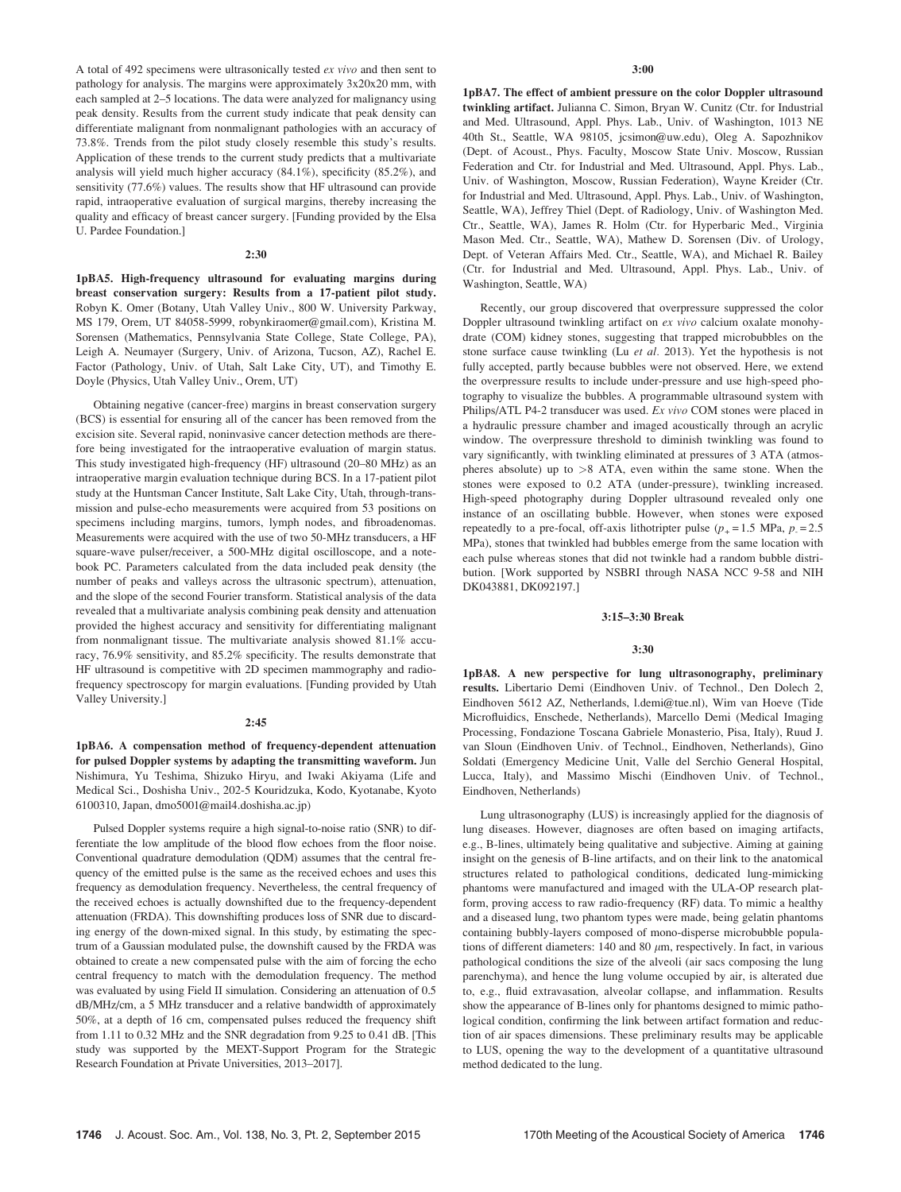A total of 492 specimens were ultrasonically tested ex vivo and then sent to pathology for analysis. The margins were approximately 3x20x20 mm, with each sampled at 2–5 locations. The data were analyzed for malignancy using peak density. Results from the current study indicate that peak density can differentiate malignant from nonmalignant pathologies with an accuracy of 73.8%. Trends from the pilot study closely resemble this study's results. Application of these trends to the current study predicts that a multivariate analysis will yield much higher accuracy (84.1%), specificity (85.2%), and sensitivity (77.6%) values. The results show that HF ultrasound can provide rapid, intraoperative evaluation of surgical margins, thereby increasing the quality and efficacy of breast cancer surgery. [Funding provided by the Elsa U. Pardee Foundation.]

#### 2:30

1pBA5. High-frequency ultrasound for evaluating margins during breast conservation surgery: Results from a 17-patient pilot study. Robyn K. Omer (Botany, Utah Valley Univ., 800 W. University Parkway, MS 179, Orem, UT 84058-5999, robynkiraomer@gmail.com), Kristina M. Sorensen (Mathematics, Pennsylvania State College, State College, PA), Leigh A. Neumayer (Surgery, Univ. of Arizona, Tucson, AZ), Rachel E. Factor (Pathology, Univ. of Utah, Salt Lake City, UT), and Timothy E. Doyle (Physics, Utah Valley Univ., Orem, UT)

Obtaining negative (cancer-free) margins in breast conservation surgery (BCS) is essential for ensuring all of the cancer has been removed from the excision site. Several rapid, noninvasive cancer detection methods are therefore being investigated for the intraoperative evaluation of margin status. This study investigated high-frequency (HF) ultrasound (20–80 MHz) as an intraoperative margin evaluation technique during BCS. In a 17-patient pilot study at the Huntsman Cancer Institute, Salt Lake City, Utah, through-transmission and pulse-echo measurements were acquired from 53 positions on specimens including margins, tumors, lymph nodes, and fibroadenomas. Measurements were acquired with the use of two 50-MHz transducers, a HF square-wave pulser/receiver, a 500-MHz digital oscilloscope, and a notebook PC. Parameters calculated from the data included peak density (the number of peaks and valleys across the ultrasonic spectrum), attenuation, and the slope of the second Fourier transform. Statistical analysis of the data revealed that a multivariate analysis combining peak density and attenuation provided the highest accuracy and sensitivity for differentiating malignant from nonmalignant tissue. The multivariate analysis showed 81.1% accuracy, 76.9% sensitivity, and 85.2% specificity. The results demonstrate that HF ultrasound is competitive with 2D specimen mammography and radiofrequency spectroscopy for margin evaluations. [Funding provided by Utah Valley University.]

#### 2:45

1pBA6. A compensation method of frequency-dependent attenuation for pulsed Doppler systems by adapting the transmitting waveform. Jun Nishimura, Yu Teshima, Shizuko Hiryu, and Iwaki Akiyama (Life and Medical Sci., Doshisha Univ., 202-5 Kouridzuka, Kodo, Kyotanabe, Kyoto 6100310, Japan, dmo5001@mail4.doshisha.ac.jp)

Pulsed Doppler systems require a high signal-to-noise ratio (SNR) to differentiate the low amplitude of the blood flow echoes from the floor noise. Conventional quadrature demodulation (QDM) assumes that the central frequency of the emitted pulse is the same as the received echoes and uses this frequency as demodulation frequency. Nevertheless, the central frequency of the received echoes is actually downshifted due to the frequency-dependent attenuation (FRDA). This downshifting produces loss of SNR due to discarding energy of the down-mixed signal. In this study, by estimating the spectrum of a Gaussian modulated pulse, the downshift caused by the FRDA was obtained to create a new compensated pulse with the aim of forcing the echo central frequency to match with the demodulation frequency. The method was evaluated by using Field II simulation. Considering an attenuation of 0.5 dB/MHz/cm, a 5 MHz transducer and a relative bandwidth of approximately 50%, at a depth of 16 cm, compensated pulses reduced the frequency shift from 1.11 to 0.32 MHz and the SNR degradation from 9.25 to 0.41 dB. [This study was supported by the MEXT-Support Program for the Strategic Research Foundation at Private Universities, 2013–2017].

1pBA7. The effect of ambient pressure on the color Doppler ultrasound twinkling artifact. Julianna C. Simon, Bryan W. Cunitz (Ctr. for Industrial and Med. Ultrasound, Appl. Phys. Lab., Univ. of Washington, 1013 NE 40th St., Seattle, WA 98105, jcsimon@uw.edu), Oleg A. Sapozhnikov (Dept. of Acoust., Phys. Faculty, Moscow State Univ. Moscow, Russian Federation and Ctr. for Industrial and Med. Ultrasound, Appl. Phys. Lab., Univ. of Washington, Moscow, Russian Federation), Wayne Kreider (Ctr. for Industrial and Med. Ultrasound, Appl. Phys. Lab., Univ. of Washington, Seattle, WA), Jeffrey Thiel (Dept. of Radiology, Univ. of Washington Med. Ctr., Seattle, WA), James R. Holm (Ctr. for Hyperbaric Med., Virginia Mason Med. Ctr., Seattle, WA), Mathew D. Sorensen (Div. of Urology, Dept. of Veteran Affairs Med. Ctr., Seattle, WA), and Michael R. Bailey (Ctr. for Industrial and Med. Ultrasound, Appl. Phys. Lab., Univ. of Washington, Seattle, WA)

Recently, our group discovered that overpressure suppressed the color Doppler ultrasound twinkling artifact on ex vivo calcium oxalate monohydrate (COM) kidney stones, suggesting that trapped microbubbles on the stone surface cause twinkling (Lu et al. 2013). Yet the hypothesis is not fully accepted, partly because bubbles were not observed. Here, we extend the overpressure results to include under-pressure and use high-speed photography to visualize the bubbles. A programmable ultrasound system with Philips/ATL P4-2 transducer was used. Ex vivo COM stones were placed in a hydraulic pressure chamber and imaged acoustically through an acrylic window. The overpressure threshold to diminish twinkling was found to vary significantly, with twinkling eliminated at pressures of 3 ATA (atmospheres absolute) up to >8 ATA, even within the same stone. When the stones were exposed to 0.2 ATA (under-pressure), twinkling increased. High-speed photography during Doppler ultrasound revealed only one instance of an oscillating bubble. However, when stones were exposed repeatedly to a pre-focal, off-axis lithotripter pulse  $(p_{+} = 1.5 \text{ MPa}, p_{-} = 2.5 \text{ }$ MPa), stones that twinkled had bubbles emerge from the same location with each pulse whereas stones that did not twinkle had a random bubble distribution. [Work supported by NSBRI through NASA NCC 9-58 and NIH DK043881, DK092197.]

#### 3:15–3:30 Break

#### 3:30

1pBA8. A new perspective for lung ultrasonography, preliminary results. Libertario Demi (Eindhoven Univ. of Technol., Den Dolech 2, Eindhoven 5612 AZ, Netherlands, l.demi@tue.nl), Wim van Hoeve (Tide Microfluidics, Enschede, Netherlands), Marcello Demi (Medical Imaging Processing, Fondazione Toscana Gabriele Monasterio, Pisa, Italy), Ruud J. van Sloun (Eindhoven Univ. of Technol., Eindhoven, Netherlands), Gino Soldati (Emergency Medicine Unit, Valle del Serchio General Hospital, Lucca, Italy), and Massimo Mischi (Eindhoven Univ. of Technol., Eindhoven, Netherlands)

Lung ultrasonography (LUS) is increasingly applied for the diagnosis of lung diseases. However, diagnoses are often based on imaging artifacts, e.g., B-lines, ultimately being qualitative and subjective. Aiming at gaining insight on the genesis of B-line artifacts, and on their link to the anatomical structures related to pathological conditions, dedicated lung-mimicking phantoms were manufactured and imaged with the ULA-OP research platform, proving access to raw radio-frequency (RF) data. To mimic a healthy and a diseased lung, two phantom types were made, being gelatin phantoms containing bubbly-layers composed of mono-disperse microbubble populations of different diameters:  $140$  and  $80 \mu m$ , respectively. In fact, in various pathological conditions the size of the alveoli (air sacs composing the lung parenchyma), and hence the lung volume occupied by air, is alterated due to, e.g., fluid extravasation, alveolar collapse, and inflammation. Results show the appearance of B-lines only for phantoms designed to mimic pathological condition, confirming the link between artifact formation and reduction of air spaces dimensions. These preliminary results may be applicable to LUS, opening the way to the development of a quantitative ultrasound method dedicated to the lung.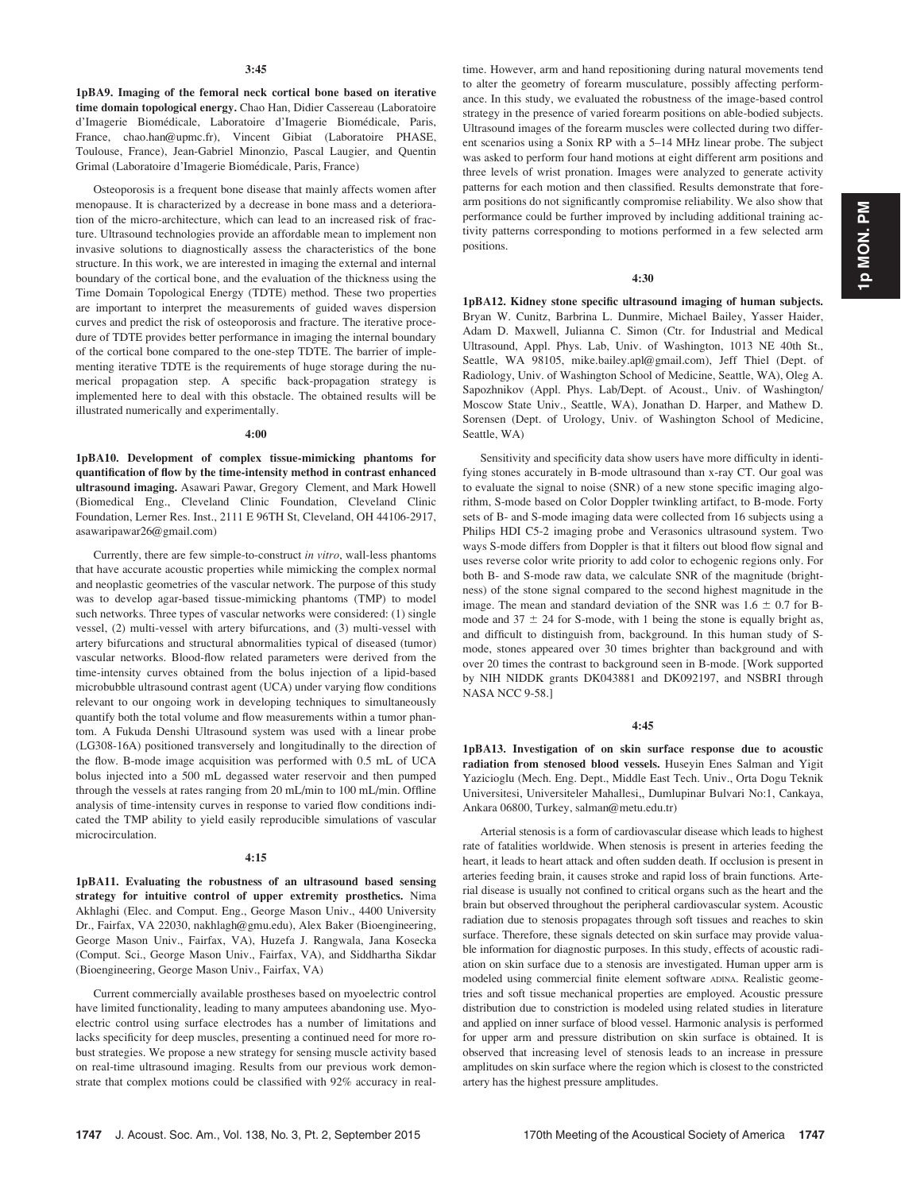1pBA9. Imaging of the femoral neck cortical bone based on iterative time domain topological energy. Chao Han, Didier Cassereau (Laboratoire d'Imagerie Biomédicale, Laboratoire d'Imagerie Biomédicale, Paris, France, chao.han@upmc.fr), Vincent Gibiat (Laboratoire PHASE, Toulouse, France), Jean-Gabriel Minonzio, Pascal Laugier, and Quentin Grimal (Laboratoire d'Imagerie Biomédicale, Paris, France)

Osteoporosis is a frequent bone disease that mainly affects women after menopause. It is characterized by a decrease in bone mass and a deterioration of the micro-architecture, which can lead to an increased risk of fracture. Ultrasound technologies provide an affordable mean to implement non invasive solutions to diagnostically assess the characteristics of the bone structure. In this work, we are interested in imaging the external and internal boundary of the cortical bone, and the evaluation of the thickness using the Time Domain Topological Energy (TDTE) method. These two properties are important to interpret the measurements of guided waves dispersion curves and predict the risk of osteoporosis and fracture. The iterative procedure of TDTE provides better performance in imaging the internal boundary of the cortical bone compared to the one-step TDTE. The barrier of implementing iterative TDTE is the requirements of huge storage during the numerical propagation step. A specific back-propagation strategy is implemented here to deal with this obstacle. The obtained results will be illustrated numerically and experimentally.

#### 4:00

1pBA10. Development of complex tissue-mimicking phantoms for quantification of flow by the time-intensity method in contrast enhanced ultrasound imaging. Asawari Pawar, Gregory Clement, and Mark Howell (Biomedical Eng., Cleveland Clinic Foundation, Cleveland Clinic Foundation, Lerner Res. Inst., 2111 E 96TH St, Cleveland, OH 44106-2917, asawaripawar26@gmail.com)

Currently, there are few simple-to-construct in vitro, wall-less phantoms that have accurate acoustic properties while mimicking the complex normal and neoplastic geometries of the vascular network. The purpose of this study was to develop agar-based tissue-mimicking phantoms (TMP) to model such networks. Three types of vascular networks were considered: (1) single vessel, (2) multi-vessel with artery bifurcations, and (3) multi-vessel with artery bifurcations and structural abnormalities typical of diseased (tumor) vascular networks. Blood-flow related parameters were derived from the time-intensity curves obtained from the bolus injection of a lipid-based microbubble ultrasound contrast agent (UCA) under varying flow conditions relevant to our ongoing work in developing techniques to simultaneously quantify both the total volume and flow measurements within a tumor phantom. A Fukuda Denshi Ultrasound system was used with a linear probe (LG308-16A) positioned transversely and longitudinally to the direction of the flow. B-mode image acquisition was performed with 0.5 mL of UCA bolus injected into a 500 mL degassed water reservoir and then pumped through the vessels at rates ranging from 20 mL/min to 100 mL/min. Offline analysis of time-intensity curves in response to varied flow conditions indicated the TMP ability to yield easily reproducible simulations of vascular microcirculation.

#### 4:15

1pBA11. Evaluating the robustness of an ultrasound based sensing strategy for intuitive control of upper extremity prosthetics. Nima Akhlaghi (Elec. and Comput. Eng., George Mason Univ., 4400 University Dr., Fairfax, VA 22030, nakhlagh@gmu.edu), Alex Baker (Bioengineering, George Mason Univ., Fairfax, VA), Huzefa J. Rangwala, Jana Kosecka (Comput. Sci., George Mason Univ., Fairfax, VA), and Siddhartha Sikdar (Bioengineering, George Mason Univ., Fairfax, VA)

Current commercially available prostheses based on myoelectric control have limited functionality, leading to many amputees abandoning use. Myoelectric control using surface electrodes has a number of limitations and lacks specificity for deep muscles, presenting a continued need for more robust strategies. We propose a new strategy for sensing muscle activity based on real-time ultrasound imaging. Results from our previous work demonstrate that complex motions could be classified with 92% accuracy in realtime. However, arm and hand repositioning during natural movements tend to alter the geometry of forearm musculature, possibly affecting performance. In this study, we evaluated the robustness of the image-based control strategy in the presence of varied forearm positions on able-bodied subjects. Ultrasound images of the forearm muscles were collected during two different scenarios using a Sonix RP with a 5–14 MHz linear probe. The subject was asked to perform four hand motions at eight different arm positions and three levels of wrist pronation. Images were analyzed to generate activity patterns for each motion and then classified. Results demonstrate that forearm positions do not significantly compromise reliability. We also show that performance could be further improved by including additional training activity patterns corresponding to motions performed in a few selected arm positions.

#### 4:30

1pBA12. Kidney stone specific ultrasound imaging of human subjects. Bryan W. Cunitz, Barbrina L. Dunmire, Michael Bailey, Yasser Haider, Adam D. Maxwell, Julianna C. Simon (Ctr. for Industrial and Medical Ultrasound, Appl. Phys. Lab, Univ. of Washington, 1013 NE 40th St., Seattle, WA 98105, mike.bailey.apl@gmail.com), Jeff Thiel (Dept. of Radiology, Univ. of Washington School of Medicine, Seattle, WA), Oleg A. Sapozhnikov (Appl. Phys. Lab/Dept. of Acoust., Univ. of Washington/ Moscow State Univ., Seattle, WA), Jonathan D. Harper, and Mathew D. Sorensen (Dept. of Urology, Univ. of Washington School of Medicine, Seattle, WA)

Sensitivity and specificity data show users have more difficulty in identifying stones accurately in B-mode ultrasound than x-ray CT. Our goal was to evaluate the signal to noise (SNR) of a new stone specific imaging algorithm, S-mode based on Color Doppler twinkling artifact, to B-mode. Forty sets of B- and S-mode imaging data were collected from 16 subjects using a Philips HDI C5-2 imaging probe and Verasonics ultrasound system. Two ways S-mode differs from Doppler is that it filters out blood flow signal and uses reverse color write priority to add color to echogenic regions only. For both B- and S-mode raw data, we calculate SNR of the magnitude (brightness) of the stone signal compared to the second highest magnitude in the image. The mean and standard deviation of the SNR was  $1.6 \pm 0.7$  for Bmode and  $37 \pm 24$  for S-mode, with 1 being the stone is equally bright as, and difficult to distinguish from, background. In this human study of Smode, stones appeared over 30 times brighter than background and with over 20 times the contrast to background seen in B-mode. [Work supported by NIH NIDDK grants DK043881 and DK092197, and NSBRI through NASA NCC 9-58.]

#### 4:45

1pBA13. Investigation of on skin surface response due to acoustic radiation from stenosed blood vessels. Huseyin Enes Salman and Yigit Yazicioglu (Mech. Eng. Dept., Middle East Tech. Univ., Orta Dogu Teknik Universitesi, Universiteler Mahallesi,, Dumlupinar Bulvari No:1, Cankaya, Ankara 06800, Turkey, salman@metu.edu.tr)

Arterial stenosis is a form of cardiovascular disease which leads to highest rate of fatalities worldwide. When stenosis is present in arteries feeding the heart, it leads to heart attack and often sudden death. If occlusion is present in arteries feeding brain, it causes stroke and rapid loss of brain functions. Arterial disease is usually not confined to critical organs such as the heart and the brain but observed throughout the peripheral cardiovascular system. Acoustic radiation due to stenosis propagates through soft tissues and reaches to skin surface. Therefore, these signals detected on skin surface may provide valuable information for diagnostic purposes. In this study, effects of acoustic radiation on skin surface due to a stenosis are investigated. Human upper arm is modeled using commercial finite element software ADINA. Realistic geometries and soft tissue mechanical properties are employed. Acoustic pressure distribution due to constriction is modeled using related studies in literature and applied on inner surface of blood vessel. Harmonic analysis is performed for upper arm and pressure distribution on skin surface is obtained. It is observed that increasing level of stenosis leads to an increase in pressure amplitudes on skin surface where the region which is closest to the constricted artery has the highest pressure amplitudes.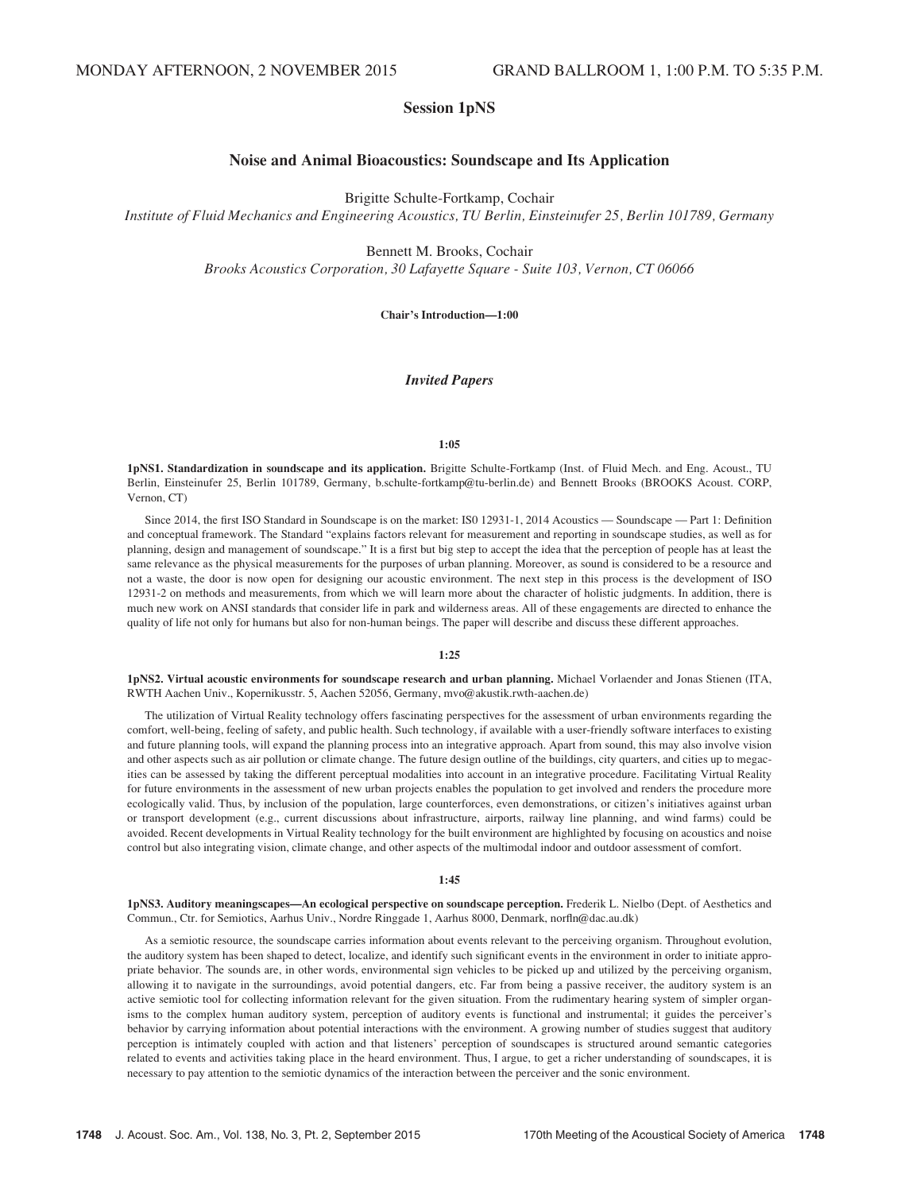## Session 1pNS

## Noise and Animal Bioacoustics: Soundscape and Its Application

Brigitte Schulte-Fortkamp, Cochair

Institute of Fluid Mechanics and Engineering Acoustics, TU Berlin, Einsteinufer 25, Berlin 101789, Germany

Bennett M. Brooks, Cochair

Brooks Acoustics Corporation, 30 Lafayette Square - Suite 103, Vernon, CT 06066

Chair's Introduction—1:00

#### Invited Papers

#### 1:05

1pNS1. Standardization in soundscape and its application. Brigitte Schulte-Fortkamp (Inst. of Fluid Mech. and Eng. Acoust., TU Berlin, Einsteinufer 25, Berlin 101789, Germany, b.schulte-fortkamp@tu-berlin.de) and Bennett Brooks (BROOKS Acoust. CORP, Vernon, CT)

Since 2014, the first ISO Standard in Soundscape is on the market: IS0 12931-1, 2014 Acoustics — Soundscape — Part 1: Definition and conceptual framework. The Standard "explains factors relevant for measurement and reporting in soundscape studies, as well as for planning, design and management of soundscape." It is a first but big step to accept the idea that the perception of people has at least the same relevance as the physical measurements for the purposes of urban planning. Moreover, as sound is considered to be a resource and not a waste, the door is now open for designing our acoustic environment. The next step in this process is the development of ISO 12931-2 on methods and measurements, from which we will learn more about the character of holistic judgments. In addition, there is much new work on ANSI standards that consider life in park and wilderness areas. All of these engagements are directed to enhance the quality of life not only for humans but also for non-human beings. The paper will describe and discuss these different approaches.

#### 1:25

1pNS2. Virtual acoustic environments for soundscape research and urban planning. Michael Vorlaender and Jonas Stienen (ITA, RWTH Aachen Univ., Kopernikusstr. 5, Aachen 52056, Germany, mvo@akustik.rwth-aachen.de)

The utilization of Virtual Reality technology offers fascinating perspectives for the assessment of urban environments regarding the comfort, well-being, feeling of safety, and public health. Such technology, if available with a user-friendly software interfaces to existing and future planning tools, will expand the planning process into an integrative approach. Apart from sound, this may also involve vision and other aspects such as air pollution or climate change. The future design outline of the buildings, city quarters, and cities up to megacities can be assessed by taking the different perceptual modalities into account in an integrative procedure. Facilitating Virtual Reality for future environments in the assessment of new urban projects enables the population to get involved and renders the procedure more ecologically valid. Thus, by inclusion of the population, large counterforces, even demonstrations, or citizen's initiatives against urban or transport development (e.g., current discussions about infrastructure, airports, railway line planning, and wind farms) could be avoided. Recent developments in Virtual Reality technology for the built environment are highlighted by focusing on acoustics and noise control but also integrating vision, climate change, and other aspects of the multimodal indoor and outdoor assessment of comfort.

#### 1:45

1pNS3. Auditory meaningscapes—An ecological perspective on soundscape perception. Frederik L. Nielbo (Dept. of Aesthetics and Commun., Ctr. for Semiotics, Aarhus Univ., Nordre Ringgade 1, Aarhus 8000, Denmark, norfln@dac.au.dk)

As a semiotic resource, the soundscape carries information about events relevant to the perceiving organism. Throughout evolution, the auditory system has been shaped to detect, localize, and identify such significant events in the environment in order to initiate appropriate behavior. The sounds are, in other words, environmental sign vehicles to be picked up and utilized by the perceiving organism, allowing it to navigate in the surroundings, avoid potential dangers, etc. Far from being a passive receiver, the auditory system is an active semiotic tool for collecting information relevant for the given situation. From the rudimentary hearing system of simpler organisms to the complex human auditory system, perception of auditory events is functional and instrumental; it guides the perceiver's behavior by carrying information about potential interactions with the environment. A growing number of studies suggest that auditory perception is intimately coupled with action and that listeners' perception of soundscapes is structured around semantic categories related to events and activities taking place in the heard environment. Thus, I argue, to get a richer understanding of soundscapes, it is necessary to pay attention to the semiotic dynamics of the interaction between the perceiver and the sonic environment.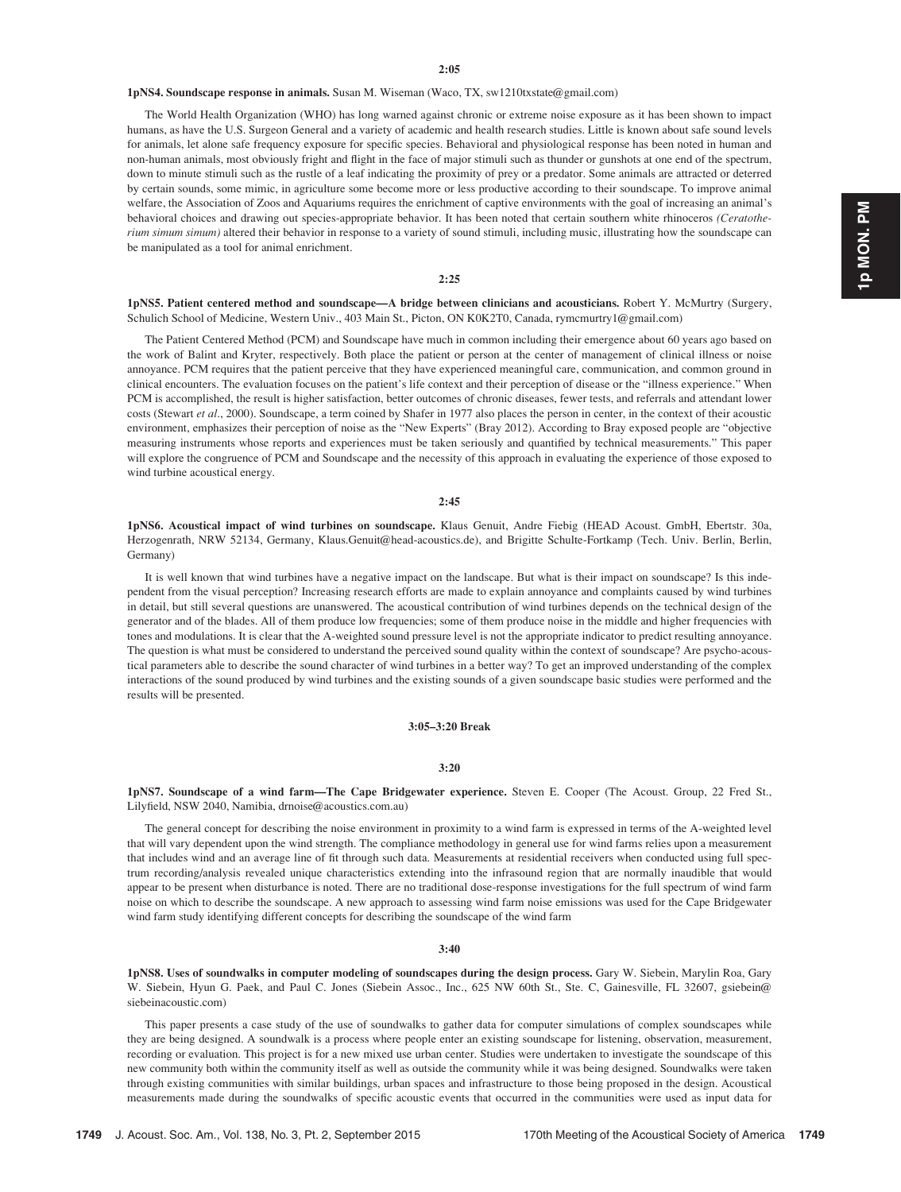#### 1pNS4. Soundscape response in animals. Susan M. Wiseman (Waco, TX, sw1210txstate@gmail.com)

The World Health Organization (WHO) has long warned against chronic or extreme noise exposure as it has been shown to impact humans, as have the U.S. Surgeon General and a variety of academic and health research studies. Little is known about safe sound levels for animals, let alone safe frequency exposure for specific species. Behavioral and physiological response has been noted in human and non-human animals, most obviously fright and flight in the face of major stimuli such as thunder or gunshots at one end of the spectrum, down to minute stimuli such as the rustle of a leaf indicating the proximity of prey or a predator. Some animals are attracted or deterred by certain sounds, some mimic, in agriculture some become more or less productive according to their soundscape. To improve animal welfare, the Association of Zoos and Aquariums requires the enrichment of captive environments with the goal of increasing an animal's behavioral choices and drawing out species-appropriate behavior. It has been noted that certain southern white rhinoceros (Ceratotherium simum simum) altered their behavior in response to a variety of sound stimuli, including music, illustrating how the soundscape can be manipulated as a tool for animal enrichment.

#### 2:25

1pNS5. Patient centered method and soundscape—A bridge between clinicians and acousticians. Robert Y. McMurtry (Surgery, Schulich School of Medicine, Western Univ., 403 Main St., Picton, ON K0K2T0, Canada, rymcmurtry1@gmail.com)

The Patient Centered Method (PCM) and Soundscape have much in common including their emergence about 60 years ago based on the work of Balint and Kryter, respectively. Both place the patient or person at the center of management of clinical illness or noise annoyance. PCM requires that the patient perceive that they have experienced meaningful care, communication, and common ground in clinical encounters. The evaluation focuses on the patient's life context and their perception of disease or the "illness experience." When PCM is accomplished, the result is higher satisfaction, better outcomes of chronic diseases, fewer tests, and referrals and attendant lower costs (Stewart et al., 2000). Soundscape, a term coined by Shafer in 1977 also places the person in center, in the context of their acoustic environment, emphasizes their perception of noise as the "New Experts" (Bray 2012). According to Bray exposed people are "objective measuring instruments whose reports and experiences must be taken seriously and quantified by technical measurements." This paper will explore the congruence of PCM and Soundscape and the necessity of this approach in evaluating the experience of those exposed to wind turbine acoustical energy.

#### 2:45

1pNS6. Acoustical impact of wind turbines on soundscape. Klaus Genuit, Andre Fiebig (HEAD Acoust. GmbH, Ebertstr. 30a, Herzogenrath, NRW 52134, Germany, Klaus.Genuit@head-acoustics.de), and Brigitte Schulte-Fortkamp (Tech. Univ. Berlin, Berlin, Germany)

It is well known that wind turbines have a negative impact on the landscape. But what is their impact on soundscape? Is this independent from the visual perception? Increasing research efforts are made to explain annoyance and complaints caused by wind turbines in detail, but still several questions are unanswered. The acoustical contribution of wind turbines depends on the technical design of the generator and of the blades. All of them produce low frequencies; some of them produce noise in the middle and higher frequencies with tones and modulations. It is clear that the A-weighted sound pressure level is not the appropriate indicator to predict resulting annoyance. The question is what must be considered to understand the perceived sound quality within the context of soundscape? Are psycho-acoustical parameters able to describe the sound character of wind turbines in a better way? To get an improved understanding of the complex interactions of the sound produced by wind turbines and the existing sounds of a given soundscape basic studies were performed and the results will be presented.

#### 3:05–3:20 Break

#### 3:20

1pNS7. Soundscape of a wind farm—The Cape Bridgewater experience. Steven E. Cooper (The Acoust. Group, 22 Fred St., Lilyfield, NSW 2040, Namibia, drnoise@acoustics.com.au)

The general concept for describing the noise environment in proximity to a wind farm is expressed in terms of the A-weighted level that will vary dependent upon the wind strength. The compliance methodology in general use for wind farms relies upon a measurement that includes wind and an average line of fit through such data. Measurements at residential receivers when conducted using full spectrum recording/analysis revealed unique characteristics extending into the infrasound region that are normally inaudible that would appear to be present when disturbance is noted. There are no traditional dose-response investigations for the full spectrum of wind farm noise on which to describe the soundscape. A new approach to assessing wind farm noise emissions was used for the Cape Bridgewater wind farm study identifying different concepts for describing the soundscape of the wind farm

#### 3:40

1pNS8. Uses of soundwalks in computer modeling of soundscapes during the design process. Gary W. Siebein, Marylin Roa, Gary W. Siebein, Hyun G. Paek, and Paul C. Jones (Siebein Assoc., Inc., 625 NW 60th St., Ste. C, Gainesville, FL 32607, gsiebein@ siebeinacoustic.com)

This paper presents a case study of the use of soundwalks to gather data for computer simulations of complex soundscapes while they are being designed. A soundwalk is a process where people enter an existing soundscape for listening, observation, measurement, recording or evaluation. This project is for a new mixed use urban center. Studies were undertaken to investigate the soundscape of this new community both within the community itself as well as outside the community while it was being designed. Soundwalks were taken through existing communities with similar buildings, urban spaces and infrastructure to those being proposed in the design. Acoustical measurements made during the soundwalks of specific acoustic events that occurred in the communities were used as input data for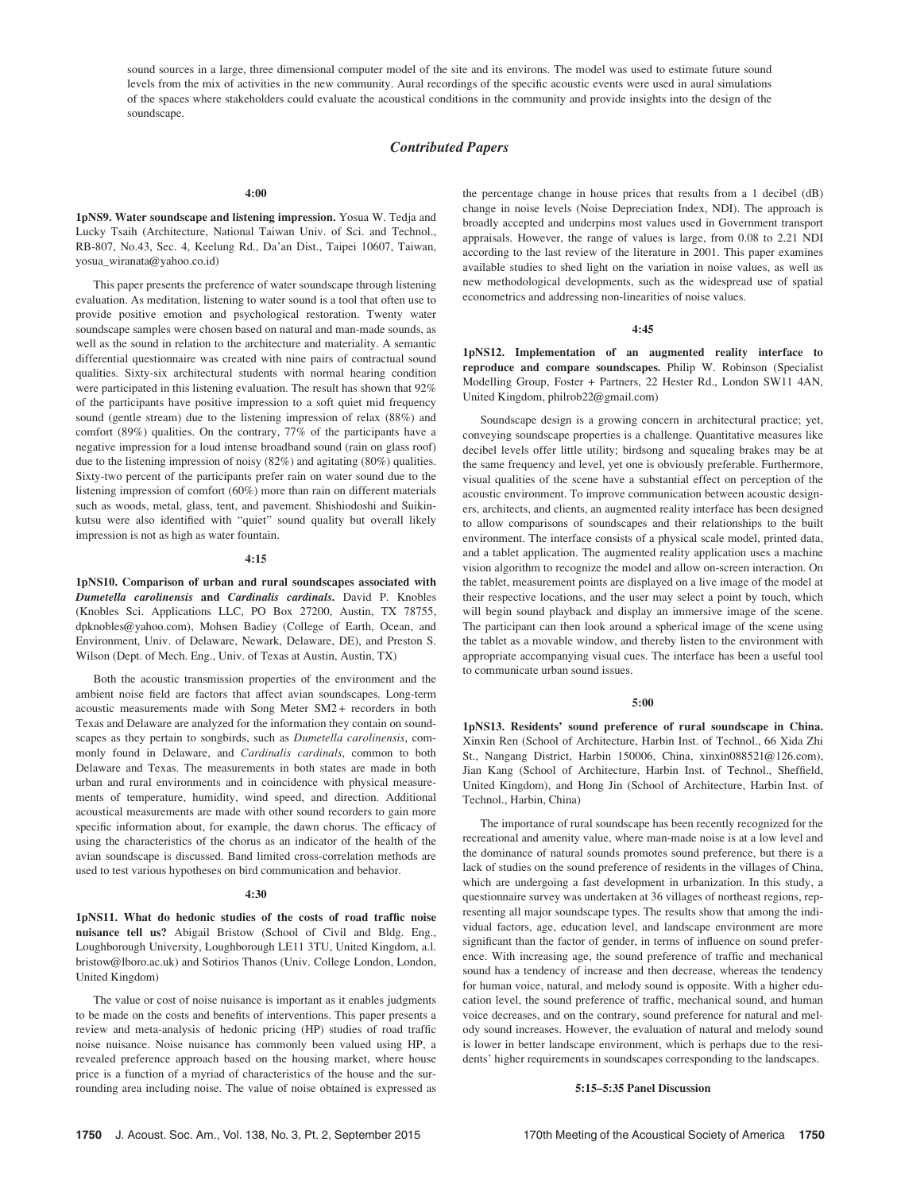sound sources in a large, three dimensional computer model of the site and its environs. The model was used to estimate future sound levels from the mix of activities in the new community. Aural recordings of the specific acoustic events were used in aural simulations of the spaces where stakeholders could evaluate the acoustical conditions in the community and provide insights into the design of the soundscape.

#### Contributed Papers

#### 4:00

1pNS9. Water soundscape and listening impression. Yosua W. Tedja and Lucky Tsaih (Architecture, National Taiwan Univ. of Sci. and Technol., RB-807, No.43, Sec. 4, Keelung Rd., Da'an Dist., Taipei 10607, Taiwan, yosua\_wiranata@yahoo.co.id)

This paper presents the preference of water soundscape through listening evaluation. As meditation, listening to water sound is a tool that often use to provide positive emotion and psychological restoration. Twenty water soundscape samples were chosen based on natural and man-made sounds, as well as the sound in relation to the architecture and materiality. A semantic differential questionnaire was created with nine pairs of contractual sound qualities. Sixty-six architectural students with normal hearing condition were participated in this listening evaluation. The result has shown that 92% of the participants have positive impression to a soft quiet mid frequency sound (gentle stream) due to the listening impression of relax (88%) and comfort (89%) qualities. On the contrary, 77% of the participants have a negative impression for a loud intense broadband sound (rain on glass roof) due to the listening impression of noisy (82%) and agitating (80%) qualities. Sixty-two percent of the participants prefer rain on water sound due to the listening impression of comfort (60%) more than rain on different materials such as woods, metal, glass, tent, and pavement. Shishiodoshi and Suikinkutsu were also identified with "quiet" sound quality but overall likely impression is not as high as water fountain.

#### 4:15

1pNS10. Comparison of urban and rural soundscapes associated with Dumetella carolinensis and Cardinalis cardinals. David P. Knobles (Knobles Sci. Applications LLC, PO Box 27200, Austin, TX 78755, dpknobles@yahoo.com), Mohsen Badiey (College of Earth, Ocean, and Environment, Univ. of Delaware, Newark, Delaware, DE), and Preston S. Wilson (Dept. of Mech. Eng., Univ. of Texas at Austin, Austin, TX)

Both the acoustic transmission properties of the environment and the ambient noise field are factors that affect avian soundscapes. Long-term acoustic measurements made with Song Meter SM2 + recorders in both Texas and Delaware are analyzed for the information they contain on soundscapes as they pertain to songbirds, such as Dumetella carolinensis, commonly found in Delaware, and Cardinalis cardinals, common to both Delaware and Texas. The measurements in both states are made in both urban and rural environments and in coincidence with physical measurements of temperature, humidity, wind speed, and direction. Additional acoustical measurements are made with other sound recorders to gain more specific information about, for example, the dawn chorus. The efficacy of using the characteristics of the chorus as an indicator of the health of the avian soundscape is discussed. Band limited cross-correlation methods are used to test various hypotheses on bird communication and behavior.

#### 4:30

1pNS11. What do hedonic studies of the costs of road traffic noise nuisance tell us? Abigail Bristow (School of Civil and Bldg. Eng., Loughborough University, Loughborough LE11 3TU, United Kingdom, a.l. bristow@lboro.ac.uk) and Sotirios Thanos (Univ. College London, London, United Kingdom)

The value or cost of noise nuisance is important as it enables judgments to be made on the costs and benefits of interventions. This paper presents a review and meta-analysis of hedonic pricing (HP) studies of road traffic noise nuisance. Noise nuisance has commonly been valued using HP, a revealed preference approach based on the housing market, where house price is a function of a myriad of characteristics of the house and the surrounding area including noise. The value of noise obtained is expressed as the percentage change in house prices that results from a 1 decibel (dB) change in noise levels (Noise Depreciation Index, NDI). The approach is broadly accepted and underpins most values used in Government transport appraisals. However, the range of values is large, from 0.08 to 2.21 NDI according to the last review of the literature in 2001. This paper examines available studies to shed light on the variation in noise values, as well as new methodological developments, such as the widespread use of spatial econometrics and addressing non-linearities of noise values.

#### 4:45

1pNS12. Implementation of an augmented reality interface to reproduce and compare soundscapes. Philip W. Robinson (Specialist Modelling Group, Foster + Partners, 22 Hester Rd., London SW11 4AN, United Kingdom, philrob22@gmail.com)

Soundscape design is a growing concern in architectural practice; yet, conveying soundscape properties is a challenge. Quantitative measures like decibel levels offer little utility; birdsong and squealing brakes may be at the same frequency and level, yet one is obviously preferable. Furthermore, visual qualities of the scene have a substantial effect on perception of the acoustic environment. To improve communication between acoustic designers, architects, and clients, an augmented reality interface has been designed to allow comparisons of soundscapes and their relationships to the built environment. The interface consists of a physical scale model, printed data, and a tablet application. The augmented reality application uses a machine vision algorithm to recognize the model and allow on-screen interaction. On the tablet, measurement points are displayed on a live image of the model at their respective locations, and the user may select a point by touch, which will begin sound playback and display an immersive image of the scene. The participant can then look around a spherical image of the scene using the tablet as a movable window, and thereby listen to the environment with appropriate accompanying visual cues. The interface has been a useful tool to communicate urban sound issues.

#### 5:00

1pNS13. Residents' sound preference of rural soundscape in China. Xinxin Ren (School of Architecture, Harbin Inst. of Technol., 66 Xida Zhi St., Nangang District, Harbin 150006, China, xinxin088521@126.com), Jian Kang (School of Architecture, Harbin Inst. of Technol., Sheffield, United Kingdom), and Hong Jin (School of Architecture, Harbin Inst. of Technol., Harbin, China)

The importance of rural soundscape has been recently recognized for the recreational and amenity value, where man-made noise is at a low level and the dominance of natural sounds promotes sound preference, but there is a lack of studies on the sound preference of residents in the villages of China, which are undergoing a fast development in urbanization. In this study, a questionnaire survey was undertaken at 36 villages of northeast regions, representing all major soundscape types. The results show that among the individual factors, age, education level, and landscape environment are more significant than the factor of gender, in terms of influence on sound preference. With increasing age, the sound preference of traffic and mechanical sound has a tendency of increase and then decrease, whereas the tendency for human voice, natural, and melody sound is opposite. With a higher education level, the sound preference of traffic, mechanical sound, and human voice decreases, and on the contrary, sound preference for natural and melody sound increases. However, the evaluation of natural and melody sound is lower in better landscape environment, which is perhaps due to the residents' higher requirements in soundscapes corresponding to the landscapes.

#### 5:15–5:35 Panel Discussion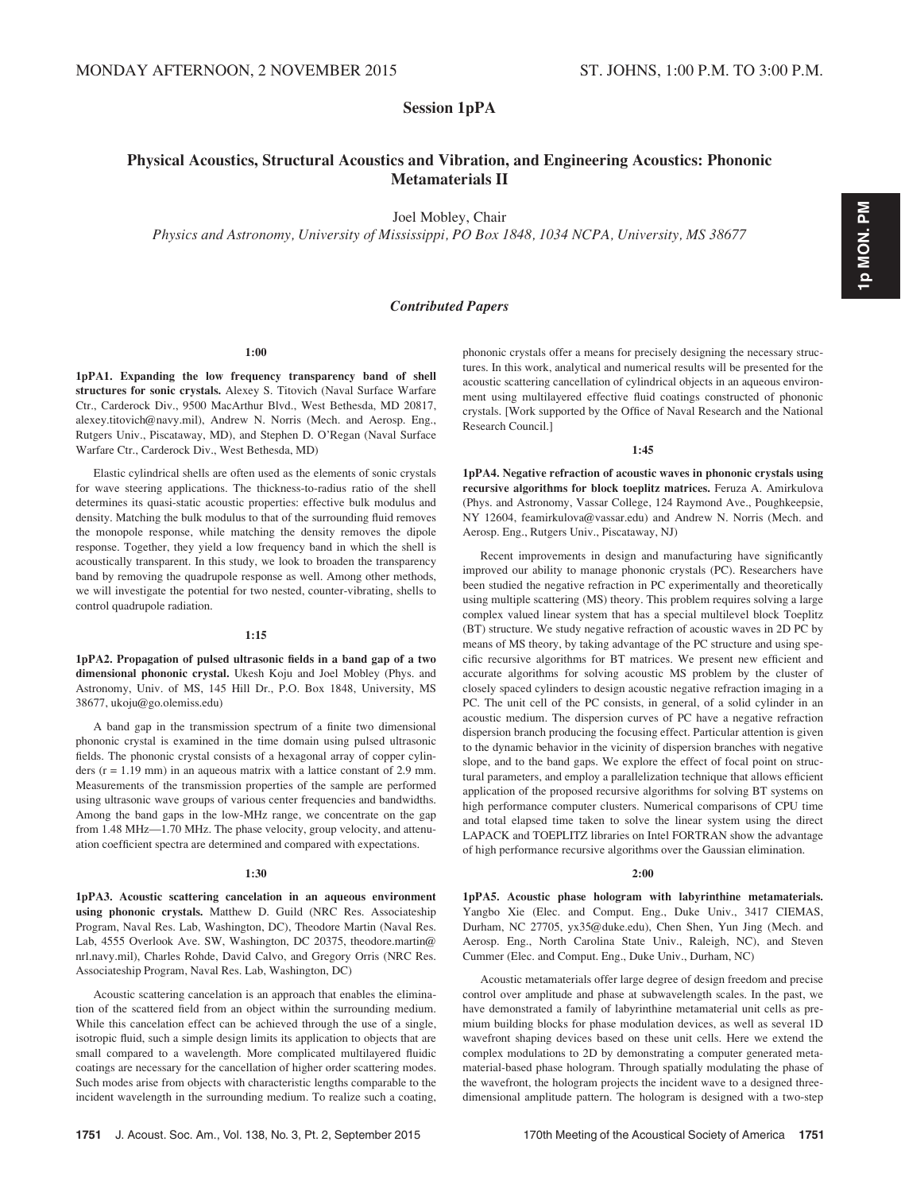Session 1pPA

## Physical Acoustics, Structural Acoustics and Vibration, and Engineering Acoustics: Phononic Metamaterials II

Joel Mobley, Chair

Physics and Astronomy, University of Mississippi, PO Box 1848, 1034 NCPA, University, MS 38677

## Contributed Papers

1:00

1pPA1. Expanding the low frequency transparency band of shell structures for sonic crystals. Alexey S. Titovich (Naval Surface Warfare Ctr., Carderock Div., 9500 MacArthur Blvd., West Bethesda, MD 20817, alexey.titovich@navy.mil), Andrew N. Norris (Mech. and Aerosp. Eng., Rutgers Univ., Piscataway, MD), and Stephen D. O'Regan (Naval Surface Warfare Ctr., Carderock Div., West Bethesda, MD)

Elastic cylindrical shells are often used as the elements of sonic crystals for wave steering applications. The thickness-to-radius ratio of the shell determines its quasi-static acoustic properties: effective bulk modulus and density. Matching the bulk modulus to that of the surrounding fluid removes the monopole response, while matching the density removes the dipole response. Together, they yield a low frequency band in which the shell is acoustically transparent. In this study, we look to broaden the transparency band by removing the quadrupole response as well. Among other methods, we will investigate the potential for two nested, counter-vibrating, shells to control quadrupole radiation.

#### 1:15

1pPA2. Propagation of pulsed ultrasonic fields in a band gap of a two dimensional phononic crystal. Ukesh Koju and Joel Mobley (Phys. and Astronomy, Univ. of MS, 145 Hill Dr., P.O. Box 1848, University, MS 38677, ukoju@go.olemiss.edu)

A band gap in the transmission spectrum of a finite two dimensional phononic crystal is examined in the time domain using pulsed ultrasonic fields. The phononic crystal consists of a hexagonal array of copper cylinders  $(r = 1.19$  mm) in an aqueous matrix with a lattice constant of 2.9 mm. Measurements of the transmission properties of the sample are performed using ultrasonic wave groups of various center frequencies and bandwidths. Among the band gaps in the low-MHz range, we concentrate on the gap from 1.48 MHz—1.70 MHz. The phase velocity, group velocity, and attenuation coefficient spectra are determined and compared with expectations.

#### 1:30

1pPA3. Acoustic scattering cancelation in an aqueous environment using phononic crystals. Matthew D. Guild (NRC Res. Associateship Program, Naval Res. Lab, Washington, DC), Theodore Martin (Naval Res. Lab, 4555 Overlook Ave. SW, Washington, DC 20375, theodore.martin@ nrl.navy.mil), Charles Rohde, David Calvo, and Gregory Orris (NRC Res. Associateship Program, Naval Res. Lab, Washington, DC)

Acoustic scattering cancelation is an approach that enables the elimination of the scattered field from an object within the surrounding medium. While this cancelation effect can be achieved through the use of a single, isotropic fluid, such a simple design limits its application to objects that are small compared to a wavelength. More complicated multilayered fluidic coatings are necessary for the cancellation of higher order scattering modes. Such modes arise from objects with characteristic lengths comparable to the incident wavelength in the surrounding medium. To realize such a coating, phononic crystals offer a means for precisely designing the necessary structures. In this work, analytical and numerical results will be presented for the acoustic scattering cancellation of cylindrical objects in an aqueous environment using multilayered effective fluid coatings constructed of phononic crystals. [Work supported by the Office of Naval Research and the National Research Council.]

#### 1:45

1pPA4. Negative refraction of acoustic waves in phononic crystals using recursive algorithms for block toeplitz matrices. Feruza A. Amirkulova (Phys. and Astronomy, Vassar College, 124 Raymond Ave., Poughkeepsie, NY 12604, feamirkulova@vassar.edu) and Andrew N. Norris (Mech. and Aerosp. Eng., Rutgers Univ., Piscataway, NJ)

Recent improvements in design and manufacturing have significantly improved our ability to manage phononic crystals (PC). Researchers have been studied the negative refraction in PC experimentally and theoretically using multiple scattering (MS) theory. This problem requires solving a large complex valued linear system that has a special multilevel block Toeplitz (BT) structure. We study negative refraction of acoustic waves in 2D PC by means of MS theory, by taking advantage of the PC structure and using specific recursive algorithms for BT matrices. We present new efficient and accurate algorithms for solving acoustic MS problem by the cluster of closely spaced cylinders to design acoustic negative refraction imaging in a PC. The unit cell of the PC consists, in general, of a solid cylinder in an acoustic medium. The dispersion curves of PC have a negative refraction dispersion branch producing the focusing effect. Particular attention is given to the dynamic behavior in the vicinity of dispersion branches with negative slope, and to the band gaps. We explore the effect of focal point on structural parameters, and employ a parallelization technique that allows efficient application of the proposed recursive algorithms for solving BT systems on high performance computer clusters. Numerical comparisons of CPU time and total elapsed time taken to solve the linear system using the direct LAPACK and TOEPLITZ libraries on Intel FORTRAN show the advantage of high performance recursive algorithms over the Gaussian elimination.

#### 2:00

1pPA5. Acoustic phase hologram with labyrinthine metamaterials. Yangbo Xie (Elec. and Comput. Eng., Duke Univ., 3417 CIEMAS, Durham, NC 27705, yx35@duke.edu), Chen Shen, Yun Jing (Mech. and Aerosp. Eng., North Carolina State Univ., Raleigh, NC), and Steven Cummer (Elec. and Comput. Eng., Duke Univ., Durham, NC)

Acoustic metamaterials offer large degree of design freedom and precise control over amplitude and phase at subwavelength scales. In the past, we have demonstrated a family of labyrinthine metamaterial unit cells as premium building blocks for phase modulation devices, as well as several 1D wavefront shaping devices based on these unit cells. Here we extend the complex modulations to 2D by demonstrating a computer generated metamaterial-based phase hologram. Through spatially modulating the phase of the wavefront, the hologram projects the incident wave to a designed threedimensional amplitude pattern. The hologram is designed with a two-step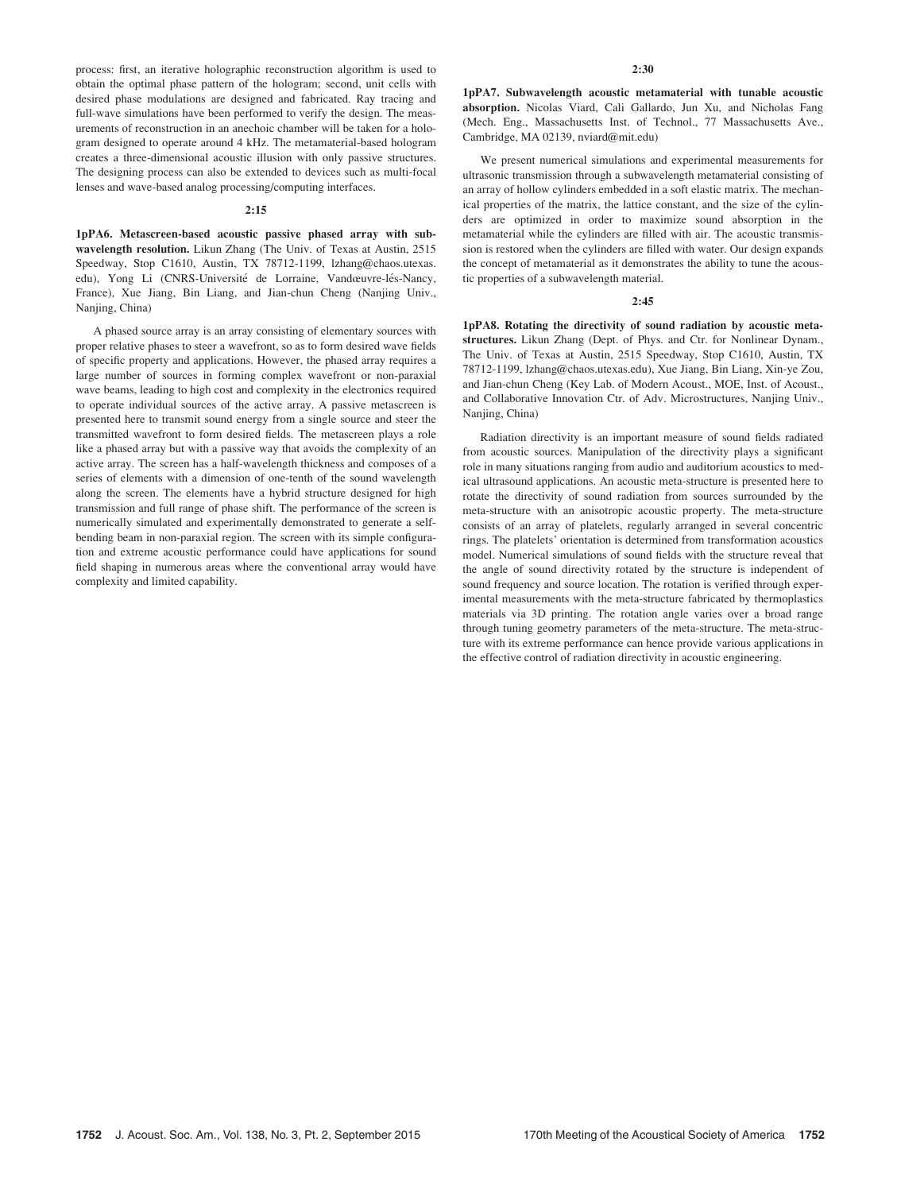process: first, an iterative holographic reconstruction algorithm is used to obtain the optimal phase pattern of the hologram; second, unit cells with desired phase modulations are designed and fabricated. Ray tracing and full-wave simulations have been performed to verify the design. The measurements of reconstruction in an anechoic chamber will be taken for a hologram designed to operate around 4 kHz. The metamaterial-based hologram creates a three-dimensional acoustic illusion with only passive structures. The designing process can also be extended to devices such as multi-focal lenses and wave-based analog processing/computing interfaces.

#### 2:15

1pPA6. Metascreen-based acoustic passive phased array with subwavelength resolution. Likun Zhang (The Univ. of Texas at Austin, 2515 Speedway, Stop C1610, Austin, TX 78712-1199, lzhang@chaos.utexas. edu), Yong Li (CNRS-Université de Lorraine, Vandœuvre-lés-Nancy, France), Xue Jiang, Bin Liang, and Jian-chun Cheng (Nanjing Univ., Nanjing, China)

A phased source array is an array consisting of elementary sources with proper relative phases to steer a wavefront, so as to form desired wave fields of specific property and applications. However, the phased array requires a large number of sources in forming complex wavefront or non-paraxial wave beams, leading to high cost and complexity in the electronics required to operate individual sources of the active array. A passive metascreen is presented here to transmit sound energy from a single source and steer the transmitted wavefront to form desired fields. The metascreen plays a role like a phased array but with a passive way that avoids the complexity of an active array. The screen has a half-wavelength thickness and composes of a series of elements with a dimension of one-tenth of the sound wavelength along the screen. The elements have a hybrid structure designed for high transmission and full range of phase shift. The performance of the screen is numerically simulated and experimentally demonstrated to generate a selfbending beam in non-paraxial region. The screen with its simple configuration and extreme acoustic performance could have applications for sound field shaping in numerous areas where the conventional array would have complexity and limited capability.

1pPA7. Subwavelength acoustic metamaterial with tunable acoustic absorption. Nicolas Viard, Cali Gallardo, Jun Xu, and Nicholas Fang (Mech. Eng., Massachusetts Inst. of Technol., 77 Massachusetts Ave., Cambridge, MA 02139, nviard@mit.edu)

We present numerical simulations and experimental measurements for ultrasonic transmission through a subwavelength metamaterial consisting of an array of hollow cylinders embedded in a soft elastic matrix. The mechanical properties of the matrix, the lattice constant, and the size of the cylinders are optimized in order to maximize sound absorption in the metamaterial while the cylinders are filled with air. The acoustic transmission is restored when the cylinders are filled with water. Our design expands the concept of metamaterial as it demonstrates the ability to tune the acoustic properties of a subwavelength material.

#### 2:45

1pPA8. Rotating the directivity of sound radiation by acoustic metastructures. Likun Zhang (Dept. of Phys. and Ctr. for Nonlinear Dynam., The Univ. of Texas at Austin, 2515 Speedway, Stop C1610, Austin, TX 78712-1199, lzhang@chaos.utexas.edu), Xue Jiang, Bin Liang, Xin-ye Zou, and Jian-chun Cheng (Key Lab. of Modern Acoust., MOE, Inst. of Acoust., and Collaborative Innovation Ctr. of Adv. Microstructures, Nanjing Univ., Nanjing, China)

Radiation directivity is an important measure of sound fields radiated from acoustic sources. Manipulation of the directivity plays a significant role in many situations ranging from audio and auditorium acoustics to medical ultrasound applications. An acoustic meta-structure is presented here to rotate the directivity of sound radiation from sources surrounded by the meta-structure with an anisotropic acoustic property. The meta-structure consists of an array of platelets, regularly arranged in several concentric rings. The platelets' orientation is determined from transformation acoustics model. Numerical simulations of sound fields with the structure reveal that the angle of sound directivity rotated by the structure is independent of sound frequency and source location. The rotation is verified through experimental measurements with the meta-structure fabricated by thermoplastics materials via 3D printing. The rotation angle varies over a broad range through tuning geometry parameters of the meta-structure. The meta-structure with its extreme performance can hence provide various applications in the effective control of radiation directivity in acoustic engineering.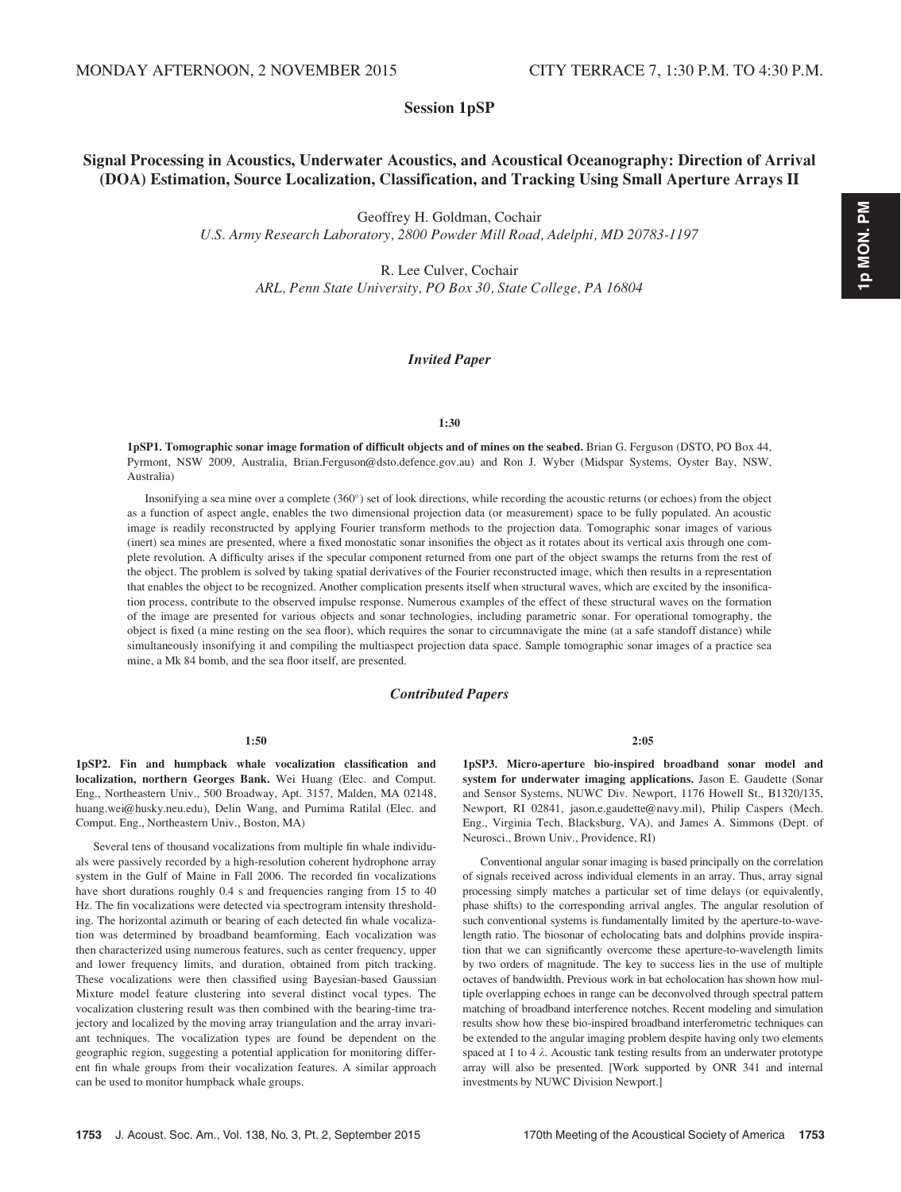Session 1pSP

## Signal Processing in Acoustics, Underwater Acoustics, and Acoustical Oceanography: Direction of Arrival (DOA) Estimation, Source Localization, Classification, and Tracking Using Small Aperture Arrays II

Geoffrey H. Goldman, Cochair

U.S. Army Research Laboratory, 2800 Powder Mill Road, Adelphi, MD 20783-1197

R. Lee Culver, Cochair ARL, Penn State University, PO Box 30, State College, PA 16804

#### Invited Paper

#### 1:30

1pSP1. Tomographic sonar image formation of difficult objects and of mines on the seabed. Brian G. Ferguson (DSTO, PO Box 44, Pyrmont, NSW 2009, Australia, Brian.Ferguson@dsto.defence.gov.au) and Ron J. Wyber (Midspar Systems, Oyster Bay, NSW, Australia)

Insonifying a sea mine over a complete (360°) set of look directions, while recording the acoustic returns (or echoes) from the object as a function of aspect angle, enables the two dimensional projection data (or measurement) space to be fully populated. An acoustic image is readily reconstructed by applying Fourier transform methods to the projection data. Tomographic sonar images of various (inert) sea mines are presented, where a fixed monostatic sonar insonifies the object as it rotates about its vertical axis through one complete revolution. A difficulty arises if the specular component returned from one part of the object swamps the returns from the rest of the object. The problem is solved by taking spatial derivatives of the Fourier reconstructed image, which then results in a representation that enables the object to be recognized. Another complication presents itself when structural waves, which are excited by the insonification process, contribute to the observed impulse response. Numerous examples of the effect of these structural waves on the formation of the image are presented for various objects and sonar technologies, including parametric sonar. For operational tomography, the object is fixed (a mine resting on the sea floor), which requires the sonar to circumnavigate the mine (at a safe standoff distance) while simultaneously insonifying it and compiling the multiaspect projection data space. Sample tomographic sonar images of a practice sea mine, a Mk 84 bomb, and the sea floor itself, are presented.

#### Contributed Papers

#### 1:50

1pSP2. Fin and humpback whale vocalization classification and localization, northern Georges Bank. Wei Huang (Elec. and Comput. Eng., Northeastern Univ., 500 Broadway, Apt. 3157, Malden, MA 02148, huang.wei@husky.neu.edu), Delin Wang, and Purnima Ratilal (Elec. and Comput. Eng., Northeastern Univ., Boston, MA)

Several tens of thousand vocalizations from multiple fin whale individuals were passively recorded by a high-resolution coherent hydrophone array system in the Gulf of Maine in Fall 2006. The recorded fin vocalizations have short durations roughly 0.4 s and frequencies ranging from 15 to 40 Hz. The fin vocalizations were detected via spectrogram intensity thresholding. The horizontal azimuth or bearing of each detected fin whale vocalization was determined by broadband beamforming. Each vocalization was then characterized using numerous features, such as center frequency, upper and lower frequency limits, and duration, obtained from pitch tracking. These vocalizations were then classified using Bayesian-based Gaussian Mixture model feature clustering into several distinct vocal types. The vocalization clustering result was then combined with the bearing-time trajectory and localized by the moving array triangulation and the array invariant techniques. The vocalization types are found be dependent on the geographic region, suggesting a potential application for monitoring different fin whale groups from their vocalization features. A similar approach can be used to monitor humpback whale groups.

2:05

1pSP3. Micro-aperture bio-inspired broadband sonar model and system for underwater imaging applications. Jason E. Gaudette (Sonar and Sensor Systems, NUWC Div. Newport, 1176 Howell St., B1320/135, Newport, RI 02841, jason.e.gaudette@navy.mil), Philip Caspers (Mech. Eng., Virginia Tech, Blacksburg, VA), and James A. Simmons (Dept. of Neurosci., Brown Univ., Providence, RI)

Conventional angular sonar imaging is based principally on the correlation of signals received across individual elements in an array. Thus, array signal processing simply matches a particular set of time delays (or equivalently, phase shifts) to the corresponding arrival angles. The angular resolution of such conventional systems is fundamentally limited by the aperture-to-wavelength ratio. The biosonar of echolocating bats and dolphins provide inspiration that we can significantly overcome these aperture-to-wavelength limits by two orders of magnitude. The key to success lies in the use of multiple octaves of bandwidth. Previous work in bat echolocation has shown how multiple overlapping echoes in range can be deconvolved through spectral pattern matching of broadband interference notches. Recent modeling and simulation results show how these bio-inspired broadband interferometric techniques can be extended to the angular imaging problem despite having only two elements spaced at 1 to 4  $\lambda$ . Acoustic tank testing results from an underwater prototype array will also be presented. [Work supported by ONR 341 and internal investments by NUWC Division Newport.]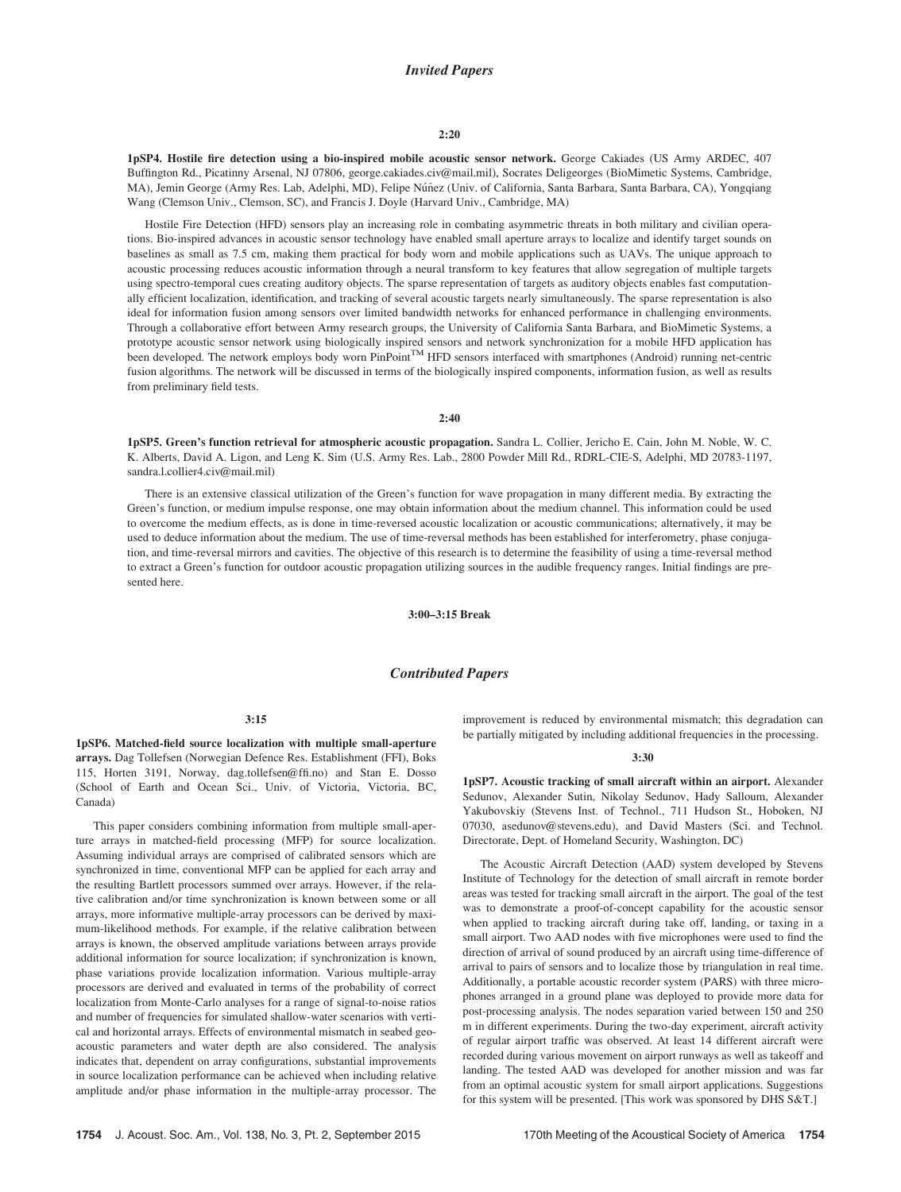#### Invited Papers

#### 2:20

1pSP4. Hostile fire detection using a bio-inspired mobile acoustic sensor network. George Cakiades (US Army ARDEC, 407 Buffington Rd., Picatinny Arsenal, NJ 07806, george.cakiades.civ@mail.mil), Socrates Deligeorges (BioMimetic Systems, Cambridge, MA), Jemin George (Army Res. Lab, Adelphi, MD), Felipe Núñez (Univ. of California, Santa Barbara, Santa Barbara, CA), Yongqiang Wang (Clemson Univ., Clemson, SC), and Francis J. Doyle (Harvard Univ., Cambridge, MA)

Hostile Fire Detection (HFD) sensors play an increasing role in combating asymmetric threats in both military and civilian operations. Bio-inspired advances in acoustic sensor technology have enabled small aperture arrays to localize and identify target sounds on baselines as small as 7.5 cm, making them practical for body worn and mobile applications such as UAVs. The unique approach to acoustic processing reduces acoustic information through a neural transform to key features that allow segregation of multiple targets using spectro-temporal cues creating auditory objects. The sparse representation of targets as auditory objects enables fast computationally efficient localization, identification, and tracking of several acoustic targets nearly simultaneously. The sparse representation is also ideal for information fusion among sensors over limited bandwidth networks for enhanced performance in challenging environments. Through a collaborative effort between Army research groups, the University of California Santa Barbara, and BioMimetic Systems, a prototype acoustic sensor network using biologically inspired sensors and network synchronization for a mobile HFD application has been developed. The network employs body worn PinPoint<sup>TM</sup> HFD sensors interfaced with smartphones (Android) running net-centric fusion algorithms. The network will be discussed in terms of the biologically inspired components, information fusion, as well as results from preliminary field tests.

#### 2:40

1pSP5. Green's function retrieval for atmospheric acoustic propagation. Sandra L. Collier, Jericho E. Cain, John M. Noble, W. C. K. Alberts, David A. Ligon, and Leng K. Sim (U.S. Army Res. Lab., 2800 Powder Mill Rd., RDRL-CIE-S, Adelphi, MD 20783-1197, sandra.l.collier4.civ@mail.mil)

There is an extensive classical utilization of the Green's function for wave propagation in many different media. By extracting the Green's function, or medium impulse response, one may obtain information about the medium channel. This information could be used to overcome the medium effects, as is done in time-reversed acoustic localization or acoustic communications; alternatively, it may be used to deduce information about the medium. The use of time-reversal methods has been established for interferometry, phase conjugation, and time-reversal mirrors and cavities. The objective of this research is to determine the feasibility of using a time-reversal method to extract a Green's function for outdoor acoustic propagation utilizing sources in the audible frequency ranges. Initial findings are presented here.

3:00–3:15 Break

## Contributed Papers

#### 3:15

1pSP6. Matched-field source localization with multiple small-aperture arrays. Dag Tollefsen (Norwegian Defence Res. Establishment (FFI), Boks 115, Horten 3191, Norway, dag.tollefsen@ffi.no) and Stan E. Dosso (School of Earth and Ocean Sci., Univ. of Victoria, Victoria, BC, Canada)

This paper considers combining information from multiple small-aperture arrays in matched-field processing (MFP) for source localization. Assuming individual arrays are comprised of calibrated sensors which are synchronized in time, conventional MFP can be applied for each array and the resulting Bartlett processors summed over arrays. However, if the relative calibration and/or time synchronization is known between some or all arrays, more informative multiple-array processors can be derived by maximum-likelihood methods. For example, if the relative calibration between arrays is known, the observed amplitude variations between arrays provide additional information for source localization; if synchronization is known, phase variations provide localization information. Various multiple-array processors are derived and evaluated in terms of the probability of correct localization from Monte-Carlo analyses for a range of signal-to-noise ratios and number of frequencies for simulated shallow-water scenarios with vertical and horizontal arrays. Effects of environmental mismatch in seabed geoacoustic parameters and water depth are also considered. The analysis indicates that, dependent on array configurations, substantial improvements in source localization performance can be achieved when including relative amplitude and/or phase information in the multiple-array processor. The improvement is reduced by environmental mismatch; this degradation can be partially mitigated by including additional frequencies in the processing.

#### 3:30

1pSP7. Acoustic tracking of small aircraft within an airport. Alexander Sedunov, Alexander Sutin, Nikolay Sedunov, Hady Salloum, Alexander Yakubovskiy (Stevens Inst. of Technol., 711 Hudson St., Hoboken, NJ 07030, asedunov@stevens.edu), and David Masters (Sci. and Technol. Directorate, Dept. of Homeland Security, Washington, DC)

The Acoustic Aircraft Detection (AAD) system developed by Stevens Institute of Technology for the detection of small aircraft in remote border areas was tested for tracking small aircraft in the airport. The goal of the test was to demonstrate a proof-of-concept capability for the acoustic sensor when applied to tracking aircraft during take off, landing, or taxing in a small airport. Two AAD nodes with five microphones were used to find the direction of arrival of sound produced by an aircraft using time-difference of arrival to pairs of sensors and to localize those by triangulation in real time. Additionally, a portable acoustic recorder system (PARS) with three microphones arranged in a ground plane was deployed to provide more data for post-processing analysis. The nodes separation varied between 150 and 250 m in different experiments. During the two-day experiment, aircraft activity of regular airport traffic was observed. At least 14 different aircraft were recorded during various movement on airport runways as well as takeoff and landing. The tested AAD was developed for another mission and was far from an optimal acoustic system for small airport applications. Suggestions for this system will be presented. [This work was sponsored by DHS S&T.]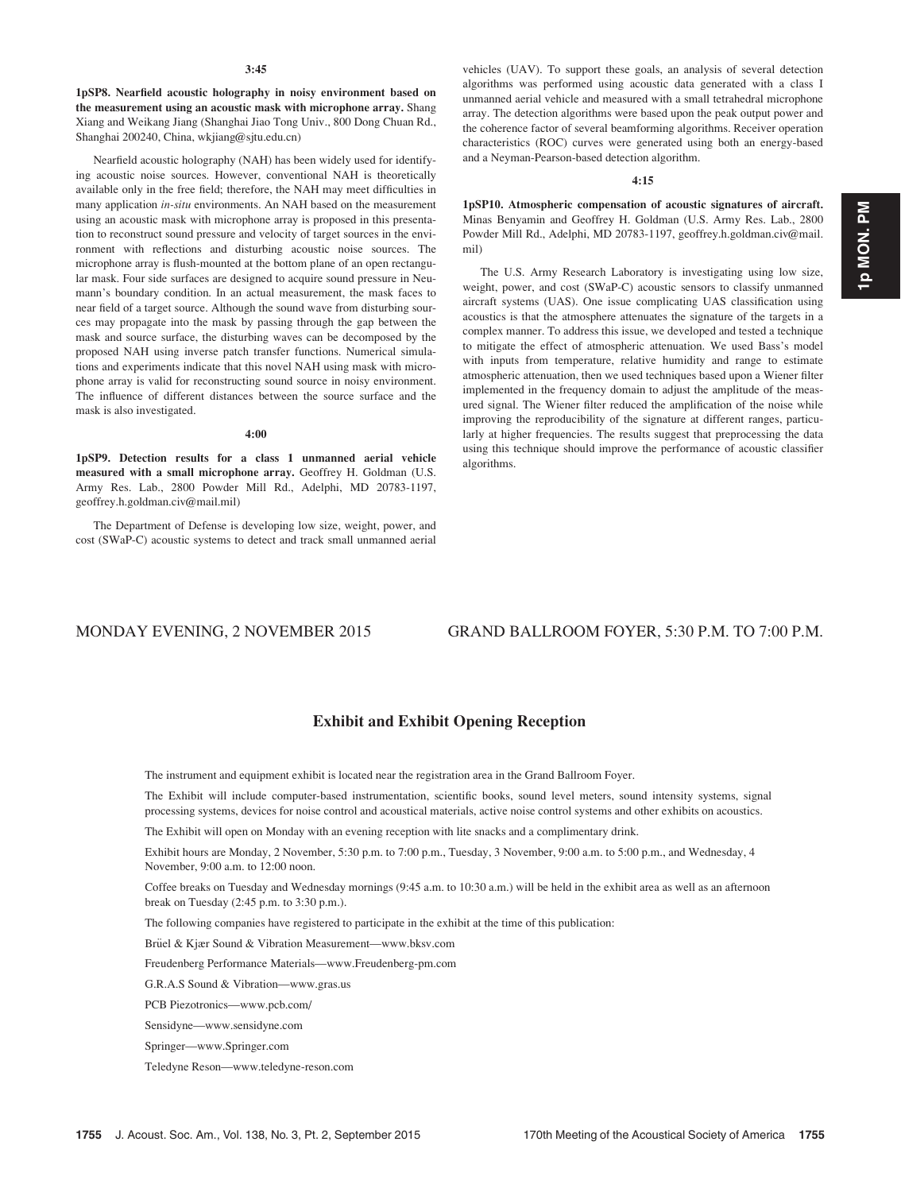1pSP8. Nearfield acoustic holography in noisy environment based on the measurement using an acoustic mask with microphone array. Shang Xiang and Weikang Jiang (Shanghai Jiao Tong Univ., 800 Dong Chuan Rd., Shanghai 200240, China, wkjiang@sjtu.edu.cn)

Nearfield acoustic holography (NAH) has been widely used for identifying acoustic noise sources. However, conventional NAH is theoretically available only in the free field; therefore, the NAH may meet difficulties in many application in-situ environments. An NAH based on the measurement using an acoustic mask with microphone array is proposed in this presentation to reconstruct sound pressure and velocity of target sources in the environment with reflections and disturbing acoustic noise sources. The microphone array is flush-mounted at the bottom plane of an open rectangular mask. Four side surfaces are designed to acquire sound pressure in Neumann's boundary condition. In an actual measurement, the mask faces to near field of a target source. Although the sound wave from disturbing sources may propagate into the mask by passing through the gap between the mask and source surface, the disturbing waves can be decomposed by the proposed NAH using inverse patch transfer functions. Numerical simulations and experiments indicate that this novel NAH using mask with microphone array is valid for reconstructing sound source in noisy environment. The influence of different distances between the source surface and the mask is also investigated.

4:00

1pSP9. Detection results for a class 1 unmanned aerial vehicle measured with a small microphone array. Geoffrey H. Goldman (U.S. Army Res. Lab., 2800 Powder Mill Rd., Adelphi, MD 20783-1197, geoffrey.h.goldman.civ@mail.mil)

The Department of Defense is developing low size, weight, power, and cost (SWaP-C) acoustic systems to detect and track small unmanned aerial vehicles (UAV). To support these goals, an analysis of several detection algorithms was performed using acoustic data generated with a class I unmanned aerial vehicle and measured with a small tetrahedral microphone array. The detection algorithms were based upon the peak output power and the coherence factor of several beamforming algorithms. Receiver operation characteristics (ROC) curves were generated using both an energy-based and a Neyman-Pearson-based detection algorithm.

#### 4:15

1pSP10. Atmospheric compensation of acoustic signatures of aircraft. Minas Benyamin and Geoffrey H. Goldman (U.S. Army Res. Lab., 2800 Powder Mill Rd., Adelphi, MD 20783-1197, geoffrey.h.goldman.civ@mail. mil)

The U.S. Army Research Laboratory is investigating using low size, weight, power, and cost (SWaP-C) acoustic sensors to classify unmanned aircraft systems (UAS). One issue complicating UAS classification using acoustics is that the atmosphere attenuates the signature of the targets in a complex manner. To address this issue, we developed and tested a technique to mitigate the effect of atmospheric attenuation. We used Bass's model with inputs from temperature, relative humidity and range to estimate atmospheric attenuation, then we used techniques based upon a Wiener filter implemented in the frequency domain to adjust the amplitude of the measured signal. The Wiener filter reduced the amplification of the noise while improving the reproducibility of the signature at different ranges, particularly at higher frequencies. The results suggest that preprocessing the data using this technique should improve the performance of acoustic classifier algorithms.

MONDAY EVENING, 2 NOVEMBER 2015 GRAND BALLROOM FOYER, 5:30 P.M. TO 7:00 P.M.

## Exhibit and Exhibit Opening Reception

The instrument and equipment exhibit is located near the registration area in the Grand Ballroom Foyer.

The Exhibit will include computer-based instrumentation, scientific books, sound level meters, sound intensity systems, signal processing systems, devices for noise control and acoustical materials, active noise control systems and other exhibits on acoustics.

The Exhibit will open on Monday with an evening reception with lite snacks and a complimentary drink.

Exhibit hours are Monday, 2 November, 5:30 p.m. to 7:00 p.m., Tuesday, 3 November, 9:00 a.m. to 5:00 p.m., and Wednesday, 4 November, 9:00 a.m. to 12:00 noon.

Coffee breaks on Tuesday and Wednesday mornings (9:45 a.m. to 10:30 a.m.) will be held in the exhibit area as well as an afternoon break on Tuesday (2:45 p.m. to 3:30 p.m.).

The following companies have registered to participate in the exhibit at the time of this publication:

Brüel & Kjær Sound & Vibration Measurement—www.bksv.com

Freudenberg Performance Materials—www.Freudenberg-pm.com

G.R.A.S Sound & Vibration—www.gras.us

PCB Piezotronics—www.pcb.com/

Sensidyne—www.sensidyne.com

Springer—www.Springer.com

Teledyne Reson—www.teledyne-reson.com